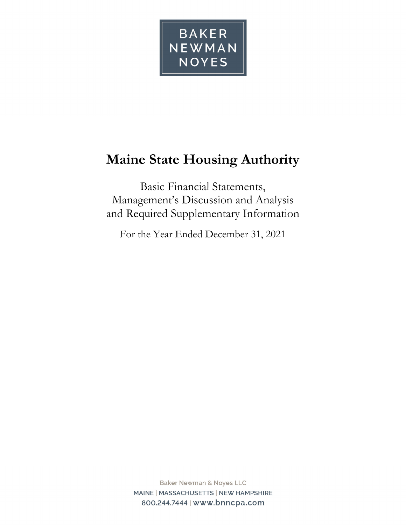

# **Maine State Housing Authority**

Basic Financial Statements, Management's Discussion and Analysis and Required Supplementary Information

For the Year Ended December 31, 2021

**Baker Newman & Noyes LLC** MAINE | MASSACHUSETTS | NEW HAMPSHIRE 800.244.7444 | www.bnncpa.com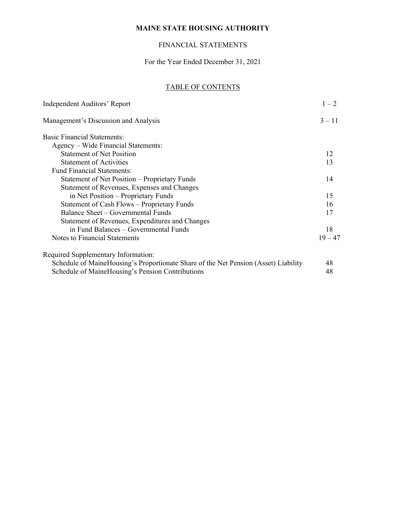# **MAINE STATE HOUSING AUTHORITY**

# FINANCIAL STATEMENTS

For the Year Ended December 31, 2021

# TABLE OF CONTENTS

| Independent Auditors' Report                                                        | $1 - 2$   |
|-------------------------------------------------------------------------------------|-----------|
| Management's Discussion and Analysis                                                | $3 - 11$  |
| <b>Basic Financial Statements:</b>                                                  |           |
| Agency – Wide Financial Statements:                                                 |           |
| <b>Statement of Net Position</b>                                                    | 12        |
| <b>Statement of Activities</b>                                                      | 13        |
| <b>Fund Financial Statements:</b>                                                   |           |
| Statement of Net Position - Proprietary Funds                                       | 14        |
| Statement of Revenues, Expenses and Changes                                         |           |
| in Net Position - Proprietary Funds                                                 | 15        |
| Statement of Cash Flows – Proprietary Funds                                         | 16        |
| Balance Sheet – Governmental Funds                                                  | 17        |
| Statement of Revenues, Expenditures and Changes                                     |           |
| in Fund Balances – Governmental Funds                                               | 18        |
| Notes to Financial Statements                                                       | $19 - 47$ |
| <b>Required Supplementary Information:</b>                                          |           |
| Schedule of MaineHousing's Proportionate Share of the Net Pension (Asset) Liability | 48        |
| Schedule of MaineHousing's Pension Contributions                                    | 48        |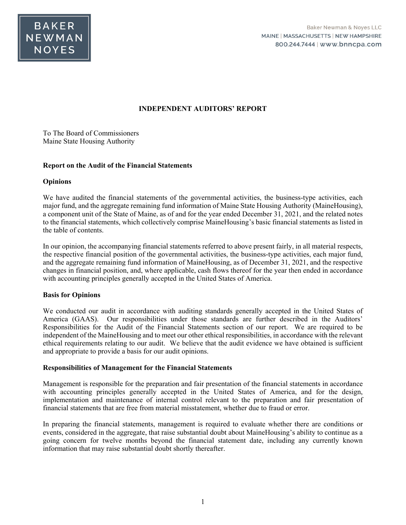## **INDEPENDENT AUDITORS' REPORT**

To The Board of Commissioners Maine State Housing Authority

#### **Report on the Audit of the Financial Statements**

#### **Opinions**

We have audited the financial statements of the governmental activities, the business-type activities, each major fund, and the aggregate remaining fund information of Maine State Housing Authority (MaineHousing), a component unit of the State of Maine, as of and for the year ended December 31, 2021, and the related notes to the financial statements, which collectively comprise MaineHousing's basic financial statements as listed in the table of contents.

In our opinion, the accompanying financial statements referred to above present fairly, in all material respects, the respective financial position of the governmental activities, the business-type activities, each major fund, and the aggregate remaining fund information of MaineHousing, as of December 31, 2021, and the respective changes in financial position, and, where applicable, cash flows thereof for the year then ended in accordance with accounting principles generally accepted in the United States of America.

### **Basis for Opinions**

We conducted our audit in accordance with auditing standards generally accepted in the United States of America (GAAS). Our responsibilities under those standards are further described in the Auditors' Responsibilities for the Audit of the Financial Statements section of our report. We are required to be independent of the MaineHousing and to meet our other ethical responsibilities, in accordance with the relevant ethical requirements relating to our audit. We believe that the audit evidence we have obtained is sufficient and appropriate to provide a basis for our audit opinions.

#### **Responsibilities of Management for the Financial Statements**

Management is responsible for the preparation and fair presentation of the financial statements in accordance with accounting principles generally accepted in the United States of America, and for the design, implementation and maintenance of internal control relevant to the preparation and fair presentation of financial statements that are free from material misstatement, whether due to fraud or error.

In preparing the financial statements, management is required to evaluate whether there are conditions or events, considered in the aggregate, that raise substantial doubt about MaineHousing's ability to continue as a going concern for twelve months beyond the financial statement date, including any currently known information that may raise substantial doubt shortly thereafter.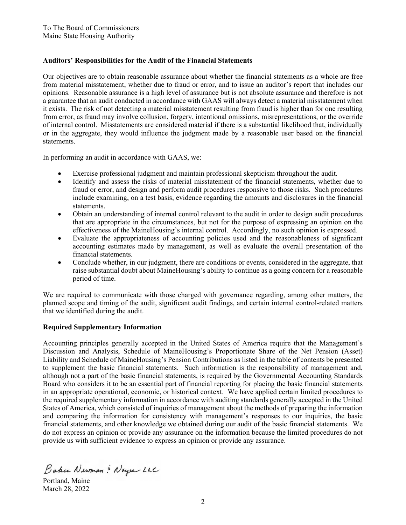### **Auditors' Responsibilities for the Audit of the Financial Statements**

Our objectives are to obtain reasonable assurance about whether the financial statements as a whole are free from material misstatement, whether due to fraud or error, and to issue an auditor's report that includes our opinions. Reasonable assurance is a high level of assurance but is not absolute assurance and therefore is not a guarantee that an audit conducted in accordance with GAAS will always detect a material misstatement when it exists. The risk of not detecting a material misstatement resulting from fraud is higher than for one resulting from error, as fraud may involve collusion, forgery, intentional omissions, misrepresentations, or the override of internal control. Misstatements are considered material if there is a substantial likelihood that, individually or in the aggregate, they would influence the judgment made by a reasonable user based on the financial statements.

In performing an audit in accordance with GAAS, we:

- Exercise professional judgment and maintain professional skepticism throughout the audit.
- Identify and assess the risks of material misstatement of the financial statements, whether due to fraud or error, and design and perform audit procedures responsive to those risks. Such procedures include examining, on a test basis, evidence regarding the amounts and disclosures in the financial statements.
- Obtain an understanding of internal control relevant to the audit in order to design audit procedures that are appropriate in the circumstances, but not for the purpose of expressing an opinion on the effectiveness of the MaineHousing's internal control. Accordingly, no such opinion is expressed.
- Evaluate the appropriateness of accounting policies used and the reasonableness of significant accounting estimates made by management, as well as evaluate the overall presentation of the financial statements.
- Conclude whether, in our judgment, there are conditions or events, considered in the aggregate, that raise substantial doubt about MaineHousing's ability to continue as a going concern for a reasonable period of time.

We are required to communicate with those charged with governance regarding, among other matters, the planned scope and timing of the audit, significant audit findings, and certain internal control-related matters that we identified during the audit.

### **Required Supplementary Information**

Accounting principles generally accepted in the United States of America require that the Management's Discussion and Analysis, Schedule of MaineHousing's Proportionate Share of the Net Pension (Asset) Liability and Schedule of MaineHousing's Pension Contributions as listed in the table of contents be presented to supplement the basic financial statements. Such information is the responsibility of management and, although not a part of the basic financial statements, is required by the Governmental Accounting Standards Board who considers it to be an essential part of financial reporting for placing the basic financial statements in an appropriate operational, economic, or historical context. We have applied certain limited procedures to the required supplementary information in accordance with auditing standards generally accepted in the United States of America, which consisted of inquiries of management about the methods of preparing the information and comparing the information for consistency with management's responses to our inquiries, the basic financial statements, and other knowledge we obtained during our audit of the basic financial statements. We do not express an opinion or provide any assurance on the information because the limited procedures do not provide us with sufficient evidence to express an opinion or provide any assurance.

Baker Newman : Nayer LLC

Portland, Maine March 28, 2022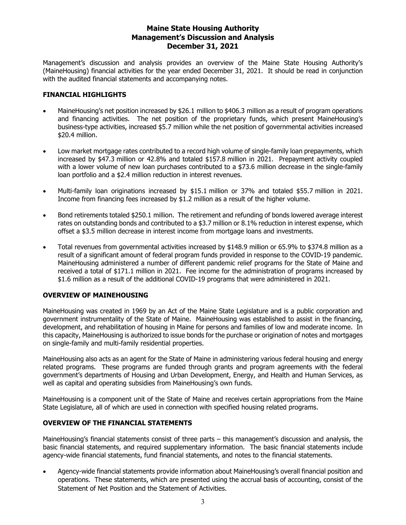Management's discussion and analysis provides an overview of the Maine State Housing Authority's (MaineHousing) financial activities for the year ended December 31, 2021. It should be read in conjunction with the audited financial statements and accompanying notes.

### **FINANCIAL HIGHLIGHTS**

- MaineHousing's net position increased by \$26.1 million to \$406.3 million as a result of program operations and financing activities. The net position of the proprietary funds, which present MaineHousing's business-type activities, increased \$5.7 million while the net position of governmental activities increased \$20.4 million.
- Low market mortgage rates contributed to a record high volume of single-family loan prepayments, which increased by \$47.3 million or 42.8% and totaled \$157.8 million in 2021. Prepayment activity coupled with a lower volume of new loan purchases contributed to a \$73.6 million decrease in the single-family loan portfolio and a \$2.4 million reduction in interest revenues.
- Multi-family loan originations increased by \$15.1 million or 37% and totaled \$55.7 million in 2021. Income from financing fees increased by \$1.2 million as a result of the higher volume.
- Bond retirements totaled \$250.1 million. The retirement and refunding of bonds lowered average interest rates on outstanding bonds and contributed to a \$3.7 million or 8.1% reduction in interest expense, which offset a \$3.5 million decrease in interest income from mortgage loans and investments.
- Total revenues from governmental activities increased by \$148.9 million or 65.9% to \$374.8 million as a result of a significant amount of federal program funds provided in response to the COVID-19 pandemic. MaineHousing administered a number of different pandemic relief programs for the State of Maine and received a total of \$171.1 million in 2021. Fee income for the administration of programs increased by \$1.6 million as a result of the additional COVID-19 programs that were administered in 2021.

### **OVERVIEW OF MAINEHOUSING**

MaineHousing was created in 1969 by an Act of the Maine State Legislature and is a public corporation and government instrumentality of the State of Maine. MaineHousing was established to assist in the financing, development, and rehabilitation of housing in Maine for persons and families of low and moderate income. In this capacity, MaineHousing is authorized to issue bonds for the purchase or origination of notes and mortgages on single-family and multi-family residential properties.

MaineHousing also acts as an agent for the State of Maine in administering various federal housing and energy related programs. These programs are funded through grants and program agreements with the federal government's departments of Housing and Urban Development, Energy, and Health and Human Services, as well as capital and operating subsidies from MaineHousing's own funds.

MaineHousing is a component unit of the State of Maine and receives certain appropriations from the Maine State Legislature, all of which are used in connection with specified housing related programs.

### **OVERVIEW OF THE FINANCIAL STATEMENTS**

MaineHousing's financial statements consist of three parts – this management's discussion and analysis, the basic financial statements, and required supplementary information. The basic financial statements include agency-wide financial statements, fund financial statements, and notes to the financial statements.

 Agency-wide financial statements provide information about MaineHousing's overall financial position and operations. These statements, which are presented using the accrual basis of accounting, consist of the Statement of Net Position and the Statement of Activities.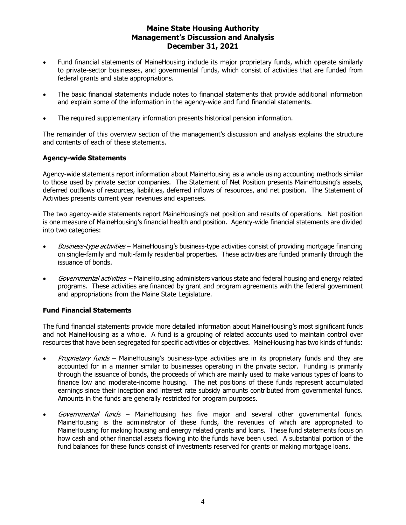- Fund financial statements of MaineHousing include its major proprietary funds, which operate similarly to private-sector businesses, and governmental funds, which consist of activities that are funded from federal grants and state appropriations.
- The basic financial statements include notes to financial statements that provide additional information and explain some of the information in the agency-wide and fund financial statements.
- The required supplementary information presents historical pension information.

The remainder of this overview section of the management's discussion and analysis explains the structure and contents of each of these statements.

### **Agency-wide Statements**

Agency-wide statements report information about MaineHousing as a whole using accounting methods similar to those used by private sector companies. The Statement of Net Position presents MaineHousing's assets, deferred outflows of resources, liabilities, deferred inflows of resources, and net position. The Statement of Activities presents current year revenues and expenses.

The two agency-wide statements report MaineHousing's net position and results of operations. Net position is one measure of MaineHousing's financial health and position. Agency-wide financial statements are divided into two categories:

- Business-type activities MaineHousing's business-type activities consist of providing mortgage financing on single-family and multi-family residential properties. These activities are funded primarily through the issuance of bonds.
- Governmental activities MaineHousing administers various state and federal housing and energy related programs. These activities are financed by grant and program agreements with the federal government and appropriations from the Maine State Legislature.

### **Fund Financial Statements**

The fund financial statements provide more detailed information about MaineHousing's most significant funds and not MaineHousing as a whole. A fund is a grouping of related accounts used to maintain control over resources that have been segregated for specific activities or objectives. MaineHousing has two kinds of funds:

- Proprietary funds MaineHousing's business-type activities are in its proprietary funds and they are accounted for in a manner similar to businesses operating in the private sector. Funding is primarily through the issuance of bonds, the proceeds of which are mainly used to make various types of loans to finance low and moderate-income housing. The net positions of these funds represent accumulated earnings since their inception and interest rate subsidy amounts contributed from governmental funds. Amounts in the funds are generally restricted for program purposes.
- Governmental funds MaineHousing has five major and several other governmental funds. MaineHousing is the administrator of these funds, the revenues of which are appropriated to MaineHousing for making housing and energy related grants and loans. These fund statements focus on how cash and other financial assets flowing into the funds have been used. A substantial portion of the fund balances for these funds consist of investments reserved for grants or making mortgage loans.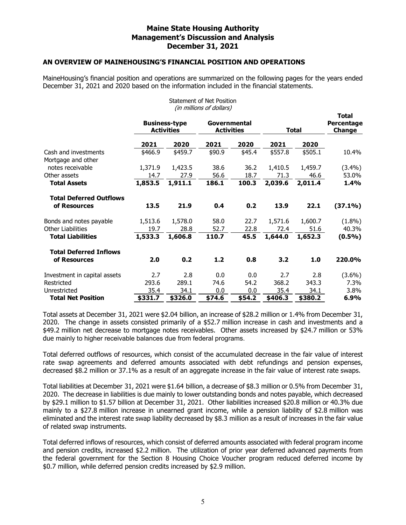#### **AN OVERVIEW OF MAINEHOUSING'S FINANCIAL POSITION AND OPERATIONS**

MaineHousing's financial position and operations are summarized on the following pages for the years ended December 31, 2021 and 2020 based on the information included in the financial statements.

Statement of Net Position

|                                |         |                                           | (in millions of dollars)          |        |         |              |                                      |
|--------------------------------|---------|-------------------------------------------|-----------------------------------|--------|---------|--------------|--------------------------------------|
|                                |         | <b>Business-type</b><br><b>Activities</b> | Governmental<br><b>Activities</b> |        |         | <b>Total</b> | <b>Total</b><br>Percentage<br>Change |
|                                | 2021    | 2020                                      | 2021                              | 2020   | 2021    | 2020         |                                      |
| Cash and investments           | \$466.9 | \$459.7                                   | \$90.9                            | \$45.4 | \$557.8 | \$505.1      | 10.4%                                |
| Mortgage and other             |         |                                           |                                   |        |         |              |                                      |
| notes receivable               | 1,371.9 | 1,423.5                                   | 38.6                              | 36.2   | 1,410.5 | 1,459.7      | $(3.4\%)$                            |
| Other assets                   | 14.7    | 27.9                                      | 56.6                              | 18.7   | 71.3    | 46.6         | 53.0%                                |
| <b>Total Assets</b>            | 1,853.5 | 1,911.1                                   | 186.1                             | 100.3  | 2,039.6 | 2,011.4      | 1.4%                                 |
| <b>Total Deferred Outflows</b> |         |                                           |                                   |        |         |              |                                      |
| of Resources                   | 13.5    | 21.9                                      | 0.4                               | 0.2    | 13.9    | 22.1         | $(37.1\%)$                           |
| Bonds and notes payable        | 1,513.6 | 1,578.0                                   | 58.0                              | 22.7   | 1,571.6 | 1,600.7      | $(1.8\%)$                            |
| <b>Other Liabilities</b>       | 19.7    | 28.8                                      | 52.7                              | 22.8   | 72.4    | 51.6         | 40.3%                                |
| Total Liabilities              | 1,533.3 | 1,606.8                                   | 110.7                             | 45.5   | 1,644.0 | 1,652.3      | $(0.5\%)$                            |
| <b>Total Deferred Inflows</b>  |         |                                           |                                   |        |         |              |                                      |
| of Resources                   | 2.0     | 0.2                                       | 1.2                               | 0.8    | 3.2     | 1.0          | 220.0%                               |
| Investment in capital assets   | 2.7     | 2.8                                       | 0.0                               | 0.0    | 2.7     | 2.8          | $(3.6\%)$                            |
| Restricted                     | 293.6   | 289.1                                     | 74.6                              | 54.2   | 368.2   | 343.3        | 7.3%                                 |
| Unrestricted                   | 35.4    | 34.1                                      | 0.0                               | 0.0    | 35.4    | 34.1         | 3.8%                                 |
| <b>Total Net Position</b>      | \$331.7 | \$326.0                                   | \$74.6                            | \$54.2 | \$406.3 | \$380.2      | 6.9%                                 |

Total assets at December 31, 2021 were \$2.04 billion, an increase of \$28.2 million or 1.4% from December 31, 2020. The change in assets consisted primarily of a \$52.7 million increase in cash and investments and a \$49.2 million net decrease to mortgage notes receivables. Other assets increased by \$24.7 million or 53% due mainly to higher receivable balances due from federal programs.

Total deferred outflows of resources, which consist of the accumulated decrease in the fair value of interest rate swap agreements and deferred amounts associated with debt refundings and pension expenses, decreased \$8.2 million or 37.1% as a result of an aggregate increase in the fair value of interest rate swaps.

Total liabilities at December 31, 2021 were \$1.64 billion, a decrease of \$8.3 million or 0.5% from December 31, 2020. The decrease in liabilities is due mainly to lower outstanding bonds and notes payable, which decreased by \$29.1 million to \$1.57 billion at December 31, 2021. Other liabilities increased \$20.8 million or 40.3% due mainly to a \$27.8 million increase in unearned grant income, while a pension liability of \$2.8 million was eliminated and the interest rate swap liability decreased by \$8.3 million as a result of increases in the fair value of related swap instruments.

Total deferred inflows of resources, which consist of deferred amounts associated with federal program income and pension credits, increased \$2.2 million. The utilization of prior year deferred advanced payments from the federal government for the Section 8 Housing Choice Voucher program reduced deferred income by \$0.7 million, while deferred pension credits increased by \$2.9 million.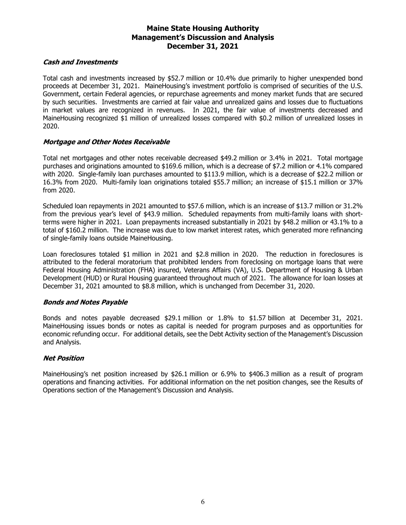### **Cash and Investments**

Total cash and investments increased by \$52.7 million or 10.4% due primarily to higher unexpended bond proceeds at December 31, 2021. MaineHousing's investment portfolio is comprised of securities of the U.S. Government, certain Federal agencies, or repurchase agreements and money market funds that are secured by such securities. Investments are carried at fair value and unrealized gains and losses due to fluctuations in market values are recognized in revenues. In 2021, the fair value of investments decreased and MaineHousing recognized \$1 million of unrealized losses compared with \$0.2 million of unrealized losses in 2020.

### **Mortgage and Other Notes Receivable**

Total net mortgages and other notes receivable decreased \$49.2 million or 3.4% in 2021. Total mortgage purchases and originations amounted to \$169.6 million, which is a decrease of \$7.2 million or 4.1% compared with 2020. Single-family loan purchases amounted to \$113.9 million, which is a decrease of \$22.2 million or 16.3% from 2020. Multi-family loan originations totaled \$55.7 million; an increase of \$15.1 million or 37% from 2020.

Scheduled loan repayments in 2021 amounted to \$57.6 million, which is an increase of \$13.7 million or 31.2% from the previous year's level of \$43.9 million. Scheduled repayments from multi-family loans with shortterms were higher in 2021. Loan prepayments increased substantially in 2021 by \$48.2 million or 43.1% to a total of \$160.2 million. The increase was due to low market interest rates, which generated more refinancing of single-family loans outside MaineHousing.

Loan foreclosures totaled \$1 million in 2021 and \$2.8 million in 2020. The reduction in foreclosures is attributed to the federal moratorium that prohibited lenders from foreclosing on mortgage loans that were Federal Housing Administration (FHA) insured, Veterans Affairs (VA), U.S. Department of Housing & Urban Development (HUD) or Rural Housing guaranteed throughout much of 2021. The allowance for loan losses at December 31, 2021 amounted to \$8.8 million, which is unchanged from December 31, 2020.

### **Bonds and Notes Payable**

Bonds and notes payable decreased \$29.1 million or 1.8% to \$1.57 billion at December 31, 2021. MaineHousing issues bonds or notes as capital is needed for program purposes and as opportunities for economic refunding occur. For additional details, see the Debt Activity section of the Management's Discussion and Analysis.

### **Net Position**

MaineHousing's net position increased by \$26.1 million or 6.9% to \$406.3 million as a result of program operations and financing activities. For additional information on the net position changes, see the Results of Operations section of the Management's Discussion and Analysis.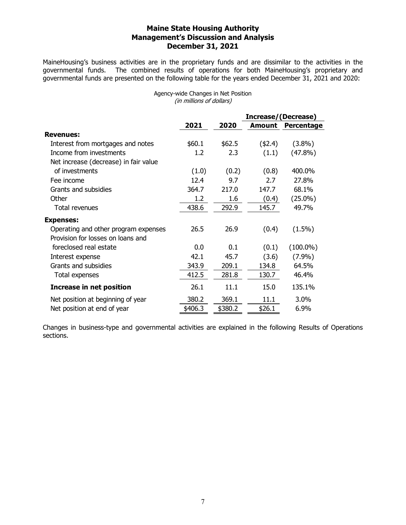MaineHousing's business activities are in the proprietary funds and are dissimilar to the activities in the governmental funds. The combined results of operations for both MaineHousing's proprietary and governmental funds are presented on the following table for the years ended December 31, 2021 and 2020:

#### Agency-wide Changes in Net Position (in millions of dollars)

|                                       |         |         |         | Increase/(Decrease) |
|---------------------------------------|---------|---------|---------|---------------------|
|                                       | 2021    | 2020    | Amount  | Percentage          |
| <b>Revenues:</b>                      |         |         |         |                     |
| Interest from mortgages and notes     | \$60.1  | \$62.5  | (\$2.4) | $(3.8\%)$           |
| Income from investments               | 1.2     | 2.3     | (1.1)   | (47.8%)             |
| Net increase (decrease) in fair value |         |         |         |                     |
| of investments                        | (1.0)   | (0.2)   | (0.8)   | 400.0%              |
| Fee income                            | 12.4    | 9.7     | 2.7     | 27.8%               |
| Grants and subsidies                  | 364.7   | 217.0   | 147.7   | 68.1%               |
| Other                                 | 1.2     | 1.6     | (0.4)   | $(25.0\%)$          |
| Total revenues                        | 438.6   | 292.9   | 145.7   | 49.7%               |
| <b>Expenses:</b>                      |         |         |         |                     |
| Operating and other program expenses  | 26.5    | 26.9    | (0.4)   | $(1.5\%)$           |
| Provision for losses on loans and     |         |         |         |                     |
| foreclosed real estate                | 0.0     | 0.1     | (0.1)   | $(100.0\%)$         |
| Interest expense                      | 42.1    | 45.7    | (3.6)   | $(7.9\%)$           |
| Grants and subsidies                  | 343.9   | 209.1   | 134.8   | 64.5%               |
| Total expenses                        | 412.5   | 281.8   | 130.7   | 46.4%               |
| Increase in net position              | 26.1    | 11.1    | 15.0    | 135.1%              |
| Net position at beginning of year     | 380.2   | 369.1   | 11.1    | 3.0%                |
| Net position at end of year           | \$406.3 | \$380.2 | \$26.1  | 6.9%                |

Changes in business-type and governmental activities are explained in the following Results of Operations sections.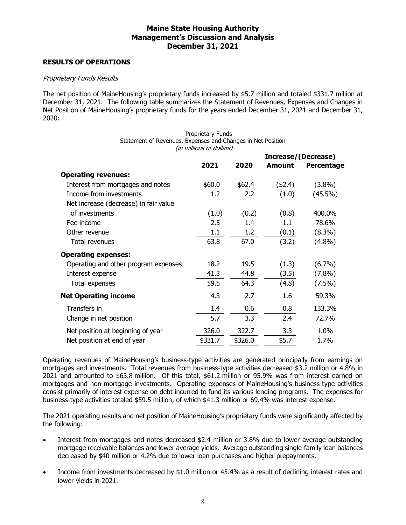#### **RESULTS OF OPERATIONS**

#### Proprietary Funds Results

The net position of MaineHousing's proprietary funds increased by \$5.7 million and totaled \$331.7 million at December 31, 2021. The following table summarizes the Statement of Revenues, Expenses and Changes in Net Position of MaineHousing's proprietary funds for the years ended December 31, 2021 and December 31, 2020:

| <b>Proprietary Funds</b>                                    |
|-------------------------------------------------------------|
| Statement of Revenues, Expenses and Changes in Net Position |
| (in millions of dollars)                                    |

|                                       |         |         |         | Increase/(Decrease) |  |  |
|---------------------------------------|---------|---------|---------|---------------------|--|--|
|                                       | 2021    | 2020    | Amount  | Percentage          |  |  |
| <b>Operating revenues:</b>            |         |         |         |                     |  |  |
| Interest from mortgages and notes     | \$60.0  | \$62.4  | (\$2.4) | $(3.8\%)$           |  |  |
| Income from investments               | 1.2     | 2.2     | (1.0)   | $(45.5\%)$          |  |  |
| Net increase (decrease) in fair value |         |         |         |                     |  |  |
| of investments                        | (1.0)   | (0.2)   | (0.8)   | 400.0%              |  |  |
| Fee income                            | 2.5     | 1.4     | 1.1     | 78.6%               |  |  |
| Other revenue                         | 1.1     | 1.2     | (0.1)   | $(8.3\%)$           |  |  |
| Total revenues                        | 63.8    | 67.0    | (3.2)   | $(4.8\%)$           |  |  |
| <b>Operating expenses:</b>            |         |         |         |                     |  |  |
| Operating and other program expenses  | 18.2    | 19.5    | (1.3)   | $(6.7\%)$           |  |  |
| Interest expense                      | 41.3    | 44.8    | (3.5)   | $(7.8\%)$           |  |  |
| Total expenses                        | 59.5    | 64.3    | (4.8)   | $(7.5\%)$           |  |  |
| <b>Net Operating income</b>           | 4.3     | 2.7     | 1.6     | 59.3%               |  |  |
| Transfers in                          | 1.4     | 0.6     | 0.8     | 133.3%              |  |  |
| Change in net position                | 5.7     | 3.3     | 2.4     | 72.7%               |  |  |
| Net position at beginning of year     | 326.0   | 322.7   | 3.3     | 1.0%                |  |  |
| Net position at end of year           | \$331.7 | \$326.0 | \$5.7   | 1.7%                |  |  |

Operating revenues of MaineHousing's business-type activities are generated principally from earnings on mortgages and investments. Total revenues from business-type activities decreased \$3.2 million or 4.8% in 2021 and amounted to \$63.8 million. Of this total, \$61.2 million or 95.9% was from interest earned on mortgages and non-mortgage investments. Operating expenses of MaineHousing's business-type activities consist primarily of interest expense on debt incurred to fund its various lending programs. The expenses for business-type activities totaled \$59.5 million, of which \$41.3 million or 69.4% was interest expense.

The 2021 operating results and net position of MaineHousing's proprietary funds were significantly affected by the following:

- Interest from mortgages and notes decreased \$2.4 million or 3.8% due to lower average outstanding mortgage receivable balances and lower average yields. Average outstanding single-family loan balances decreased by \$40 million or 4.2% due to lower loan purchases and higher prepayments.
- Income from investments decreased by \$1.0 million or 45.4% as a result of declining interest rates and lower yields in 2021.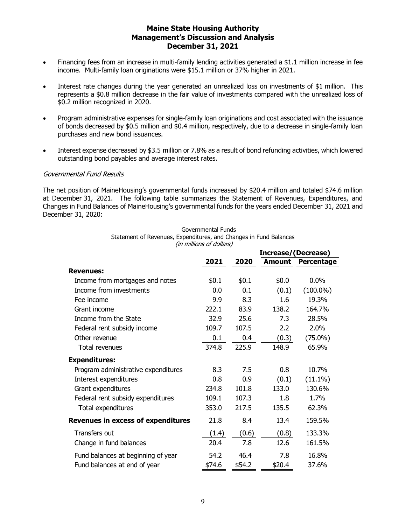- Financing fees from an increase in multi-family lending activities generated a \$1.1 million increase in fee income. Multi-family loan originations were \$15.1 million or 37% higher in 2021.
- Interest rate changes during the year generated an unrealized loss on investments of \$1 million. This represents a \$0.8 million decrease in the fair value of investments compared with the unrealized loss of \$0.2 million recognized in 2020.
- Program administrative expenses for single-family loan originations and cost associated with the issuance of bonds decreased by \$0.5 million and \$0.4 million, respectively, due to a decrease in single-family loan purchases and new bond issuances.
- Interest expense decreased by \$3.5 million or 7.8% as a result of bond refunding activities, which lowered outstanding bond payables and average interest rates.

#### Governmental Fund Results

The net position of MaineHousing's governmental funds increased by \$20.4 million and totaled \$74.6 million at December 31, 2021. The following table summarizes the Statement of Revenues, Expenditures, and Changes in Fund Balances of MaineHousing's governmental funds for the years ended December 31, 2021 and December 31, 2020:

|                                           |        |        | Increase/(Decrease) |             |
|-------------------------------------------|--------|--------|---------------------|-------------|
|                                           | 2021   | 2020   | Amount              | Percentage  |
| <b>Revenues:</b>                          |        |        |                     |             |
| Income from mortgages and notes           | \$0.1  | \$0.1  | \$0.0               | $0.0\%$     |
| Income from investments                   | 0.0    | 0.1    | (0.1)               | $(100.0\%)$ |
| Fee income                                | 9.9    | 8.3    | 1.6                 | 19.3%       |
| Grant income                              | 222.1  | 83.9   | 138.2               | 164.7%      |
| Income from the State                     | 32.9   | 25.6   | 7.3                 | 28.5%       |
| Federal rent subsidy income               | 109.7  | 107.5  | 2.2                 | 2.0%        |
| Other revenue                             | 0.1    | 0.4    | (0.3)               | $(75.0\%)$  |
| Total revenues                            | 374.8  | 225.9  | 148.9               | 65.9%       |
| <b>Expenditures:</b>                      |        |        |                     |             |
| Program administrative expenditures       | 8.3    | 7.5    | 0.8                 | 10.7%       |
| Interest expenditures                     | 0.8    | 0.9    | (0.1)               | $(11.1\%)$  |
| Grant expenditures                        | 234.8  | 101.8  | 133.0               | 130.6%      |
| Federal rent subsidy expenditures         | 109.1  | 107.3  | 1.8                 | 1.7%        |
| Total expenditures                        | 353.0  | 217.5  | 135.5               | 62.3%       |
| <b>Revenues in excess of expenditures</b> | 21.8   | 8.4    | 13.4                | 159.5%      |
| <b>Transfers out</b>                      | (1.4)  | (0.6)  | (0.8)               | 133.3%      |
| Change in fund balances                   | 20.4   | 7.8    | 12.6                | 161.5%      |
| Fund balances at beginning of year        | 54.2   | 46.4   | 7.8                 | 16.8%       |
| Fund balances at end of year              | \$74.6 | \$54.2 | \$20.4              | 37.6%       |

#### Governmental Funds Statement of Revenues, Expenditures, and Changes in Fund Balances (in millions of dollars)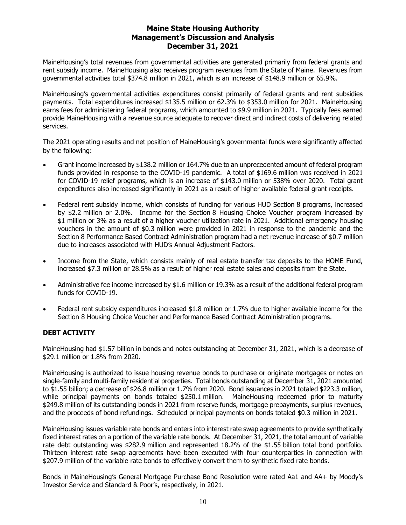MaineHousing's total revenues from governmental activities are generated primarily from federal grants and rent subsidy income. MaineHousing also receives program revenues from the State of Maine. Revenues from governmental activities total \$374.8 million in 2021, which is an increase of \$148.9 million or 65.9%.

MaineHousing's governmental activities expenditures consist primarily of federal grants and rent subsidies payments. Total expenditures increased \$135.5 million or 62.3% to \$353.0 million for 2021. MaineHousing earns fees for administering federal programs, which amounted to \$9.9 million in 2021. Typically fees earned provide MaineHousing with a revenue source adequate to recover direct and indirect costs of delivering related services.

The 2021 operating results and net position of MaineHousing's governmental funds were significantly affected by the following:

- Grant income increased by \$138.2 million or 164.7% due to an unprecedented amount of federal program funds provided in response to the COVID-19 pandemic. A total of \$169.6 million was received in 2021 for COVID-19 relief programs, which is an increase of \$143.0 million or 538% over 2020. Total grant expenditures also increased significantly in 2021 as a result of higher available federal grant receipts.
- Federal rent subsidy income, which consists of funding for various HUD Section 8 programs, increased by \$2.2 million or 2.0%. Income for the Section 8 Housing Choice Voucher program increased by \$1 million or 3% as a result of a higher voucher utilization rate in 2021. Additional emergency housing vouchers in the amount of \$0.3 million were provided in 2021 in response to the pandemic and the Section 8 Performance Based Contract Administration program had a net revenue increase of \$0.7 million due to increases associated with HUD's Annual Adjustment Factors.
- Income from the State, which consists mainly of real estate transfer tax deposits to the HOME Fund, increased \$7.3 million or 28.5% as a result of higher real estate sales and deposits from the State.
- Administrative fee income increased by \$1.6 million or 19.3% as a result of the additional federal program funds for COVID-19.
- Federal rent subsidy expenditures increased \$1.8 million or 1.7% due to higher available income for the Section 8 Housing Choice Voucher and Performance Based Contract Administration programs.

### **DEBT ACTIVITY**

MaineHousing had \$1.57 billion in bonds and notes outstanding at December 31, 2021, which is a decrease of \$29.1 million or 1.8% from 2020.

MaineHousing is authorized to issue housing revenue bonds to purchase or originate mortgages or notes on single-family and multi-family residential properties. Total bonds outstanding at December 31, 2021 amounted to \$1.55 billion; a decrease of \$26.8 million or 1.7% from 2020. Bond issuances in 2021 totaled \$223.3 million, while principal payments on bonds totaled \$250.1 million. MaineHousing redeemed prior to maturity \$249.8 million of its outstanding bonds in 2021 from reserve funds, mortgage prepayments, surplus revenues, and the proceeds of bond refundings. Scheduled principal payments on bonds totaled \$0.3 million in 2021.

MaineHousing issues variable rate bonds and enters into interest rate swap agreements to provide synthetically fixed interest rates on a portion of the variable rate bonds. At December 31, 2021, the total amount of variable rate debt outstanding was \$282.9 million and represented 18.2% of the \$1.55 billion total bond portfolio. Thirteen interest rate swap agreements have been executed with four counterparties in connection with \$207.9 million of the variable rate bonds to effectively convert them to synthetic fixed rate bonds.

Bonds in MaineHousing's General Mortgage Purchase Bond Resolution were rated Aa1 and AA+ by Moody's Investor Service and Standard & Poor's, respectively, in 2021.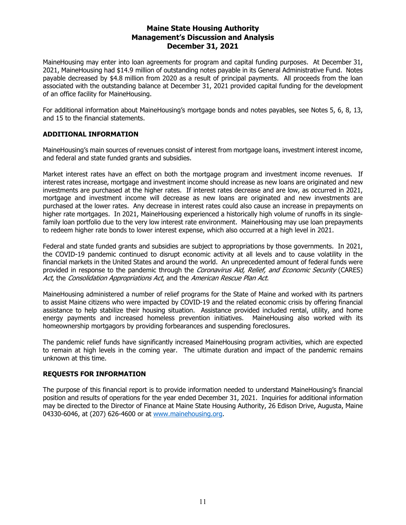MaineHousing may enter into loan agreements for program and capital funding purposes. At December 31, 2021, MaineHousing had \$14.9 million of outstanding notes payable in its General Administrative Fund. Notes payable decreased by \$4.8 million from 2020 as a result of principal payments. All proceeds from the loan associated with the outstanding balance at December 31, 2021 provided capital funding for the development of an office facility for MaineHousing.

For additional information about MaineHousing's mortgage bonds and notes payables, see Notes 5, 6, 8, 13, and 15 to the financial statements.

### **ADDITIONAL INFORMATION**

MaineHousing's main sources of revenues consist of interest from mortgage loans, investment interest income, and federal and state funded grants and subsidies.

Market interest rates have an effect on both the mortgage program and investment income revenues. If interest rates increase, mortgage and investment income should increase as new loans are originated and new investments are purchased at the higher rates. If interest rates decrease and are low, as occurred in 2021, mortgage and investment income will decrease as new loans are originated and new investments are purchased at the lower rates. Any decrease in interest rates could also cause an increase in prepayments on higher rate mortgages. In 2021, MaineHousing experienced a historically high volume of runoffs in its singlefamily loan portfolio due to the very low interest rate environment. MaineHousing may use loan prepayments to redeem higher rate bonds to lower interest expense, which also occurred at a high level in 2021.

Federal and state funded grants and subsidies are subject to appropriations by those governments. In 2021, the COVID-19 pandemic continued to disrupt economic activity at all levels and to cause volatility in the financial markets in the United States and around the world. An unprecedented amount of federal funds were provided in response to the pandemic through the Coronavirus Aid, Relief, and Economic Security (CARES) Act, the Consolidation Appropriations Act, and the American Rescue Plan Act.

MaineHousing administered a number of relief programs for the State of Maine and worked with its partners to assist Maine citizens who were impacted by COVID-19 and the related economic crisis by offering financial assistance to help stabilize their housing situation. Assistance provided included rental, utility, and home energy payments and increased homeless prevention initiatives. MaineHousing also worked with its homeownership mortgagors by providing forbearances and suspending foreclosures.

The pandemic relief funds have significantly increased MaineHousing program activities, which are expected to remain at high levels in the coming year. The ultimate duration and impact of the pandemic remains unknown at this time.

### **REQUESTS FOR INFORMATION**

The purpose of this financial report is to provide information needed to understand MaineHousing's financial position and results of operations for the year ended December 31, 2021. Inquiries for additional information may be directed to the Director of Finance at Maine State Housing Authority, 26 Edison Drive, Augusta, Maine 04330-6046, at (207) 626-4600 or at www.mainehousing.org.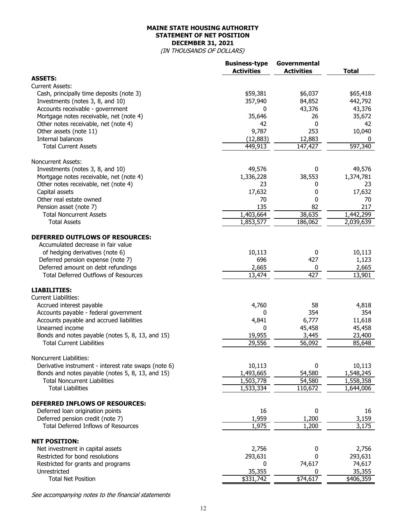### **MAINE STATE HOUSING AUTHORITY STATEMENT OF NET POSITION DECEMBER 31, 2021**

(IN THOUSANDS OF DOLLARS)

| <b>ASSETS:</b><br><b>Current Assets:</b><br>\$59,381<br>\$6,037<br>Cash, principally time deposits (note 3)<br>\$65,418<br>Investments (notes 3, 8, and 10)<br>84,852<br>442,792<br>357,940<br>Accounts receivable - government<br>43,376<br>0<br>43,376<br>35,646<br>26<br>35,672<br>Mortgage notes receivable, net (note 4)<br>Other notes receivable, net (note 4)<br>42<br>0<br>42<br>9,787<br>253<br>10,040<br>Other assets (note 11)<br>Internal balances<br>(12, 883)<br>12,883<br>0<br>597,340<br>449,913<br><b>Total Current Assets</b><br>147,427<br><b>Noncurrent Assets:</b><br>49,576<br>Investments (notes 3, 8, and 10)<br>49,576<br>0<br>Mortgage notes receivable, net (note 4)<br>1,336,228<br>38,553<br>1,374,781<br>Other notes receivable, net (note 4)<br>23<br>23<br>0<br>17,632<br>17,632<br>Capital assets<br>0<br>Other real estate owned<br>70<br>0<br>70<br>135<br>82<br>217<br>Pension asset (note 7)<br>38,635<br>1,442,299<br>1,403,664<br><b>Total Noncurrent Assets</b><br><b>Total Assets</b><br>1,853,577<br>186,062<br>2,039,639<br>DEFERRED OUTFLOWS OF RESOURCES:<br>Accumulated decrease in fair value<br>of hedging derivatives (note 6)<br>10,113<br>0<br>10,113<br>Deferred pension expense (note 7)<br>696<br>427<br>1,123<br>Deferred amount on debt refundings<br>2,665<br>2,665<br>0<br>427<br>13,901<br><b>Total Deferred Outflows of Resources</b><br>13,474<br><b>LIABILITIES:</b><br><b>Current Liabilities:</b><br>Accrued interest payable<br>4,760<br>58<br>4,818<br>Accounts payable - federal government<br>354<br>354<br>0<br>Accounts payable and accrued liabilities<br>4,841<br>6,777<br>11,618<br>Unearned income<br>0<br>45,458<br>45,458<br>Bonds and notes payable (notes 5, 8, 13, and 15)<br>19,955<br>3,445<br>23,400<br>$\frac{1}{56,092}$<br><b>Total Current Liabilities</b><br>29,556<br>85,648<br>Noncurrent Liabilities:<br>10,113<br>10,113<br>Derivative instrument - interest rate swaps (note 6)<br>0<br>Bonds and notes payable (notes 5, 8, 13, and 15)<br>1,493,665<br>54,580<br>1,548,245<br><b>Total Noncurrent Liabilities</b><br>1,503,778<br>54,580<br>1,558,358<br><b>Total Liabilities</b><br>1,533,334<br>110,672<br>1,644,006<br>DEFERRED INFLOWS OF RESOURCES:<br>16<br>Deferred loan origination points<br>0<br>16<br>Deferred pension credit (note 7)<br>1,959<br>1,200<br>3,159<br><b>Total Deferred Inflows of Resources</b><br>1,975<br>3,175<br>1,200<br><b>NET POSITION:</b><br>Net investment in capital assets<br>2,756<br>2,756<br>0<br>Restricted for bond resolutions<br>293,631<br>293,631<br>0<br>Restricted for grants and programs<br>74,617<br>74,617<br>0<br>35,355<br>Unrestricted<br>35,355<br>0<br><b>Total Net Position</b><br>\$74,617<br>\$331,742<br>\$406,359 | <b>Business-type</b><br><b>Activities</b> | Governmental<br><b>Activities</b> | <b>Total</b> |
|----------------------------------------------------------------------------------------------------------------------------------------------------------------------------------------------------------------------------------------------------------------------------------------------------------------------------------------------------------------------------------------------------------------------------------------------------------------------------------------------------------------------------------------------------------------------------------------------------------------------------------------------------------------------------------------------------------------------------------------------------------------------------------------------------------------------------------------------------------------------------------------------------------------------------------------------------------------------------------------------------------------------------------------------------------------------------------------------------------------------------------------------------------------------------------------------------------------------------------------------------------------------------------------------------------------------------------------------------------------------------------------------------------------------------------------------------------------------------------------------------------------------------------------------------------------------------------------------------------------------------------------------------------------------------------------------------------------------------------------------------------------------------------------------------------------------------------------------------------------------------------------------------------------------------------------------------------------------------------------------------------------------------------------------------------------------------------------------------------------------------------------------------------------------------------------------------------------------------------------------------------------------------------------------------------------------------------------------------------------------------------------------------------------------------------------------------------------------------------------------------------------------------------------------------------------------------------------------------------------------------------------------------------------------------------------------------------------------------------------------------------------------------------|-------------------------------------------|-----------------------------------|--------------|
|                                                                                                                                                                                                                                                                                                                                                                                                                                                                                                                                                                                                                                                                                                                                                                                                                                                                                                                                                                                                                                                                                                                                                                                                                                                                                                                                                                                                                                                                                                                                                                                                                                                                                                                                                                                                                                                                                                                                                                                                                                                                                                                                                                                                                                                                                                                                                                                                                                                                                                                                                                                                                                                                                                                                                                                  |                                           |                                   |              |
|                                                                                                                                                                                                                                                                                                                                                                                                                                                                                                                                                                                                                                                                                                                                                                                                                                                                                                                                                                                                                                                                                                                                                                                                                                                                                                                                                                                                                                                                                                                                                                                                                                                                                                                                                                                                                                                                                                                                                                                                                                                                                                                                                                                                                                                                                                                                                                                                                                                                                                                                                                                                                                                                                                                                                                                  |                                           |                                   |              |
|                                                                                                                                                                                                                                                                                                                                                                                                                                                                                                                                                                                                                                                                                                                                                                                                                                                                                                                                                                                                                                                                                                                                                                                                                                                                                                                                                                                                                                                                                                                                                                                                                                                                                                                                                                                                                                                                                                                                                                                                                                                                                                                                                                                                                                                                                                                                                                                                                                                                                                                                                                                                                                                                                                                                                                                  |                                           |                                   |              |
|                                                                                                                                                                                                                                                                                                                                                                                                                                                                                                                                                                                                                                                                                                                                                                                                                                                                                                                                                                                                                                                                                                                                                                                                                                                                                                                                                                                                                                                                                                                                                                                                                                                                                                                                                                                                                                                                                                                                                                                                                                                                                                                                                                                                                                                                                                                                                                                                                                                                                                                                                                                                                                                                                                                                                                                  |                                           |                                   |              |
|                                                                                                                                                                                                                                                                                                                                                                                                                                                                                                                                                                                                                                                                                                                                                                                                                                                                                                                                                                                                                                                                                                                                                                                                                                                                                                                                                                                                                                                                                                                                                                                                                                                                                                                                                                                                                                                                                                                                                                                                                                                                                                                                                                                                                                                                                                                                                                                                                                                                                                                                                                                                                                                                                                                                                                                  |                                           |                                   |              |
|                                                                                                                                                                                                                                                                                                                                                                                                                                                                                                                                                                                                                                                                                                                                                                                                                                                                                                                                                                                                                                                                                                                                                                                                                                                                                                                                                                                                                                                                                                                                                                                                                                                                                                                                                                                                                                                                                                                                                                                                                                                                                                                                                                                                                                                                                                                                                                                                                                                                                                                                                                                                                                                                                                                                                                                  |                                           |                                   |              |
|                                                                                                                                                                                                                                                                                                                                                                                                                                                                                                                                                                                                                                                                                                                                                                                                                                                                                                                                                                                                                                                                                                                                                                                                                                                                                                                                                                                                                                                                                                                                                                                                                                                                                                                                                                                                                                                                                                                                                                                                                                                                                                                                                                                                                                                                                                                                                                                                                                                                                                                                                                                                                                                                                                                                                                                  |                                           |                                   |              |
|                                                                                                                                                                                                                                                                                                                                                                                                                                                                                                                                                                                                                                                                                                                                                                                                                                                                                                                                                                                                                                                                                                                                                                                                                                                                                                                                                                                                                                                                                                                                                                                                                                                                                                                                                                                                                                                                                                                                                                                                                                                                                                                                                                                                                                                                                                                                                                                                                                                                                                                                                                                                                                                                                                                                                                                  |                                           |                                   |              |
|                                                                                                                                                                                                                                                                                                                                                                                                                                                                                                                                                                                                                                                                                                                                                                                                                                                                                                                                                                                                                                                                                                                                                                                                                                                                                                                                                                                                                                                                                                                                                                                                                                                                                                                                                                                                                                                                                                                                                                                                                                                                                                                                                                                                                                                                                                                                                                                                                                                                                                                                                                                                                                                                                                                                                                                  |                                           |                                   |              |
|                                                                                                                                                                                                                                                                                                                                                                                                                                                                                                                                                                                                                                                                                                                                                                                                                                                                                                                                                                                                                                                                                                                                                                                                                                                                                                                                                                                                                                                                                                                                                                                                                                                                                                                                                                                                                                                                                                                                                                                                                                                                                                                                                                                                                                                                                                                                                                                                                                                                                                                                                                                                                                                                                                                                                                                  |                                           |                                   |              |
|                                                                                                                                                                                                                                                                                                                                                                                                                                                                                                                                                                                                                                                                                                                                                                                                                                                                                                                                                                                                                                                                                                                                                                                                                                                                                                                                                                                                                                                                                                                                                                                                                                                                                                                                                                                                                                                                                                                                                                                                                                                                                                                                                                                                                                                                                                                                                                                                                                                                                                                                                                                                                                                                                                                                                                                  |                                           |                                   |              |
|                                                                                                                                                                                                                                                                                                                                                                                                                                                                                                                                                                                                                                                                                                                                                                                                                                                                                                                                                                                                                                                                                                                                                                                                                                                                                                                                                                                                                                                                                                                                                                                                                                                                                                                                                                                                                                                                                                                                                                                                                                                                                                                                                                                                                                                                                                                                                                                                                                                                                                                                                                                                                                                                                                                                                                                  |                                           |                                   |              |
|                                                                                                                                                                                                                                                                                                                                                                                                                                                                                                                                                                                                                                                                                                                                                                                                                                                                                                                                                                                                                                                                                                                                                                                                                                                                                                                                                                                                                                                                                                                                                                                                                                                                                                                                                                                                                                                                                                                                                                                                                                                                                                                                                                                                                                                                                                                                                                                                                                                                                                                                                                                                                                                                                                                                                                                  |                                           |                                   |              |
|                                                                                                                                                                                                                                                                                                                                                                                                                                                                                                                                                                                                                                                                                                                                                                                                                                                                                                                                                                                                                                                                                                                                                                                                                                                                                                                                                                                                                                                                                                                                                                                                                                                                                                                                                                                                                                                                                                                                                                                                                                                                                                                                                                                                                                                                                                                                                                                                                                                                                                                                                                                                                                                                                                                                                                                  |                                           |                                   |              |
|                                                                                                                                                                                                                                                                                                                                                                                                                                                                                                                                                                                                                                                                                                                                                                                                                                                                                                                                                                                                                                                                                                                                                                                                                                                                                                                                                                                                                                                                                                                                                                                                                                                                                                                                                                                                                                                                                                                                                                                                                                                                                                                                                                                                                                                                                                                                                                                                                                                                                                                                                                                                                                                                                                                                                                                  |                                           |                                   |              |
|                                                                                                                                                                                                                                                                                                                                                                                                                                                                                                                                                                                                                                                                                                                                                                                                                                                                                                                                                                                                                                                                                                                                                                                                                                                                                                                                                                                                                                                                                                                                                                                                                                                                                                                                                                                                                                                                                                                                                                                                                                                                                                                                                                                                                                                                                                                                                                                                                                                                                                                                                                                                                                                                                                                                                                                  |                                           |                                   |              |
|                                                                                                                                                                                                                                                                                                                                                                                                                                                                                                                                                                                                                                                                                                                                                                                                                                                                                                                                                                                                                                                                                                                                                                                                                                                                                                                                                                                                                                                                                                                                                                                                                                                                                                                                                                                                                                                                                                                                                                                                                                                                                                                                                                                                                                                                                                                                                                                                                                                                                                                                                                                                                                                                                                                                                                                  |                                           |                                   |              |
|                                                                                                                                                                                                                                                                                                                                                                                                                                                                                                                                                                                                                                                                                                                                                                                                                                                                                                                                                                                                                                                                                                                                                                                                                                                                                                                                                                                                                                                                                                                                                                                                                                                                                                                                                                                                                                                                                                                                                                                                                                                                                                                                                                                                                                                                                                                                                                                                                                                                                                                                                                                                                                                                                                                                                                                  |                                           |                                   |              |
|                                                                                                                                                                                                                                                                                                                                                                                                                                                                                                                                                                                                                                                                                                                                                                                                                                                                                                                                                                                                                                                                                                                                                                                                                                                                                                                                                                                                                                                                                                                                                                                                                                                                                                                                                                                                                                                                                                                                                                                                                                                                                                                                                                                                                                                                                                                                                                                                                                                                                                                                                                                                                                                                                                                                                                                  |                                           |                                   |              |
|                                                                                                                                                                                                                                                                                                                                                                                                                                                                                                                                                                                                                                                                                                                                                                                                                                                                                                                                                                                                                                                                                                                                                                                                                                                                                                                                                                                                                                                                                                                                                                                                                                                                                                                                                                                                                                                                                                                                                                                                                                                                                                                                                                                                                                                                                                                                                                                                                                                                                                                                                                                                                                                                                                                                                                                  |                                           |                                   |              |
|                                                                                                                                                                                                                                                                                                                                                                                                                                                                                                                                                                                                                                                                                                                                                                                                                                                                                                                                                                                                                                                                                                                                                                                                                                                                                                                                                                                                                                                                                                                                                                                                                                                                                                                                                                                                                                                                                                                                                                                                                                                                                                                                                                                                                                                                                                                                                                                                                                                                                                                                                                                                                                                                                                                                                                                  |                                           |                                   |              |
|                                                                                                                                                                                                                                                                                                                                                                                                                                                                                                                                                                                                                                                                                                                                                                                                                                                                                                                                                                                                                                                                                                                                                                                                                                                                                                                                                                                                                                                                                                                                                                                                                                                                                                                                                                                                                                                                                                                                                                                                                                                                                                                                                                                                                                                                                                                                                                                                                                                                                                                                                                                                                                                                                                                                                                                  |                                           |                                   |              |
|                                                                                                                                                                                                                                                                                                                                                                                                                                                                                                                                                                                                                                                                                                                                                                                                                                                                                                                                                                                                                                                                                                                                                                                                                                                                                                                                                                                                                                                                                                                                                                                                                                                                                                                                                                                                                                                                                                                                                                                                                                                                                                                                                                                                                                                                                                                                                                                                                                                                                                                                                                                                                                                                                                                                                                                  |                                           |                                   |              |
|                                                                                                                                                                                                                                                                                                                                                                                                                                                                                                                                                                                                                                                                                                                                                                                                                                                                                                                                                                                                                                                                                                                                                                                                                                                                                                                                                                                                                                                                                                                                                                                                                                                                                                                                                                                                                                                                                                                                                                                                                                                                                                                                                                                                                                                                                                                                                                                                                                                                                                                                                                                                                                                                                                                                                                                  |                                           |                                   |              |
|                                                                                                                                                                                                                                                                                                                                                                                                                                                                                                                                                                                                                                                                                                                                                                                                                                                                                                                                                                                                                                                                                                                                                                                                                                                                                                                                                                                                                                                                                                                                                                                                                                                                                                                                                                                                                                                                                                                                                                                                                                                                                                                                                                                                                                                                                                                                                                                                                                                                                                                                                                                                                                                                                                                                                                                  |                                           |                                   |              |
|                                                                                                                                                                                                                                                                                                                                                                                                                                                                                                                                                                                                                                                                                                                                                                                                                                                                                                                                                                                                                                                                                                                                                                                                                                                                                                                                                                                                                                                                                                                                                                                                                                                                                                                                                                                                                                                                                                                                                                                                                                                                                                                                                                                                                                                                                                                                                                                                                                                                                                                                                                                                                                                                                                                                                                                  |                                           |                                   |              |
|                                                                                                                                                                                                                                                                                                                                                                                                                                                                                                                                                                                                                                                                                                                                                                                                                                                                                                                                                                                                                                                                                                                                                                                                                                                                                                                                                                                                                                                                                                                                                                                                                                                                                                                                                                                                                                                                                                                                                                                                                                                                                                                                                                                                                                                                                                                                                                                                                                                                                                                                                                                                                                                                                                                                                                                  |                                           |                                   |              |
|                                                                                                                                                                                                                                                                                                                                                                                                                                                                                                                                                                                                                                                                                                                                                                                                                                                                                                                                                                                                                                                                                                                                                                                                                                                                                                                                                                                                                                                                                                                                                                                                                                                                                                                                                                                                                                                                                                                                                                                                                                                                                                                                                                                                                                                                                                                                                                                                                                                                                                                                                                                                                                                                                                                                                                                  |                                           |                                   |              |
|                                                                                                                                                                                                                                                                                                                                                                                                                                                                                                                                                                                                                                                                                                                                                                                                                                                                                                                                                                                                                                                                                                                                                                                                                                                                                                                                                                                                                                                                                                                                                                                                                                                                                                                                                                                                                                                                                                                                                                                                                                                                                                                                                                                                                                                                                                                                                                                                                                                                                                                                                                                                                                                                                                                                                                                  |                                           |                                   |              |
|                                                                                                                                                                                                                                                                                                                                                                                                                                                                                                                                                                                                                                                                                                                                                                                                                                                                                                                                                                                                                                                                                                                                                                                                                                                                                                                                                                                                                                                                                                                                                                                                                                                                                                                                                                                                                                                                                                                                                                                                                                                                                                                                                                                                                                                                                                                                                                                                                                                                                                                                                                                                                                                                                                                                                                                  |                                           |                                   |              |
|                                                                                                                                                                                                                                                                                                                                                                                                                                                                                                                                                                                                                                                                                                                                                                                                                                                                                                                                                                                                                                                                                                                                                                                                                                                                                                                                                                                                                                                                                                                                                                                                                                                                                                                                                                                                                                                                                                                                                                                                                                                                                                                                                                                                                                                                                                                                                                                                                                                                                                                                                                                                                                                                                                                                                                                  |                                           |                                   |              |
|                                                                                                                                                                                                                                                                                                                                                                                                                                                                                                                                                                                                                                                                                                                                                                                                                                                                                                                                                                                                                                                                                                                                                                                                                                                                                                                                                                                                                                                                                                                                                                                                                                                                                                                                                                                                                                                                                                                                                                                                                                                                                                                                                                                                                                                                                                                                                                                                                                                                                                                                                                                                                                                                                                                                                                                  |                                           |                                   |              |
|                                                                                                                                                                                                                                                                                                                                                                                                                                                                                                                                                                                                                                                                                                                                                                                                                                                                                                                                                                                                                                                                                                                                                                                                                                                                                                                                                                                                                                                                                                                                                                                                                                                                                                                                                                                                                                                                                                                                                                                                                                                                                                                                                                                                                                                                                                                                                                                                                                                                                                                                                                                                                                                                                                                                                                                  |                                           |                                   |              |
|                                                                                                                                                                                                                                                                                                                                                                                                                                                                                                                                                                                                                                                                                                                                                                                                                                                                                                                                                                                                                                                                                                                                                                                                                                                                                                                                                                                                                                                                                                                                                                                                                                                                                                                                                                                                                                                                                                                                                                                                                                                                                                                                                                                                                                                                                                                                                                                                                                                                                                                                                                                                                                                                                                                                                                                  |                                           |                                   |              |
|                                                                                                                                                                                                                                                                                                                                                                                                                                                                                                                                                                                                                                                                                                                                                                                                                                                                                                                                                                                                                                                                                                                                                                                                                                                                                                                                                                                                                                                                                                                                                                                                                                                                                                                                                                                                                                                                                                                                                                                                                                                                                                                                                                                                                                                                                                                                                                                                                                                                                                                                                                                                                                                                                                                                                                                  |                                           |                                   |              |
|                                                                                                                                                                                                                                                                                                                                                                                                                                                                                                                                                                                                                                                                                                                                                                                                                                                                                                                                                                                                                                                                                                                                                                                                                                                                                                                                                                                                                                                                                                                                                                                                                                                                                                                                                                                                                                                                                                                                                                                                                                                                                                                                                                                                                                                                                                                                                                                                                                                                                                                                                                                                                                                                                                                                                                                  |                                           |                                   |              |
|                                                                                                                                                                                                                                                                                                                                                                                                                                                                                                                                                                                                                                                                                                                                                                                                                                                                                                                                                                                                                                                                                                                                                                                                                                                                                                                                                                                                                                                                                                                                                                                                                                                                                                                                                                                                                                                                                                                                                                                                                                                                                                                                                                                                                                                                                                                                                                                                                                                                                                                                                                                                                                                                                                                                                                                  |                                           |                                   |              |
|                                                                                                                                                                                                                                                                                                                                                                                                                                                                                                                                                                                                                                                                                                                                                                                                                                                                                                                                                                                                                                                                                                                                                                                                                                                                                                                                                                                                                                                                                                                                                                                                                                                                                                                                                                                                                                                                                                                                                                                                                                                                                                                                                                                                                                                                                                                                                                                                                                                                                                                                                                                                                                                                                                                                                                                  |                                           |                                   |              |
|                                                                                                                                                                                                                                                                                                                                                                                                                                                                                                                                                                                                                                                                                                                                                                                                                                                                                                                                                                                                                                                                                                                                                                                                                                                                                                                                                                                                                                                                                                                                                                                                                                                                                                                                                                                                                                                                                                                                                                                                                                                                                                                                                                                                                                                                                                                                                                                                                                                                                                                                                                                                                                                                                                                                                                                  |                                           |                                   |              |
|                                                                                                                                                                                                                                                                                                                                                                                                                                                                                                                                                                                                                                                                                                                                                                                                                                                                                                                                                                                                                                                                                                                                                                                                                                                                                                                                                                                                                                                                                                                                                                                                                                                                                                                                                                                                                                                                                                                                                                                                                                                                                                                                                                                                                                                                                                                                                                                                                                                                                                                                                                                                                                                                                                                                                                                  |                                           |                                   |              |
|                                                                                                                                                                                                                                                                                                                                                                                                                                                                                                                                                                                                                                                                                                                                                                                                                                                                                                                                                                                                                                                                                                                                                                                                                                                                                                                                                                                                                                                                                                                                                                                                                                                                                                                                                                                                                                                                                                                                                                                                                                                                                                                                                                                                                                                                                                                                                                                                                                                                                                                                                                                                                                                                                                                                                                                  |                                           |                                   |              |
|                                                                                                                                                                                                                                                                                                                                                                                                                                                                                                                                                                                                                                                                                                                                                                                                                                                                                                                                                                                                                                                                                                                                                                                                                                                                                                                                                                                                                                                                                                                                                                                                                                                                                                                                                                                                                                                                                                                                                                                                                                                                                                                                                                                                                                                                                                                                                                                                                                                                                                                                                                                                                                                                                                                                                                                  |                                           |                                   |              |
|                                                                                                                                                                                                                                                                                                                                                                                                                                                                                                                                                                                                                                                                                                                                                                                                                                                                                                                                                                                                                                                                                                                                                                                                                                                                                                                                                                                                                                                                                                                                                                                                                                                                                                                                                                                                                                                                                                                                                                                                                                                                                                                                                                                                                                                                                                                                                                                                                                                                                                                                                                                                                                                                                                                                                                                  |                                           |                                   |              |
|                                                                                                                                                                                                                                                                                                                                                                                                                                                                                                                                                                                                                                                                                                                                                                                                                                                                                                                                                                                                                                                                                                                                                                                                                                                                                                                                                                                                                                                                                                                                                                                                                                                                                                                                                                                                                                                                                                                                                                                                                                                                                                                                                                                                                                                                                                                                                                                                                                                                                                                                                                                                                                                                                                                                                                                  |                                           |                                   |              |
|                                                                                                                                                                                                                                                                                                                                                                                                                                                                                                                                                                                                                                                                                                                                                                                                                                                                                                                                                                                                                                                                                                                                                                                                                                                                                                                                                                                                                                                                                                                                                                                                                                                                                                                                                                                                                                                                                                                                                                                                                                                                                                                                                                                                                                                                                                                                                                                                                                                                                                                                                                                                                                                                                                                                                                                  |                                           |                                   |              |
|                                                                                                                                                                                                                                                                                                                                                                                                                                                                                                                                                                                                                                                                                                                                                                                                                                                                                                                                                                                                                                                                                                                                                                                                                                                                                                                                                                                                                                                                                                                                                                                                                                                                                                                                                                                                                                                                                                                                                                                                                                                                                                                                                                                                                                                                                                                                                                                                                                                                                                                                                                                                                                                                                                                                                                                  |                                           |                                   |              |
|                                                                                                                                                                                                                                                                                                                                                                                                                                                                                                                                                                                                                                                                                                                                                                                                                                                                                                                                                                                                                                                                                                                                                                                                                                                                                                                                                                                                                                                                                                                                                                                                                                                                                                                                                                                                                                                                                                                                                                                                                                                                                                                                                                                                                                                                                                                                                                                                                                                                                                                                                                                                                                                                                                                                                                                  |                                           |                                   |              |
|                                                                                                                                                                                                                                                                                                                                                                                                                                                                                                                                                                                                                                                                                                                                                                                                                                                                                                                                                                                                                                                                                                                                                                                                                                                                                                                                                                                                                                                                                                                                                                                                                                                                                                                                                                                                                                                                                                                                                                                                                                                                                                                                                                                                                                                                                                                                                                                                                                                                                                                                                                                                                                                                                                                                                                                  |                                           |                                   |              |
|                                                                                                                                                                                                                                                                                                                                                                                                                                                                                                                                                                                                                                                                                                                                                                                                                                                                                                                                                                                                                                                                                                                                                                                                                                                                                                                                                                                                                                                                                                                                                                                                                                                                                                                                                                                                                                                                                                                                                                                                                                                                                                                                                                                                                                                                                                                                                                                                                                                                                                                                                                                                                                                                                                                                                                                  |                                           |                                   |              |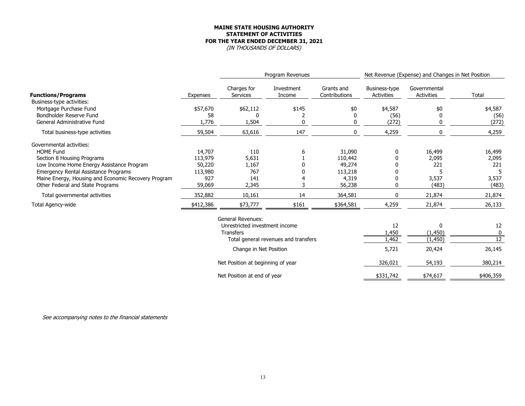### **MAINE STATE HOUSING AUTHORITY STATEMENT OF ACTIVITIES FOR THE YEAR ENDED DECEMBER 31, 2021**

(IN THOUSANDS OF DOLLARS)

|                                                     |                                      |                                | Program Revenues     |                             |                                    | Net Revenue (Expense) and Changes in Net Position |           |
|-----------------------------------------------------|--------------------------------------|--------------------------------|----------------------|-----------------------------|------------------------------------|---------------------------------------------------|-----------|
| <b>Functions/Programs</b>                           | Expenses                             | Charges for<br><b>Services</b> | Investment<br>Income | Grants and<br>Contributions | Business-type<br><b>Activities</b> | Governmental<br><b>Activities</b>                 | Total     |
| Business-type activities:                           |                                      |                                |                      |                             |                                    |                                                   |           |
| Mortgage Purchase Fund                              | \$57,670                             | \$62,112                       | \$145                | \$0                         | \$4,587                            | \$0                                               | \$4,587   |
| Bondholder Reserve Fund                             | 58                                   |                                | 2                    |                             | (56)                               | 0                                                 | (56)      |
| General Administrative Fund                         | 1,776                                | 1,504                          | 0                    |                             | (272)                              | 0                                                 | (272)     |
| Total business-type activities                      | 59,504                               | 63,616                         | 147                  | 0                           | 4,259                              | 0                                                 | 4,259     |
| Governmental activities:                            |                                      |                                |                      |                             |                                    |                                                   |           |
| <b>HOME Fund</b>                                    | 14,707                               | 110                            | 6                    | 31,090                      |                                    | 16,499                                            | 16,499    |
| Section 8 Housing Programs                          | 113,979                              | 5,631                          |                      | 110,442                     |                                    | 2,095                                             | 2,095     |
| Low Income Home Energy Assistance Program           | 50,220                               | 1,167                          |                      | 49,274                      |                                    | 221                                               | 221       |
| <b>Emergency Rental Assistance Programs</b>         | 113,980                              | 767                            |                      | 113,218                     |                                    | 5                                                 |           |
| Maine Energy, Housing and Economic Recovery Program | 927                                  | 141                            |                      | 4,319                       |                                    | 3,537                                             | 3,537     |
| Other Federal and State Programs                    | 59,069                               | 2,345                          | 3                    | 56,238                      | 0                                  | (483)                                             | (483)     |
| Total governmental activities                       | 352,882                              | 10,161                         | 14                   | 364,581                     | 0                                  | 21,874                                            | 21,874    |
| Total Agency-wide                                   | \$412,386                            | \$73,777                       | \$161                | \$364,581                   | 4,259                              | 21,874                                            | 26,133    |
|                                                     |                                      | <b>General Revenues:</b>       |                      |                             |                                    |                                                   |           |
|                                                     |                                      | Unrestricted investment income |                      |                             | 12                                 | 0                                                 | 12        |
|                                                     |                                      | <b>Transfers</b>               |                      |                             | 1,450                              | (1, 450)                                          | 0         |
|                                                     | Total general revenues and transfers |                                |                      | 1,462                       | (1, 450)                           | 12                                                |           |
|                                                     |                                      | Change in Net Position         |                      |                             | 5,721                              | 20,424                                            | 26,145    |
| Net Position at beginning of year                   |                                      |                                | 326,021              | 54,193                      | 380,214                            |                                                   |           |
|                                                     |                                      | Net Position at end of year    |                      |                             | \$331,742                          | \$74,617                                          | \$406,359 |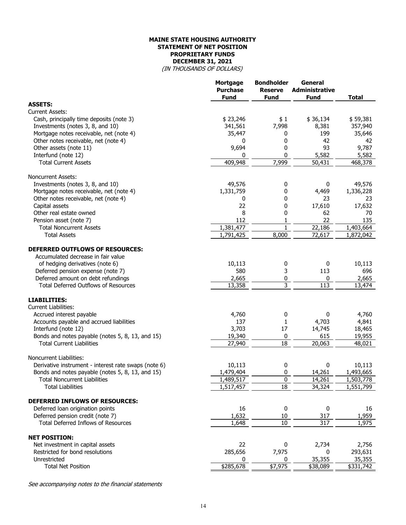#### **MAINE STATE HOUSING AUTHORITY STATEMENT OF NET POSITION PROPRIETARY FUNDS DECEMBER 31, 2021** (IN THOUSANDS OF DOLLARS)

|                                                                              | <b>Mortgage</b><br><b>Purchase</b><br><b>Fund</b> | <b>Bondholder</b><br><b>Reserve</b><br><b>Fund</b> | General<br><b>Administrative</b><br><b>Fund</b> | <b>Total</b> |
|------------------------------------------------------------------------------|---------------------------------------------------|----------------------------------------------------|-------------------------------------------------|--------------|
| <b>ASSETS:</b>                                                               |                                                   |                                                    |                                                 |              |
| <b>Current Assets:</b>                                                       |                                                   |                                                    |                                                 |              |
| Cash, principally time deposits (note 3)                                     | \$23,246                                          | \$1                                                | \$36,134                                        | \$59,381     |
| Investments (notes 3, 8, and 10)                                             | 341,561                                           | 7,998                                              | 8,381                                           | 357,940      |
| Mortgage notes receivable, net (note 4)                                      | 35,447                                            | 0                                                  | 199                                             | 35,646       |
| Other notes receivable, net (note 4)                                         | 0                                                 | 0                                                  | 42                                              | 42           |
| Other assets (note 11)                                                       | 9,694                                             | 0                                                  | 93                                              | 9,787        |
| Interfund (note 12)                                                          | 0                                                 | 0                                                  | 5,582                                           | 5,582        |
| <b>Total Current Assets</b>                                                  | 409,948                                           | 7,999                                              | 50,431                                          | 468,378      |
| <b>Noncurrent Assets:</b>                                                    |                                                   |                                                    |                                                 |              |
| Investments (notes 3, 8, and 10)                                             | 49,576                                            | 0                                                  | 0                                               | 49,576       |
| Mortgage notes receivable, net (note 4)                                      | 1,331,759                                         | 0                                                  | 4,469                                           | 1,336,228    |
| Other notes receivable, net (note 4)                                         | 0                                                 | 0                                                  | 23                                              | 23           |
| Capital assets                                                               | 22                                                | 0                                                  | 17,610                                          | 17,632       |
| Other real estate owned                                                      | 8                                                 | 0                                                  | 62                                              | 70           |
| Pension asset (note 7)                                                       | 112                                               | 1                                                  | 22                                              | 135          |
| <b>Total Noncurrent Assets</b>                                               | 1,381,477                                         | 1                                                  | 22,186                                          | 1,403,664    |
| <b>Total Assets</b>                                                          | 1,791,425                                         | 8,000                                              | 72,617                                          | 1,872,042    |
| <b>DEFERRED OUTFLOWS OF RESOURCES:</b><br>Accumulated decrease in fair value |                                                   |                                                    |                                                 |              |
| of hedging derivatives (note 6)                                              | 10,113                                            | 0                                                  | 0                                               | 10,113       |
| Deferred pension expense (note 7)                                            | 580                                               | 3                                                  | 113                                             | 696          |
| Deferred amount on debt refundings                                           | 2,665                                             | 0                                                  | 0                                               | 2,665        |
| <b>Total Deferred Outflows of Resources</b>                                  | 13,358                                            | 3                                                  | 113                                             | 13,474       |
| <b>LIABILITIES:</b>                                                          |                                                   |                                                    |                                                 |              |
| <b>Current Liabilities:</b>                                                  |                                                   |                                                    |                                                 |              |
| Accrued interest payable                                                     | 4,760                                             | 0                                                  | 0                                               | 4,760        |
| Accounts payable and accrued liabilities                                     | 137                                               | 1                                                  | 4,703                                           | 4,841        |
| Interfund (note 12)                                                          | 3,703                                             | 17                                                 | 14,745                                          | 18,465       |
| Bonds and notes payable (notes 5, 8, 13, and 15)                             | 19,340                                            | $\pmb{0}$                                          | 615                                             | 19,955       |
| <b>Total Current Liabilities</b>                                             | 27,940                                            | 18                                                 | 20,063                                          | 48,021       |
| Noncurrent Liabilities:                                                      |                                                   |                                                    |                                                 |              |
| Derivative instrument - interest rate swaps (note 6)                         | 10,113                                            | 0                                                  | 0                                               | 10,113       |
| Bonds and notes payable (notes 5, 8, 13, and 15)                             | 1,479,404                                         | 0                                                  | 14,261                                          | 1,493,665    |
| <b>Total Noncurrent Liabilities</b>                                          | 1,489,517                                         | 0                                                  | 14,261                                          | 1,503,778    |
| <b>Total Liabilities</b>                                                     | 1,517,457                                         | $\overline{18}$                                    | 34,324                                          | 1,551,799    |
| DEFERRED INFLOWS OF RESOURCES:                                               |                                                   |                                                    |                                                 |              |
| Deferred loan origination points                                             | 16                                                | $\pmb{0}$                                          | 0                                               | 16           |
| Deferred pension credit (note 7)                                             | 1,632                                             | 10                                                 | 317                                             | 1,959        |
| Total Deferred Inflows of Resources                                          | 1,648                                             | 10                                                 | 317                                             | 1,975        |
|                                                                              |                                                   |                                                    |                                                 |              |
| <b>NET POSITION:</b><br>Net investment in capital assets                     | 22                                                | 0                                                  | 2,734                                           | 2,756        |
| Restricted for bond resolutions                                              | 285,656                                           | 7,975                                              | 0                                               | 293,631      |
| Unrestricted                                                                 | 0                                                 | 0                                                  | 35,355                                          | 35,355       |
| <b>Total Net Position</b>                                                    | \$285,678                                         | \$7,975                                            | \$38,089                                        | \$331,742    |
|                                                                              |                                                   |                                                    |                                                 |              |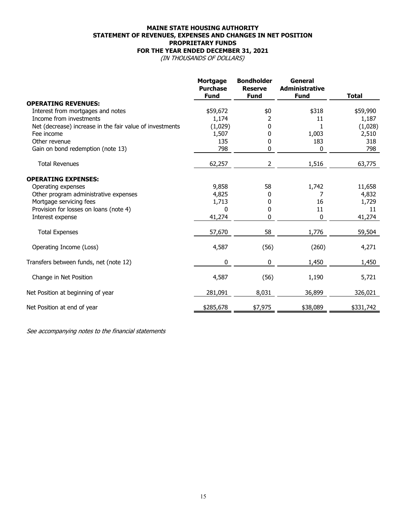#### **MAINE STATE HOUSING AUTHORITY STATEMENT OF REVENUES, EXPENSES AND CHANGES IN NET POSITION PROPRIETARY FUNDS FOR THE YEAR ENDED DECEMBER 31, 2021**

(IN THOUSANDS OF DOLLARS)

|                                                          | <b>Mortgage</b><br><b>Purchase</b><br><b>Fund</b> | <b>Bondholder</b><br><b>Reserve</b><br><b>Fund</b> | General<br><b>Administrative</b><br><b>Fund</b> | <b>Total</b> |
|----------------------------------------------------------|---------------------------------------------------|----------------------------------------------------|-------------------------------------------------|--------------|
| <b>OPERATING REVENUES:</b>                               |                                                   |                                                    |                                                 |              |
| Interest from mortgages and notes                        | \$59,672                                          | \$0                                                | \$318                                           | \$59,990     |
| Income from investments                                  | 1,174                                             | 2                                                  | 11                                              | 1,187        |
| Net (decrease) increase in the fair value of investments | (1,029)                                           | 0                                                  | 1                                               | (1,028)      |
| Fee income                                               | 1,507                                             | 0                                                  | 1,003                                           | 2,510        |
| Other revenue                                            | 135                                               | 0                                                  | 183                                             | 318          |
| Gain on bond redemption (note 13)                        | 798                                               | 0                                                  | 0                                               | 798          |
| <b>Total Revenues</b>                                    | 62,257                                            | 2                                                  | 1,516                                           | 63,775       |
| <b>OPERATING EXPENSES:</b>                               |                                                   |                                                    |                                                 |              |
| Operating expenses                                       | 9,858                                             | 58                                                 | 1,742                                           | 11,658       |
| Other program administrative expenses                    | 4,825                                             | 0                                                  |                                                 | 4,832        |
| Mortgage servicing fees                                  | 1,713                                             | 0                                                  | 16                                              | 1,729        |
| Provision for losses on loans (note 4)                   | 0                                                 | 0                                                  | 11                                              | 11           |
| Interest expense                                         | 41,274                                            | 0                                                  | $\mathbf 0$                                     | 41,274       |
| <b>Total Expenses</b>                                    | 57,670                                            | 58                                                 | 1,776                                           | 59,504       |
| Operating Income (Loss)                                  | 4,587                                             | (56)                                               | (260)                                           | 4,271        |
| Transfers between funds, net (note 12)                   | 0                                                 | 0                                                  | 1,450                                           | 1,450        |
| Change in Net Position                                   | 4,587                                             | (56)                                               | 1,190                                           | 5,721        |
| Net Position at beginning of year                        | 281,091                                           | 8,031                                              | 36,899                                          | 326,021      |
| Net Position at end of year                              | \$285,678                                         | \$7,975                                            | \$38,089                                        | \$331,742    |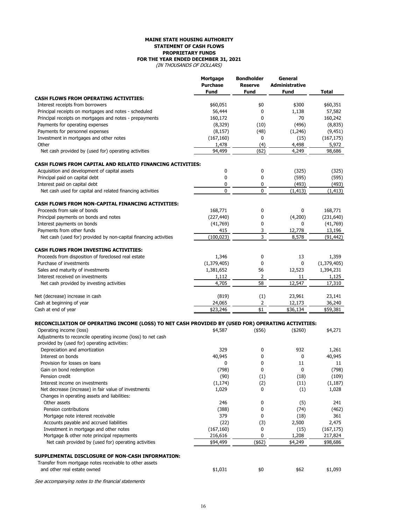#### **MAINE STATE HOUSING AUTHORITY STATEMENT OF CASH FLOWS PROPRIETARY FUNDS FOR THE YEAR ENDED DECEMBER 31, 2021**

(IN THOUSANDS OF DOLLARS)

|                                                                                                              | Mortgage<br><b>Purchase</b><br><b>Fund</b> | <b>Bondholder</b><br><b>Reserve</b><br><b>Fund</b> | General<br><b>Administrative</b><br><b>Fund</b> | <b>Total</b> |
|--------------------------------------------------------------------------------------------------------------|--------------------------------------------|----------------------------------------------------|-------------------------------------------------|--------------|
| CASH FLOWS FROM OPERATING ACTIVITIES:                                                                        |                                            |                                                    |                                                 |              |
| Interest receipts from borrowers                                                                             | \$60,051                                   | \$0                                                | \$300                                           | \$60,351     |
| Principal receipts on mortgages and notes - scheduled                                                        | 56,444                                     | 0                                                  | 1,138                                           | 57,582       |
| Principal receipts on mortgages and notes - prepayments                                                      | 160,172                                    | 0                                                  | 70                                              | 160,242      |
| Payments for operating expenses                                                                              | (8,329)                                    | (10)                                               | (496)                                           | (8,835)      |
| Payments for personnel expenses                                                                              | (8, 157)                                   | (48)                                               | (1,246)                                         | (9, 451)     |
| Investment in mortgages and other notes                                                                      | (167, 160)                                 | 0                                                  | (15)                                            | (167, 175)   |
| Other                                                                                                        | 1,478                                      | (4)                                                | 4,498                                           | 5,972        |
| Net cash provided by (used for) operating activities                                                         | 94,499                                     | (62)                                               | 4,249                                           | 98,686       |
| CASH FLOWS FROM CAPITAL AND RELATED FINANCING ACTIVITIES:                                                    |                                            |                                                    |                                                 |              |
| Acquisition and development of capital assets                                                                | 0                                          | 0                                                  | (325)                                           | (325)        |
| Principal paid on capital debt                                                                               | 0                                          | 0                                                  | (595)                                           | (595)        |
| Interest paid on capital debt                                                                                | 0                                          | 0                                                  | (493)                                           | (493)        |
| Net cash used for capital and related financing activities                                                   | 0                                          | 0                                                  | (1, 413)                                        | (1, 413)     |
| CASH FLOWS FROM NON-CAPITAL FINANCING ACTIVITIES:                                                            |                                            |                                                    |                                                 |              |
| Proceeds from sale of bonds                                                                                  | 168,771                                    | 0                                                  | 0                                               | 168,771      |
| Principal payments on bonds and notes                                                                        | (227, 440)                                 | 0                                                  | (4,200)                                         | (231, 640)   |
| Interest payments on bonds                                                                                   | (41,769)                                   | 0                                                  | 0                                               | (41,769)     |
| Payments from other funds                                                                                    | 415                                        | 3                                                  | 12,778                                          | 13,196       |
| Net cash (used for) provided by non-capital financing activities                                             | (100, 023)                                 | 3                                                  | 8,578                                           | (91, 442)    |
| CASH FLOWS FROM INVESTING ACTIVITIES:                                                                        |                                            |                                                    |                                                 |              |
| Proceeds from disposition of foreclosed real estate                                                          | 1,346                                      | 0                                                  | 13                                              | 1,359        |
| Purchase of investments                                                                                      | (1,379,405)                                | 0                                                  | 0                                               | (1,379,405)  |
| Sales and maturity of investments                                                                            | 1,381,652                                  | 56                                                 | 12,523                                          | 1,394,231    |
| Interest received on investments                                                                             | 1,112                                      | 2                                                  | 11                                              | 1,125        |
| Net cash provided by investing activities                                                                    | 4,705                                      | 58                                                 | 12,547                                          | 17,310       |
| Net (decrease) increase in cash                                                                              | (819)                                      | (1)                                                | 23,961                                          | 23,141       |
| Cash at beginning of year                                                                                    | 24,065                                     | 2                                                  | 12,173                                          | 36,240       |
| Cash at end of year                                                                                          | \$23,246                                   | \$1                                                | \$36,134                                        | \$59,381     |
| RECONCILIATION OF OPERATING INCOME (LOSS) TO NET CASH PROVIDED BY (USED FOR) OPERATING ACTIVITIES:           |                                            |                                                    |                                                 |              |
| Operating income (loss)                                                                                      | \$4,587                                    | $($ \$56)                                          | ( \$260)                                        | \$4,271      |
| Adjustments to reconcile operating income (loss) to net cash<br>provided by (used for) operating activities: |                                            |                                                    |                                                 |              |
| Depreciation and amortization                                                                                | 329                                        | 0                                                  | 932                                             | 1,261        |
| Interest on bonds                                                                                            |                                            |                                                    |                                                 |              |
|                                                                                                              | 40,945                                     | 0                                                  | 0                                               | 40,945       |
| Provision for losses on loans                                                                                | 0                                          | 0                                                  | 11                                              | 11           |
| Gain on bond redemption                                                                                      | (798)                                      | 0                                                  | 0                                               | (798)        |
| Pension credit                                                                                               | (90)                                       | (1)                                                | (18)                                            | (109)        |
| Interest income on investments                                                                               | (1, 174)                                   | (2)                                                | (11)                                            | (1, 187)     |
| Net decrease (increase) in fair value of investments                                                         | 1,029                                      | 0                                                  | (1)                                             | 1,028        |
| Changes in operating assets and liabilities:                                                                 |                                            |                                                    |                                                 |              |
| Other assets                                                                                                 | 246                                        | 0                                                  | (5)                                             | 241          |
| Pension contributions                                                                                        | (388)                                      | 0                                                  | (74)                                            | (462)        |
| Mortgage note interest receivable                                                                            | 379                                        | 0                                                  | (18)                                            | 361          |
| Accounts payable and accrued liabilities                                                                     | (22)                                       | (3)                                                | 2,500                                           | 2,475        |
| Investment in mortgage and other notes                                                                       | (167, 160)                                 | 0                                                  | (15)                                            | (167, 175)   |
| Mortgage & other note principal repayments                                                                   | 216,616                                    | 0                                                  | 1,208                                           | 217,824      |
| Net cash provided by (used for) operating activities                                                         | \$94,499                                   | $($ \$62)                                          | \$4,249                                         | \$98,686     |
| SUPPLEMENTAL DISCLOSURE OF NON-CASH INFORMATION:                                                             |                                            |                                                    |                                                 |              |
| Transfer from mortgage notes receivable to other assets                                                      |                                            |                                                    |                                                 |              |
| and other real estate owned                                                                                  | \$1,031                                    | \$0                                                | \$62                                            | \$1,093      |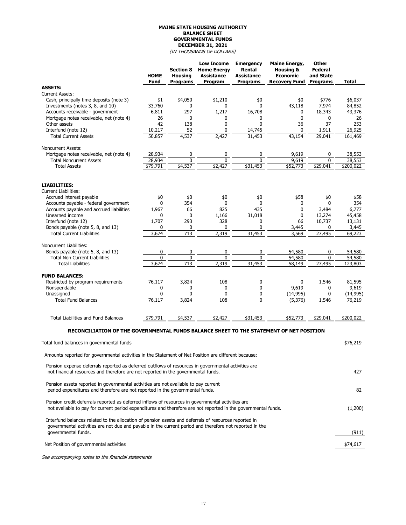#### **MAINE STATE HOUSING AUTHORITY BALANCE SHEET GOVERNMENTAL FUNDS DECEMBER 31, 2021**

|  | (IN THOUSANDS OF DOLLARS) |
|--|---------------------------|

|                                                    | <b>HOME</b><br><b>Fund</b> | Section 8<br><b>Housing</b><br><b>Programs</b> | <b>Low Income</b><br><b>Home Energy</b><br><b>Assistance</b><br>Program | <b>Emergency</b><br>Rental<br><b>Assistance</b><br><b>Programs</b> | <b>Maine Energy,</b><br><b>Housing &amp;</b><br><b>Economic</b><br><b>Recovery Fund</b> | <b>Other</b><br><b>Federal</b><br>and State<br><b>Programs</b> | Total     |
|----------------------------------------------------|----------------------------|------------------------------------------------|-------------------------------------------------------------------------|--------------------------------------------------------------------|-----------------------------------------------------------------------------------------|----------------------------------------------------------------|-----------|
| <b>ASSETS:</b>                                     |                            |                                                |                                                                         |                                                                    |                                                                                         |                                                                |           |
| <b>Current Assets:</b>                             |                            |                                                |                                                                         |                                                                    |                                                                                         |                                                                |           |
| Cash, principally time deposits (note 3)           | \$1                        | \$4,050                                        | \$1,210                                                                 | \$0                                                                | \$0                                                                                     | \$776                                                          | \$6,037   |
| Investments (notes 3, 8, and 10)                   | 33,760                     | 0                                              | $\mathbf{0}$                                                            | $\Omega$                                                           | 43,118                                                                                  | 7,974                                                          | 84,852    |
| Accounts receivable - government                   | 6,811                      | 297                                            | 1,217                                                                   | 16,708                                                             | 0                                                                                       | 18,343                                                         | 43,376    |
| Mortgage notes receivable, net (note 4)            | 26                         | 0                                              | 0                                                                       | $\mathbf 0$                                                        | $\mathbf{0}$                                                                            | 0                                                              | 26        |
| Other assets                                       | 42                         | 138                                            | $\mathbf{0}$                                                            | $\mathbf{0}$                                                       | 36                                                                                      | 37                                                             | 253       |
| Interfund (note 12)                                | 10,217                     | 52                                             | 0                                                                       | 14,745                                                             | 0                                                                                       | 1,911                                                          | 26,925    |
| <b>Total Current Assets</b>                        | 50,857                     | 4,537                                          | 2,427                                                                   | 31,453                                                             | 43,154                                                                                  | 29,041                                                         | 161,469   |
| <b>Noncurrent Assets:</b>                          |                            |                                                |                                                                         |                                                                    |                                                                                         |                                                                |           |
| Mortgage notes receivable, net (note 4)            | 28,934                     | 0                                              | 0                                                                       | 0                                                                  | 9,619                                                                                   | 0                                                              | 38,553    |
| <b>Total Noncurrent Assets</b>                     | 28,934                     | $\mathbf{0}$                                   | $\mathbf{0}$                                                            | $\Omega$                                                           | 9,619                                                                                   | $\mathbf{0}$                                                   | 38,553    |
| <b>Total Assets</b>                                | \$79,791                   | \$4,537                                        | \$2,427                                                                 | \$31,453                                                           | \$52,773                                                                                | \$29,041                                                       | \$200,022 |
| <b>LIABILITIES:</b><br><b>Current Liabilities:</b> |                            |                                                |                                                                         |                                                                    |                                                                                         |                                                                |           |
| Accrued interest payable                           | \$0                        | \$0                                            | \$0                                                                     | \$0                                                                | \$58                                                                                    | \$0                                                            | \$58      |
| Accounts payable - federal government              | 0                          | 354                                            | 0                                                                       | 0                                                                  | 0                                                                                       | $\mathbf 0$                                                    | 354       |
| Accounts payable and accrued liabilities           | 1,967                      | 66                                             | 825                                                                     | 435                                                                | 0                                                                                       | 3,484                                                          | 6,777     |
| Unearned income                                    | U                          | $\Omega$                                       | 1,166                                                                   | 31,018                                                             | $\mathbf{0}$                                                                            | 13,274                                                         | 45,458    |
| Interfund (note 12)                                | 1,707                      | 293                                            | 328                                                                     | 0                                                                  | 66                                                                                      | 10,737                                                         | 13,131    |
| Bonds payable (note 5, 8, and 13)                  | $\mathbf{0}$               | 0                                              | $\mathbf{0}$                                                            | $\mathbf{0}$                                                       | 3,445                                                                                   | 0                                                              | 3,445     |
| <b>Total Current Liabilities</b>                   | 3,674                      | 713                                            | 2,319                                                                   | 31,453                                                             | 3,569                                                                                   | 27,495                                                         | 69,223    |
| <b>Noncurrent Liabilities:</b>                     |                            |                                                |                                                                         |                                                                    |                                                                                         |                                                                |           |
| Bonds payable (note 5, 8, and 13)                  | 0                          | 0                                              | 0                                                                       | 0                                                                  | 54,580                                                                                  | 0                                                              | 54,580    |
| <b>Total Non Current Liabilities</b>               | $\mathbf{0}$               | $\mathbf{0}$                                   | $\Omega$                                                                | $\Omega$                                                           | 54,580                                                                                  | $\mathbf{0}$                                                   | 54,580    |
| <b>Total Liabilities</b>                           | 3,674                      | $\overline{713}$                               | 2,319                                                                   | 31,453                                                             | 58,149                                                                                  | 27,495                                                         | 123,803   |
| <b>FUND BALANCES:</b>                              |                            |                                                |                                                                         |                                                                    |                                                                                         |                                                                |           |
| Restricted by program requirements                 | 76,117                     | 3,824                                          | 108                                                                     | 0                                                                  | 0                                                                                       | 1,546                                                          | 81,595    |
| Nonspendable                                       | 0                          | 0                                              | $\mathbf{0}$                                                            | $\mathbf 0$                                                        | 9,619                                                                                   | 0                                                              | 9,619     |
| Unassigned                                         | 0                          | 0                                              | $\mathbf{0}$                                                            | $\mathbf 0$                                                        | (14, 995)                                                                               | 0                                                              | (14, 995) |
| <b>Total Fund Balances</b>                         | 76,117                     | 3,824                                          | 108                                                                     | $\Omega$                                                           | (5, 376)                                                                                | 1,546                                                          | 76,219    |
| <b>Total Liabilities and Fund Balances</b>         | \$79,791                   | \$4,537                                        | \$2,427                                                                 | \$31,453                                                           | \$52,773                                                                                | \$29,041                                                       | \$200,022 |

#### **RECONCILIATION OF THE GOVERNMENTAL FUNDS BALANCE SHEET TO THE STATEMENT OF NET POSITION**

| Total fund balances in governmental funds                                                                                                                                                                                               | \$76,219 |
|-----------------------------------------------------------------------------------------------------------------------------------------------------------------------------------------------------------------------------------------|----------|
| Amounts reported for governmental activities in the Statement of Net Position are different because:                                                                                                                                    |          |
| Pension expense deferrals reported as deferred outflows of resources in governmental activities are<br>not financial resources and therefore are not reported in the governmental funds.                                                | 427      |
| Pension assets reported in governmental activities are not available to pay current<br>period expenditures and therefore are not reported in the governmental funds.                                                                    | 82       |
| Pension credit deferrals reported as deferred inflows of resources in governmental activities are<br>not available to pay for current period expenditures and therefore are not reported in the governmental funds.                     | (1,200)  |
| Interfund balances related to the allocation of pension assets and deferrals of resources reported in<br>governmental activities are not due and payable in the current period and therefore not reported in the<br>governmental funds. | (911)    |
| Net Position of governmental activities                                                                                                                                                                                                 | \$74,617 |
|                                                                                                                                                                                                                                         |          |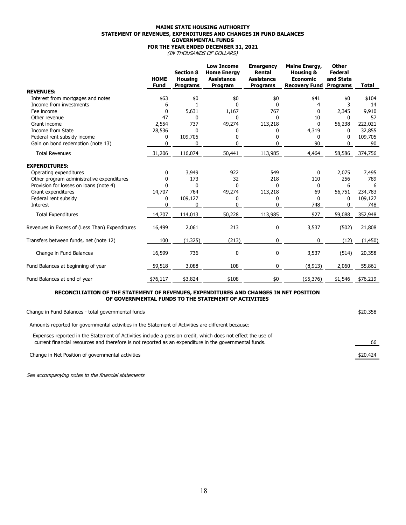#### **MAINE STATE HOUSING AUTHORITY STATEMENT OF REVENUES, EXPENDITURES AND CHANGES IN FUND BALANCES GOVERNMENTAL FUNDS FOR THE YEAR ENDED DECEMBER 31, 2021**

(IN THOUSANDS OF DOLLARS)

|                                                              | <b>HOME</b>  | <b>Section 8</b><br><b>Housing</b> | <b>Low Income</b><br><b>Home Energy</b><br><b>Assistance</b> | <b>Emergency</b><br>Rental<br><b>Assistance</b> | <b>Maine Energy,</b><br><b>Housing &amp;</b><br><b>Economic</b> | <b>Other</b><br><b>Federal</b><br>and State |                  |
|--------------------------------------------------------------|--------------|------------------------------------|--------------------------------------------------------------|-------------------------------------------------|-----------------------------------------------------------------|---------------------------------------------|------------------|
| <b>REVENUES:</b>                                             | <b>Fund</b>  | <b>Programs</b>                    | Program                                                      | <b>Programs</b>                                 | <b>Recovery Fund</b>                                            | <b>Programs</b>                             | <b>Total</b>     |
|                                                              |              |                                    |                                                              |                                                 |                                                                 |                                             |                  |
| Interest from mortgages and notes<br>Income from investments | \$63         | \$0<br>$\mathbf{1}$                | \$0                                                          | \$0                                             | \$41                                                            | \$0                                         | \$104<br>14      |
|                                                              | 6            |                                    | 0                                                            | 0                                               | 4                                                               | 3                                           |                  |
| Fee income                                                   | $\mathbf{0}$ | 5,631                              | 1,167                                                        | 767                                             | 0                                                               | 2,345                                       | 9,910            |
| Other revenue                                                | 47           | 0                                  | 0                                                            | $\Omega$                                        | 10                                                              | 0                                           | 57               |
| Grant income                                                 | 2,554        | 737                                | 49,274                                                       | 113,218                                         | 0                                                               | 56,238                                      | 222,021          |
| Income from State                                            | 28,536       | 0                                  | 0                                                            | 0                                               | 4,319                                                           | 0                                           | 32,855           |
| Federal rent subsidy income                                  | 0            | 109,705                            | 0                                                            | 0                                               | 0                                                               | 0                                           | 109,705          |
| Gain on bond redemption (note 13)                            | 0            | 0                                  | 0                                                            | 0                                               | 90                                                              | 0                                           | 90               |
| <b>Total Revenues</b>                                        | 31,206       | 116,074                            | 50,441                                                       | 113,985                                         | 4,464                                                           | 58,586                                      | 374,756          |
| <b>EXPENDITURES:</b>                                         |              |                                    |                                                              |                                                 |                                                                 |                                             |                  |
| Operating expenditures                                       | 0            | 3,949                              | 922                                                          | 549                                             | 0                                                               | 2,075                                       | 7,495            |
| Other program administrative expenditures                    | <sup>0</sup> | 173                                | 32                                                           | 218                                             | 110                                                             | 256                                         | 789              |
| Provision for losses on loans (note 4)                       | <sup>0</sup> | 0                                  | $\Omega$                                                     | $\Omega$                                        | $\mathbf{0}$                                                    | 6                                           | 6                |
| Grant expenditures                                           | 14,707       | 764                                | 49,274                                                       | 113,218                                         | 69                                                              | 56,751                                      | 234,783          |
| Federal rent subsidy                                         | 0            | 109,127                            | 0                                                            | 0                                               | 0                                                               | 0                                           | 109,127          |
| Interest                                                     | 0            | 0                                  | 0                                                            | 0                                               | 748                                                             | 0                                           | 748              |
| <b>Total Expenditures</b>                                    | 14,707       | 114,013                            | 50,228                                                       | 113,985                                         | 927                                                             | 59,088                                      | 352,948          |
| Revenues in Excess of (Less Than) Expenditures               | 16,499       | 2,061                              | 213                                                          | 0                                               | 3,537                                                           | (502)                                       | 21,808           |
| Transfers between funds, net (note 12)                       | 100          | (1, 325)                           | (213)                                                        | 0                                               | 0                                                               | (12)                                        | (1,450)          |
| Change in Fund Balances                                      | 16,599       | 736                                | $\mathbf{0}$                                                 | $\mathbf 0$                                     | 3,537                                                           | (514)                                       | 20,358           |
| Fund Balances at beginning of year                           | 59,518       | 3,088                              | 108                                                          | 0                                               | (8, 913)                                                        | 2,060                                       | 55,861           |
| Fund Balances at end of year                                 | \$76,117     | \$3,824                            | \$108                                                        | \$0                                             | (\$5,376)                                                       |                                             | \$1,546 \$76,219 |

#### **RECONCILIATION OF THE STATEMENT OF REVENUES, EXPENDITURES AND CHANGES IN NET POSITION OF GOVERNMENTAL FUNDS TO THE STATEMENT OF ACTIVITIES**

| Change in Fund Balances - total governmental funds                                                                                                                                                                    | \$20,358 |
|-----------------------------------------------------------------------------------------------------------------------------------------------------------------------------------------------------------------------|----------|
| Amounts reported for governmental activities in the Statement of Activities are different because:                                                                                                                    |          |
| Expenses reported in the Statement of Activities include a pension credit, which does not effect the use of<br>current financial resources and therefore is not reported as an expenditure in the governmental funds. | 66       |
| Change in Net Position of governmental activities                                                                                                                                                                     | \$20,424 |
|                                                                                                                                                                                                                       |          |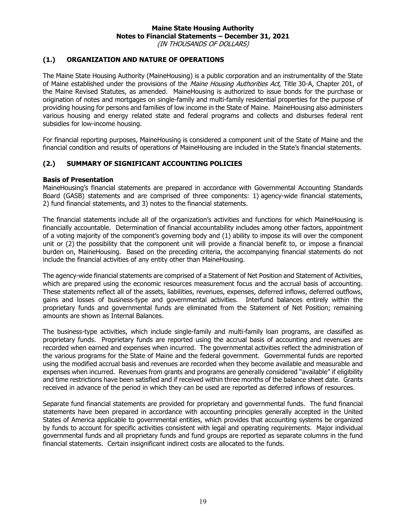(IN THOUSANDS OF DOLLARS)

### **(1.) ORGANIZATION AND NATURE OF OPERATIONS**

The Maine State Housing Authority (MaineHousing) is a public corporation and an instrumentality of the State of Maine established under the provisions of the Maine Housing Authorities Act, Title 30-A, Chapter 201, of the Maine Revised Statutes, as amended. MaineHousing is authorized to issue bonds for the purchase or origination of notes and mortgages on single-family and multi-family residential properties for the purpose of providing housing for persons and families of low income in the State of Maine. MaineHousing also administers various housing and energy related state and federal programs and collects and disburses federal rent subsidies for low-income housing.

For financial reporting purposes, MaineHousing is considered a component unit of the State of Maine and the financial condition and results of operations of MaineHousing are included in the State's financial statements.

### **(2.) SUMMARY OF SIGNIFICANT ACCOUNTING POLICIES**

#### **Basis of Presentation**

MaineHousing's financial statements are prepared in accordance with Governmental Accounting Standards Board (GASB) statements and are comprised of three components: 1) agency-wide financial statements, 2) fund financial statements, and 3) notes to the financial statements.

The financial statements include all of the organization's activities and functions for which MaineHousing is financially accountable. Determination of financial accountability includes among other factors, appointment of a voting majority of the component's governing body and (1) ability to impose its will over the component unit or (2) the possibility that the component unit will provide a financial benefit to, or impose a financial burden on, MaineHousing. Based on the preceding criteria, the accompanying financial statements do not include the financial activities of any entity other than MaineHousing.

The agency-wide financial statements are comprised of a Statement of Net Position and Statement of Activities, which are prepared using the economic resources measurement focus and the accrual basis of accounting. These statements reflect all of the assets, liabilities, revenues, expenses, deferred inflows, deferred outflows, gains and losses of business-type and governmental activities. Interfund balances entirely within the proprietary funds and governmental funds are eliminated from the Statement of Net Position; remaining amounts are shown as Internal Balances.

The business-type activities, which include single-family and multi-family loan programs, are classified as proprietary funds. Proprietary funds are reported using the accrual basis of accounting and revenues are recorded when earned and expenses when incurred. The governmental activities reflect the administration of the various programs for the State of Maine and the federal government. Governmental funds are reported using the modified accrual basis and revenues are recorded when they become available and measurable and expenses when incurred. Revenues from grants and programs are generally considered "available" if eligibility and time restrictions have been satisfied and if received within three months of the balance sheet date. Grants received in advance of the period in which they can be used are reported as deferred inflows of resources.

Separate fund financial statements are provided for proprietary and governmental funds. The fund financial statements have been prepared in accordance with accounting principles generally accepted in the United States of America applicable to governmental entities, which provides that accounting systems be organized by funds to account for specific activities consistent with legal and operating requirements. Major individual governmental funds and all proprietary funds and fund groups are reported as separate columns in the fund financial statements. Certain insignificant indirect costs are allocated to the funds.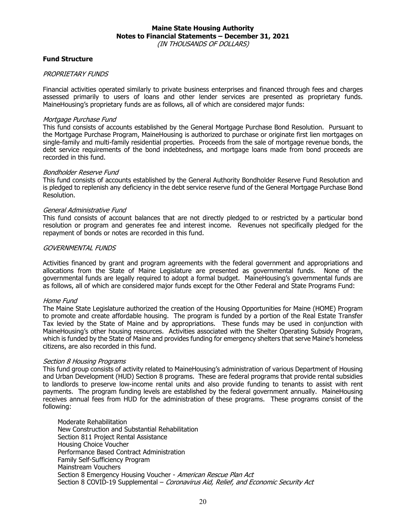#### **Fund Structure**

#### PROPRIETARY FUNDS

Financial activities operated similarly to private business enterprises and financed through fees and charges assessed primarily to users of loans and other lender services are presented as proprietary funds. MaineHousing's proprietary funds are as follows, all of which are considered major funds:

#### Mortgage Purchase Fund

This fund consists of accounts established by the General Mortgage Purchase Bond Resolution. Pursuant to the Mortgage Purchase Program, MaineHousing is authorized to purchase or originate first lien mortgages on single-family and multi-family residential properties. Proceeds from the sale of mortgage revenue bonds, the debt service requirements of the bond indebtedness, and mortgage loans made from bond proceeds are recorded in this fund.

#### Bondholder Reserve Fund

This fund consists of accounts established by the General Authority Bondholder Reserve Fund Resolution and is pledged to replenish any deficiency in the debt service reserve fund of the General Mortgage Purchase Bond Resolution.

#### General Administrative Fund

This fund consists of account balances that are not directly pledged to or restricted by a particular bond resolution or program and generates fee and interest income. Revenues not specifically pledged for the repayment of bonds or notes are recorded in this fund.

#### GOVERNMENTAL FUNDS

Activities financed by grant and program agreements with the federal government and appropriations and allocations from the State of Maine Legislature are presented as governmental funds. None of the governmental funds are legally required to adopt a formal budget. MaineHousing's governmental funds are as follows, all of which are considered major funds except for the Other Federal and State Programs Fund:

#### Home Fund

The Maine State Legislature authorized the creation of the Housing Opportunities for Maine (HOME) Program to promote and create affordable housing. The program is funded by a portion of the Real Estate Transfer Tax levied by the State of Maine and by appropriations. These funds may be used in conjunction with MaineHousing's other housing resources. Activities associated with the Shelter Operating Subsidy Program, which is funded by the State of Maine and provides funding for emergency shelters that serve Maine's homeless citizens, are also recorded in this fund.

#### Section 8 Housing Programs

This fund group consists of activity related to MaineHousing's administration of various Department of Housing and Urban Development (HUD) Section 8 programs. These are federal programs that provide rental subsidies to landlords to preserve low-income rental units and also provide funding to tenants to assist with rent payments. The program funding levels are established by the federal government annually. MaineHousing receives annual fees from HUD for the administration of these programs. These programs consist of the following:

 Moderate Rehabilitation New Construction and Substantial Rehabilitation Section 811 Project Rental Assistance Housing Choice Voucher Performance Based Contract Administration Family Self-Sufficiency Program Mainstream Vouchers Section 8 Emergency Housing Voucher - American Rescue Plan Act Section 8 COVID-19 Supplemental - Coronavirus Aid, Relief, and Economic Security Act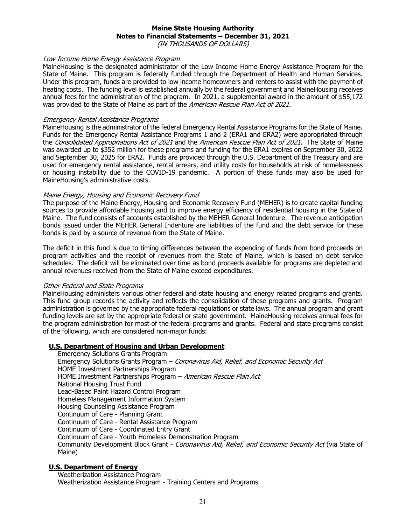(IN THOUSANDS OF DOLLARS)

#### Low Income Home Energy Assistance Program

MaineHousing is the designated administrator of the Low Income Home Energy Assistance Program for the State of Maine. This program is federally funded through the Department of Health and Human Services. Under this program, funds are provided to low income homeowners and renters to assist with the payment of heating costs. The funding level is established annually by the federal government and MaineHousing receives annual fees for the administration of the program. In 2021, a supplemental award in the amount of \$55,172 was provided to the State of Maine as part of the American Rescue Plan Act of 2021.

#### Emergency Rental Assistance Programs

MaineHousing is the administrator of the federal Emergency Rental Assistance Programs for the State of Maine. Funds for the Emergency Rental Assistance Programs 1 and 2 (ERA1 and ERA2) were appropriated through the Consolidated Appropriations Act of 2021 and the American Rescue Plan Act of 2021. The State of Maine was awarded up to \$352 million for these programs and funding for the ERA1 expires on September 30, 2022 and September 30, 2025 for ERA2. Funds are provided through the U.S. Department of the Treasury and are used for emergency rental assistance, rental arrears, and utility costs for households at risk of homelessness or housing instability due to the COVID-19 pandemic. A portion of these funds may also be used for MaineHousing's administrative costs.

#### Maine Energy, Housing and Economic Recovery Fund

The purpose of the Maine Energy, Housing and Economic Recovery Fund (MEHER) is to create capital funding sources to provide affordable housing and to improve energy efficiency of residential housing in the State of Maine. The fund consists of accounts established by the MEHER General Indenture. The revenue anticipation bonds issued under the MEHER General Indenture are liabilities of the fund and the debt service for these bonds is paid by a source of revenue from the State of Maine.

The deficit in this fund is due to timing differences between the expending of funds from bond proceeds on program activities and the receipt of revenues from the State of Maine, which is based on debt service schedules. The deficit will be eliminated over time as bond proceeds available for programs are depleted and annual revenues received from the State of Maine exceed expenditures.

#### Other Federal and State Programs

MaineHousing administers various other federal and state housing and energy related programs and grants. This fund group records the activity and reflects the consolidation of these programs and grants. Program administration is governed by the appropriate federal regulations or state laws. The annual program and grant funding levels are set by the appropriate federal or state government. MaineHousing receives annual fees for the program administration for most of the federal programs and grants. Federal and state programs consist of the following, which are considered non-major funds:

### **U.S. Department of Housing and Urban Development**

 Emergency Solutions Grants Program Emergency Solutions Grants Program - Coronavirus Aid, Relief, and Economic Security Act HOME Investment Partnerships Program HOME Investment Partnerships Program - American Rescue Plan Act National Housing Trust Fund Lead-Based Paint Hazard Control Program Homeless Management Information System Housing Counseling Assistance Program Continuum of Care - Planning Grant Continuum of Care - Rental Assistance Program Continuum of Care - Coordinated Entry Grant Continuum of Care - Youth Homeless Demonstration Program Community Development Block Grant - Coronavirus Aid, Relief, and Economic Security Act (via State of Maine)

#### **U.S. Department of Energy**

 Weatherization Assistance Program Weatherization Assistance Program - Training Centers and Programs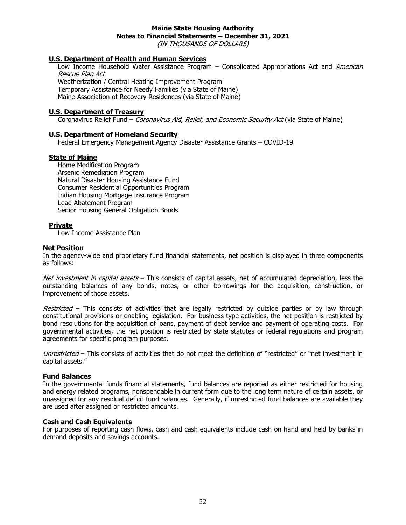(IN THOUSANDS OF DOLLARS)

#### **U.S. Department of Health and Human Services**

Low Income Household Water Assistance Program – Consolidated Appropriations Act and American Rescue Plan Act Weatherization / Central Heating Improvement Program Temporary Assistance for Needy Families (via State of Maine)

Maine Association of Recovery Residences (via State of Maine)

#### **U.S. Department of Treasury**

Coronavirus Relief Fund - Coronavirus Aid, Relief, and Economic Security Act (via State of Maine)

#### **U.S. Department of Homeland Security**

Federal Emergency Management Agency Disaster Assistance Grants – COVID-19

#### **State of Maine**

 Home Modification Program Arsenic Remediation Program Natural Disaster Housing Assistance Fund Consumer Residential Opportunities Program Indian Housing Mortgage Insurance Program Lead Abatement Program Senior Housing General Obligation Bonds

#### **Private**

Low Income Assistance Plan

#### **Net Position**

In the agency-wide and proprietary fund financial statements, net position is displayed in three components as follows:

Net investment in capital assets – This consists of capital assets, net of accumulated depreciation, less the outstanding balances of any bonds, notes, or other borrowings for the acquisition, construction, or improvement of those assets.

Restricted – This consists of activities that are legally restricted by outside parties or by law through constitutional provisions or enabling legislation. For business-type activities, the net position is restricted by bond resolutions for the acquisition of loans, payment of debt service and payment of operating costs. For governmental activities, the net position is restricted by state statutes or federal regulations and program agreements for specific program purposes.

Unrestricted - This consists of activities that do not meet the definition of "restricted" or "net investment in capital assets."

#### **Fund Balances**

In the governmental funds financial statements, fund balances are reported as either restricted for housing and energy related programs, nonspendable in current form due to the long term nature of certain assets, or unassigned for any residual deficit fund balances. Generally, if unrestricted fund balances are available they are used after assigned or restricted amounts.

#### **Cash and Cash Equivalents**

For purposes of reporting cash flows, cash and cash equivalents include cash on hand and held by banks in demand deposits and savings accounts.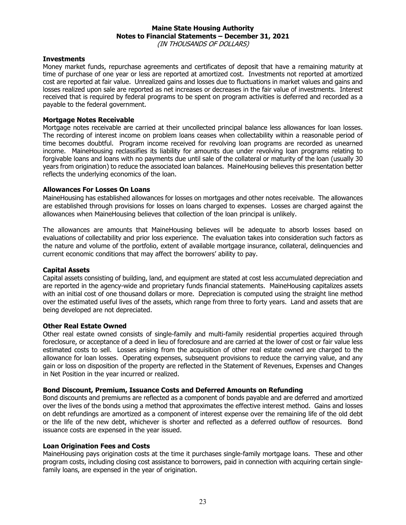(IN THOUSANDS OF DOLLARS)

#### **Investments**

Money market funds, repurchase agreements and certificates of deposit that have a remaining maturity at time of purchase of one year or less are reported at amortized cost. Investments not reported at amortized cost are reported at fair value. Unrealized gains and losses due to fluctuations in market values and gains and losses realized upon sale are reported as net increases or decreases in the fair value of investments. Interest received that is required by federal programs to be spent on program activities is deferred and recorded as a payable to the federal government.

#### **Mortgage Notes Receivable**

Mortgage notes receivable are carried at their uncollected principal balance less allowances for loan losses. The recording of interest income on problem loans ceases when collectability within a reasonable period of time becomes doubtful. Program income received for revolving loan programs are recorded as unearned income. MaineHousing reclassifies its liability for amounts due under revolving loan programs relating to forgivable loans and loans with no payments due until sale of the collateral or maturity of the loan (usually 30 years from origination) to reduce the associated loan balances. MaineHousing believes this presentation better reflects the underlying economics of the loan.

#### **Allowances For Losses On Loans**

MaineHousing has established allowances for losses on mortgages and other notes receivable. The allowances are established through provisions for losses on loans charged to expenses. Losses are charged against the allowances when MaineHousing believes that collection of the loan principal is unlikely.

The allowances are amounts that MaineHousing believes will be adequate to absorb losses based on evaluations of collectability and prior loss experience. The evaluation takes into consideration such factors as the nature and volume of the portfolio, extent of available mortgage insurance, collateral, delinquencies and current economic conditions that may affect the borrowers' ability to pay.

### **Capital Assets**

Capital assets consisting of building, land, and equipment are stated at cost less accumulated depreciation and are reported in the agency-wide and proprietary funds financial statements. MaineHousing capitalizes assets with an initial cost of one thousand dollars or more. Depreciation is computed using the straight line method over the estimated useful lives of the assets, which range from three to forty years. Land and assets that are being developed are not depreciated.

#### **Other Real Estate Owned**

Other real estate owned consists of single-family and multi-family residential properties acquired through foreclosure, or acceptance of a deed in lieu of foreclosure and are carried at the lower of cost or fair value less estimated costs to sell. Losses arising from the acquisition of other real estate owned are charged to the allowance for loan losses. Operating expenses, subsequent provisions to reduce the carrying value, and any gain or loss on disposition of the property are reflected in the Statement of Revenues, Expenses and Changes in Net Position in the year incurred or realized.

### **Bond Discount, Premium, Issuance Costs and Deferred Amounts on Refunding**

Bond discounts and premiums are reflected as a component of bonds payable and are deferred and amortized over the lives of the bonds using a method that approximates the effective interest method. Gains and losses on debt refundings are amortized as a component of interest expense over the remaining life of the old debt or the life of the new debt, whichever is shorter and reflected as a deferred outflow of resources. Bond issuance costs are expensed in the year issued.

### **Loan Origination Fees and Costs**

MaineHousing pays origination costs at the time it purchases single-family mortgage loans. These and other program costs, including closing cost assistance to borrowers, paid in connection with acquiring certain singlefamily loans, are expensed in the year of origination.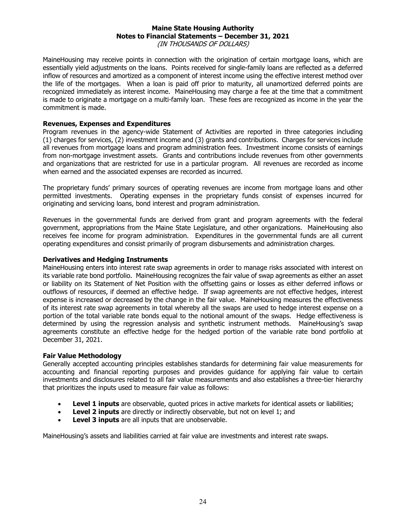MaineHousing may receive points in connection with the origination of certain mortgage loans, which are essentially yield adjustments on the loans. Points received for single-family loans are reflected as a deferred inflow of resources and amortized as a component of interest income using the effective interest method over the life of the mortgages. When a loan is paid off prior to maturity, all unamortized deferred points are recognized immediately as interest income. MaineHousing may charge a fee at the time that a commitment is made to originate a mortgage on a multi-family loan. These fees are recognized as income in the year the commitment is made.

### **Revenues, Expenses and Expenditures**

Program revenues in the agency-wide Statement of Activities are reported in three categories including (1) charges for services, (2) investment income and (3) grants and contributions. Charges for services include all revenues from mortgage loans and program administration fees. Investment income consists of earnings from non-mortgage investment assets. Grants and contributions include revenues from other governments and organizations that are restricted for use in a particular program. All revenues are recorded as income when earned and the associated expenses are recorded as incurred.

The proprietary funds' primary sources of operating revenues are income from mortgage loans and other permitted investments. Operating expenses in the proprietary funds consist of expenses incurred for originating and servicing loans, bond interest and program administration.

Revenues in the governmental funds are derived from grant and program agreements with the federal government, appropriations from the Maine State Legislature, and other organizations. MaineHousing also receives fee income for program administration. Expenditures in the governmental funds are all current operating expenditures and consist primarily of program disbursements and administration charges.

#### **Derivatives and Hedging Instruments**

MaineHousing enters into interest rate swap agreements in order to manage risks associated with interest on its variable rate bond portfolio. MaineHousing recognizes the fair value of swap agreements as either an asset or liability on its Statement of Net Position with the offsetting gains or losses as either deferred inflows or outflows of resources, if deemed an effective hedge. If swap agreements are not effective hedges, interest expense is increased or decreased by the change in the fair value. MaineHousing measures the effectiveness of its interest rate swap agreements in total whereby all the swaps are used to hedge interest expense on a portion of the total variable rate bonds equal to the notional amount of the swaps. Hedge effectiveness is determined by using the regression analysis and synthetic instrument methods. MaineHousing's swap agreements constitute an effective hedge for the hedged portion of the variable rate bond portfolio at December 31, 2021.

### **Fair Value Methodology**

Generally accepted accounting principles establishes standards for determining fair value measurements for accounting and financial reporting purposes and provides guidance for applying fair value to certain investments and disclosures related to all fair value measurements and also establishes a three-tier hierarchy that prioritizes the inputs used to measure fair value as follows:

- **Level 1 inputs** are observable, quoted prices in active markets for identical assets or liabilities;
- **Level 2 inputs** are directly or indirectly observable, but not on level 1; and
- **Level 3 inputs** are all inputs that are unobservable.

MaineHousing's assets and liabilities carried at fair value are investments and interest rate swaps.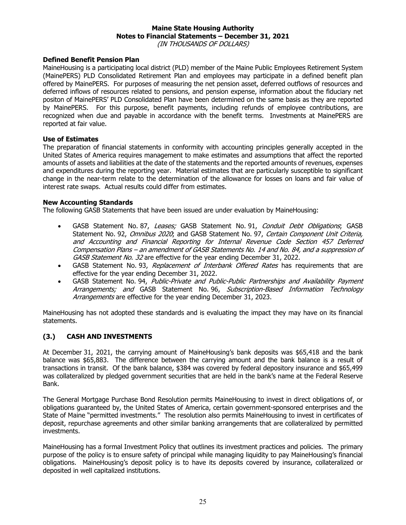(IN THOUSANDS OF DOLLARS)

### **Defined Benefit Pension Plan**

MaineHousing is a participating local district (PLD) member of the Maine Public Employees Retirement System (MainePERS) PLD Consolidated Retirement Plan and employees may participate in a defined benefit plan offered by MainePERS. For purposes of measuring the net pension asset, deferred outflows of resources and deferred inflows of resources related to pensions, and pension expense, information about the fiduciary net positon of MainePERS' PLD Consolidated Plan have been determined on the same basis as they are reported by MainePERS. For this purpose, benefit payments, including refunds of employee contributions, are recognized when due and payable in accordance with the benefit terms. Investments at MainePERS are reported at fair value.

#### **Use of Estimates**

The preparation of financial statements in conformity with accounting principles generally accepted in the United States of America requires management to make estimates and assumptions that affect the reported amounts of assets and liabilities at the date of the statements and the reported amounts of revenues, expenses and expenditures during the reporting year. Material estimates that are particularly susceptible to significant change in the near-term relate to the determination of the allowance for losses on loans and fair value of interest rate swaps. Actual results could differ from estimates.

#### **New Accounting Standards**

The following GASB Statements that have been issued are under evaluation by MaineHousing:

- GASB Statement No. 87, Leases; GASB Statement No. 91, Conduit Debt Obligations; GASB Statement No. 92, Omnibus 2020, and GASB Statement No. 97, Certain Component Unit Criteria, and Accounting and Financial Reporting for Internal Revenue Code Section 457 Deferred Compensation Plans – an amendment of GASB Statements No. 14 and No. 84, and a suppression of GASB Statement No. 32 are effective for the year ending December 31, 2022.
- GASB Statement No. 93, Replacement of Interbank Offered Rates has requirements that are effective for the year ending December 31, 2022.
- GASB Statement No. 94, Public-Private and Public-Public Partnerships and Availability Payment Arrangements; and GASB Statement No. 96, Subscription-Based Information Technology Arrangements are effective for the year ending December 31, 2023.

MaineHousing has not adopted these standards and is evaluating the impact they may have on its financial statements.

### **(3.) CASH AND INVESTMENTS**

At December 31, 2021, the carrying amount of MaineHousing's bank deposits was \$65,418 and the bank balance was \$65,883. The difference between the carrying amount and the bank balance is a result of transactions in transit. Of the bank balance, \$384 was covered by federal depository insurance and \$65,499 was collateralized by pledged government securities that are held in the bank's name at the Federal Reserve Bank.

The General Mortgage Purchase Bond Resolution permits MaineHousing to invest in direct obligations of, or obligations guaranteed by, the United States of America, certain government-sponsored enterprises and the State of Maine "permitted investments." The resolution also permits MaineHousing to invest in certificates of deposit, repurchase agreements and other similar banking arrangements that are collateralized by permitted investments.

MaineHousing has a formal Investment Policy that outlines its investment practices and policies. The primary purpose of the policy is to ensure safety of principal while managing liquidity to pay MaineHousing's financial obligations. MaineHousing's deposit policy is to have its deposits covered by insurance, collateralized or deposited in well capitalized institutions.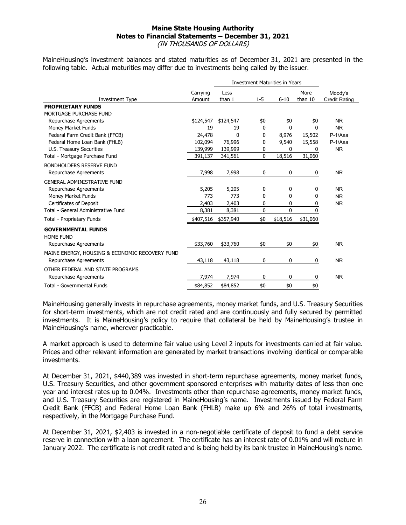MaineHousing's investment balances and stated maturities as of December 31, 2021 are presented in the following table. Actual maturities may differ due to investments being called by the issuer.

|                                                                         |                    | <b>Investment Maturities in Years</b> |          |              |                 |                                 |  |  |
|-------------------------------------------------------------------------|--------------------|---------------------------------------|----------|--------------|-----------------|---------------------------------|--|--|
| <b>Investment Type</b>                                                  | Carrying<br>Amount | Less<br>than 1                        | $1 - 5$  | $6 - 10$     | More<br>than 10 | Moody's<br><b>Credit Rating</b> |  |  |
| <b>PROPRIETARY FUNDS</b>                                                |                    |                                       |          |              |                 |                                 |  |  |
| MORTGAGE PURCHASE FUND                                                  |                    |                                       |          |              |                 |                                 |  |  |
| Repurchase Agreements                                                   | \$124,547          | \$124,547                             | \$0      | \$0          | \$0             | <b>NR</b>                       |  |  |
| Money Market Funds                                                      | 19                 | 19                                    | $\Omega$ | 0            | 0               | <b>NR</b>                       |  |  |
| Federal Farm Credit Bank (FFCB)                                         | 24,478             | 0                                     | 0        | 8,976        | 15,502          | P-1/Aaa                         |  |  |
| Federal Home Loan Bank (FHLB)                                           | 102,094            | 76,996                                | 0        | 9,540        | 15,558          | P-1/Aaa                         |  |  |
| U.S. Treasury Securities                                                | 139,999            | 139,999                               | 0        | $\mathbf{0}$ | 0               | <b>NR</b>                       |  |  |
| Total - Mortgage Purchase Fund                                          | 391,137            | 341,561                               | 0        | 18,516       | 31,060          |                                 |  |  |
| BONDHOLDERS RESERVE FUND                                                |                    |                                       |          |              |                 |                                 |  |  |
| Repurchase Agreements                                                   | 7,998              | 7,998                                 | 0        | 0            | 0               | <b>NR</b>                       |  |  |
| <b>GENERAL ADMINISTRATIVE FUND</b>                                      |                    |                                       |          |              |                 |                                 |  |  |
| Repurchase Agreements                                                   | 5,205              | 5,205                                 | 0        | $\mathbf{0}$ | 0               | <b>NR</b>                       |  |  |
| Money Market Funds                                                      | 773                | 773                                   | 0        | 0            | 0               | <b>NR</b>                       |  |  |
| Certificates of Deposit                                                 | 2,403              | 2,403                                 | 0        | 0            | 0               | <b>NR</b>                       |  |  |
| Total - General Administrative Fund                                     | 8,381              | 8,381                                 | 0        | $\mathbf{0}$ | $\mathbf{0}$    |                                 |  |  |
| Total - Proprietary Funds                                               | \$407,516          | \$357,940                             | \$0      | \$18,516     | \$31,060        |                                 |  |  |
| <b>GOVERNMENTAL FUNDS</b><br><b>HOME FUND</b>                           |                    |                                       |          |              |                 |                                 |  |  |
| Repurchase Agreements                                                   | \$33,760           | \$33,760                              | \$0      | \$0          | \$0             | <b>NR</b>                       |  |  |
| MAINE ENERGY, HOUSING & ECONOMIC RECOVERY FUND<br>Repurchase Agreements | 43,118             | 43,118                                | 0        | 0            | 0               | <b>NR</b>                       |  |  |
| OTHER FEDERAL AND STATE PROGRAMS                                        |                    |                                       |          |              |                 |                                 |  |  |
| Repurchase Agreements                                                   | 7.974              | 7,974                                 | 0        | $\mathbf 0$  | 0               | <b>NR</b>                       |  |  |
| <b>Total - Governmental Funds</b>                                       | \$84,852           | \$84,852                              | \$0      | \$0          | \$0             |                                 |  |  |

MaineHousing generally invests in repurchase agreements, money market funds, and U.S. Treasury Securities for short-term investments, which are not credit rated and are continuously and fully secured by permitted investments. It is MaineHousing's policy to require that collateral be held by MaineHousing's trustee in MaineHousing's name, wherever practicable.

A market approach is used to determine fair value using Level 2 inputs for investments carried at fair value. Prices and other relevant information are generated by market transactions involving identical or comparable investments.

At December 31, 2021, \$440,389 was invested in short-term repurchase agreements, money market funds, U.S. Treasury Securities, and other government sponsored enterprises with maturity dates of less than one year and interest rates up to 0.04%. Investments other than repurchase agreements, money market funds, and U.S. Treasury Securities are registered in MaineHousing's name. Investments issued by Federal Farm Credit Bank (FFCB) and Federal Home Loan Bank (FHLB) make up 6% and 26% of total investments, respectively, in the Mortgage Purchase Fund.

At December 31, 2021, \$2,403 is invested in a non-negotiable certificate of deposit to fund a debt service reserve in connection with a loan agreement. The certificate has an interest rate of 0.01% and will mature in January 2022. The certificate is not credit rated and is being held by its bank trustee in MaineHousing's name.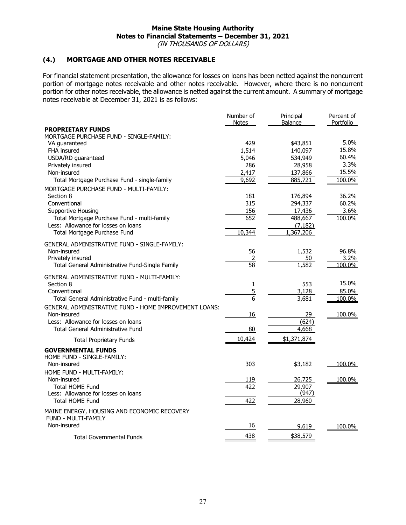(IN THOUSANDS OF DOLLARS)

### **(4.) MORTGAGE AND OTHER NOTES RECEIVABLE**

For financial statement presentation, the allowance for losses on loans has been netted against the noncurrent portion of mortgage notes receivable and other notes receivable. However, where there is no noncurrent portion for other notes receivable, the allowance is netted against the current amount. A summary of mortgage notes receivable at December 31, 2021 is as follows:

|                                                       | Number of<br><b>Notes</b> | Principal<br><b>Balance</b> | Percent of<br>Portfolio |
|-------------------------------------------------------|---------------------------|-----------------------------|-------------------------|
| <b>PROPRIETARY FUNDS</b>                              |                           |                             |                         |
| MORTGAGE PURCHASE FUND - SINGLE-FAMILY:               |                           |                             |                         |
| VA quaranteed                                         | 429                       | \$43,851                    | 5.0%                    |
| <b>FHA insured</b>                                    | 1,514                     | 140,097                     | 15.8%                   |
| USDA/RD guaranteed                                    | 5,046                     | 534,949                     | 60.4%                   |
| Privately insured                                     | 286                       | 28,958                      | 3.3%                    |
| Non-insured                                           | 2,417                     | 137,866                     | 15.5%                   |
| Total Mortgage Purchase Fund - single-family          | 9,692                     | 885,721                     | 100.0%                  |
| MORTGAGE PURCHASE FUND - MULTI-FAMILY:                |                           |                             |                         |
| Section 8                                             | 181                       | 176,894                     | 36.2%                   |
| Conventional                                          | 315                       | 294,337                     | 60.2%                   |
| Supportive Housing                                    | 156                       | 17,436                      | 3.6%                    |
| Total Mortgage Purchase Fund - multi-family           | 652                       | 488,667                     | 100.0%                  |
| Less: Allowance for losses on loans                   |                           | (7, 182)                    |                         |
| Total Mortgage Purchase Fund                          | 10,344                    | 1,367,206                   |                         |
| GENERAL ADMINISTRATIVE FUND - SINGLE-FAMILY:          |                           |                             |                         |
| Non-insured                                           | 56                        | 1,532                       | 96.8%                   |
| Privately insured                                     | $\overline{2}$            | 50                          | 3.2%                    |
| Total General Administrative Fund-Single Family       | $\overline{58}$           | 1,582                       | 100.0%                  |
| <b>GENERAL ADMINISTRATIVE FUND - MULTI-FAMILY:</b>    |                           |                             |                         |
| Section 8                                             | 1                         | 553                         | 15.0%                   |
| Conventional                                          | $\overline{5}$            | 3,128                       | 85.0%                   |
| Total General Administrative Fund - multi-family      | 6                         | 3,681                       | 100.0%                  |
| GENERAL ADMINISTRATIVE FUND - HOME IMPROVEMENT LOANS: |                           |                             |                         |
| Non-insured                                           | 16                        | 29                          | 100.0%                  |
| Less: Allowance for losses on loans                   |                           | (624)                       |                         |
| <b>Total General Administrative Fund</b>              | 80                        | 4,668                       |                         |
| <b>Total Proprietary Funds</b>                        | 10,424                    | \$1,371,874                 |                         |
| <b>GOVERNMENTAL FUNDS</b>                             |                           |                             |                         |
| HOME FUND - SINGLE-FAMILY:                            |                           |                             |                         |
| Non-insured                                           | 303                       | \$3,182                     | 100.0%                  |
| HOME FUND - MULTI-FAMILY:                             |                           |                             |                         |
| Non-insured                                           | 119                       | 26,725                      | 100.0%                  |
| <b>Total HOME Fund</b>                                | 422                       | 29,907                      |                         |
| Less: Allowance for losses on loans                   |                           | (947)                       |                         |
| <b>Total HOME Fund</b>                                | 422                       | 28,960                      |                         |
| MAINE ENERGY, HOUSING AND ECONOMIC RECOVERY           |                           |                             |                         |
| FUND - MULTI-FAMILY                                   |                           |                             |                         |
| Non-insured                                           | 16                        | 9,619                       | 100.0%                  |
| <b>Total Governmental Funds</b>                       | 438                       | \$38,579                    |                         |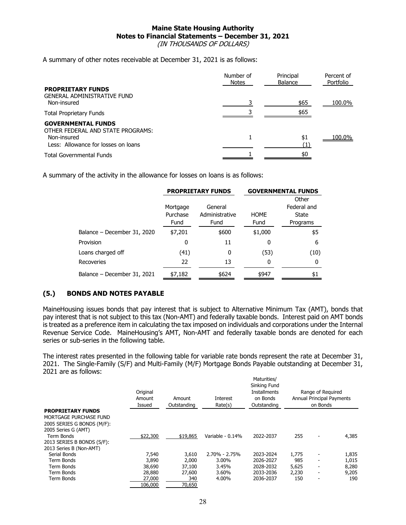(IN THOUSANDS OF DOLLARS)

A summary of other notes receivable at December 31, 2021 is as follows:

|                                                                               | Number of<br><b>Notes</b> | Principal<br>Balance | Percent of<br>Portfolio |
|-------------------------------------------------------------------------------|---------------------------|----------------------|-------------------------|
| <b>PROPRIETARY FUNDS</b><br><b>GENERAL ADMINISTRATIVE FUND</b><br>Non-insured |                           | \$65                 | 100.0%                  |
| <b>Total Proprietary Funds</b>                                                |                           | \$65                 |                         |
| <b>GOVERNMENTAL FUNDS</b><br>OTHER FEDERAL AND STATE PROGRAMS:<br>Non-insured |                           | \$1                  | 100.0%                  |
| Less: Allowance for losses on loans<br><b>Total Governmental Funds</b>        |                           | \$0                  |                         |

A summary of the activity in the allowance for losses on loans is as follows:

|                             |                      | <b>PROPRIETARY FUNDS</b>  |                  | <b>GOVERNMENTAL FUNDS</b>     |
|-----------------------------|----------------------|---------------------------|------------------|-------------------------------|
|                             | Mortgage<br>Purchase | General<br>Administrative | <b>HOME</b>      | Other<br>Federal and<br>State |
|                             | Fund                 | Fund                      | Fund<br>Programs |                               |
| Balance - December 31, 2020 | \$7,201              | \$600                     | \$1,000          | \$5                           |
| Provision                   | 0                    | 11                        | 0                | 6                             |
| Loans charged off           | (41)                 | 0                         | (53)             | (10)                          |
| Recoveries                  | 22                   | 13                        | 0                | 0                             |
| Balance - December 31, 2021 | \$7,182              | \$624                     | \$947            | \$1                           |

### **(5.) BONDS AND NOTES PAYABLE**

MaineHousing issues bonds that pay interest that is subject to Alternative Minimum Tax (AMT), bonds that pay interest that is not subject to this tax (Non-AMT) and federally taxable bonds. Interest paid on AMT bonds is treated as a preference item in calculating the tax imposed on individuals and corporations under the Internal Revenue Service Code. MaineHousing's AMT, Non-AMT and federally taxable bonds are denoted for each series or sub-series in the following table.

The interest rates presented in the following table for variable rate bonds represent the rate at December 31, 2021. The Single-Family (S/F) and Multi-Family (M/F) Mortgage Bonds Payable outstanding at December 31, 2021 are as follows:  $M = 1$ 

|                            | Original<br>Amount<br>Issued | Amount<br>Outstanding | Interest<br>Rate(s) | Maturities/<br>Sinking Fund<br><b>Installments</b><br>on Bonds<br>Outstanding |       | Range of Reguired<br><b>Annual Principal Payments</b><br>on Bonds |       |
|----------------------------|------------------------------|-----------------------|---------------------|-------------------------------------------------------------------------------|-------|-------------------------------------------------------------------|-------|
| <b>PROPRIETARY FUNDS</b>   |                              |                       |                     |                                                                               |       |                                                                   |       |
| MORTGAGE PURCHASE FUND     |                              |                       |                     |                                                                               |       |                                                                   |       |
| 2005 SERIES G BONDS (M/F): |                              |                       |                     |                                                                               |       |                                                                   |       |
| 2005 Series G (AMT)        |                              |                       |                     |                                                                               |       |                                                                   |       |
| Term Bonds                 | \$22,300                     | \$19,865              | Variable - 0.14%    | 2022-2037                                                                     | 255   |                                                                   | 4,385 |
| 2013 SERIES B BONDS (S/F): |                              |                       |                     |                                                                               |       |                                                                   |       |
| 2013 Series B (Non-AMT)    |                              |                       |                     |                                                                               |       |                                                                   |       |
| Serial Bonds               | 7.540                        | 3,610                 | $2.70\% - 2.75\%$   | 2023-2024                                                                     | 1,775 |                                                                   | 1,835 |
| Term Bonds                 | 3,890                        | 2,000                 | 3.00%               | 2026-2027                                                                     | 985   | $\overline{\phantom{0}}$                                          | 1,015 |
| Term Bonds                 | 38,690                       | 37,100                | 3.45%               | 2028-2032                                                                     | 5,625 | $\overline{\phantom{0}}$                                          | 8,280 |
| Term Bonds                 | 28,880                       | 27,600                | 3.60%               | 2033-2036                                                                     | 2,230 |                                                                   | 9,205 |
| Term Bonds                 | 27,000                       | 340                   | 4.00%               | 2036-2037                                                                     | 150   |                                                                   | 190   |
|                            | 106,000                      | 70,650                |                     |                                                                               |       |                                                                   |       |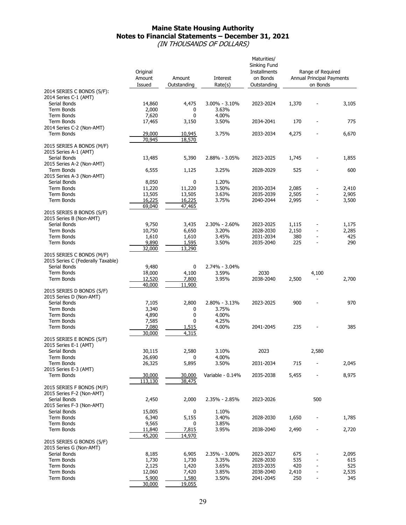|                                         | Original<br>Amount<br>Issued | Amount<br>Outstanding | Interest<br>Rate(s) | Maturities/<br>Sinking Fund<br><b>Installments</b><br>on Bonds<br>Outstanding |       | Range of Required<br><b>Annual Principal Payments</b><br>on Bonds |       |
|-----------------------------------------|------------------------------|-----------------------|---------------------|-------------------------------------------------------------------------------|-------|-------------------------------------------------------------------|-------|
| 2014 SERIES C BONDS (S/F):              |                              |                       |                     |                                                                               |       |                                                                   |       |
| 2014 Series C-1 (AMT)                   |                              |                       |                     |                                                                               |       |                                                                   |       |
| Serial Bonds                            | 14,860                       | 4,475                 | 3.00% - 3.10%       | 2023-2024                                                                     | 1,370 |                                                                   | 3,105 |
| Term Bonds                              | 2,000                        | 0<br>0                | 3.63%               |                                                                               |       |                                                                   |       |
| Term Bonds<br>Term Bonds                | 7,620<br>17,465              | 3,150                 | 4.00%<br>3.50%      | 2034-2041                                                                     | 170   |                                                                   | 775   |
| 2014 Series C-2 (Non-AMT)               |                              |                       |                     |                                                                               |       |                                                                   |       |
| Term Bonds                              | 29,000                       | 10,945                | 3.75%               | 2033-2034                                                                     | 4,275 |                                                                   | 6,670 |
|                                         | 70,945                       | 18,570                |                     |                                                                               |       |                                                                   |       |
| 2015 SERIES A BONDS (M/F)               |                              |                       |                     |                                                                               |       |                                                                   |       |
| 2015 Series A-1 (AMT)                   |                              |                       |                     |                                                                               |       |                                                                   |       |
| Serial Bonds                            | 13,485                       | 5,390                 | 2.88% - 3.05%       | 2023-2025                                                                     | 1,745 |                                                                   | 1,855 |
| 2015 Series A-2 (Non-AMT)<br>Term Bonds | 6,555                        | 1,125                 | 3.25%               | 2028-2029                                                                     | 525   |                                                                   | 600   |
| 2015 Series A-3 (Non-AMT)               |                              |                       |                     |                                                                               |       |                                                                   |       |
| Serial Bonds                            | 8,050                        | 0                     | 1.20%               |                                                                               |       |                                                                   |       |
| Term Bonds                              | 11,220                       | 11,220                | 3.50%               | 2030-2034                                                                     | 2,085 |                                                                   | 2,410 |
| Term Bonds                              | 13,505                       | 13,505                | 3.63%               | 2035-2039                                                                     | 2,505 |                                                                   | 2,905 |
| Term Bonds                              | 16,225                       | 16,225                | 3.75%               | 2040-2044                                                                     | 2,995 | $\overline{a}$                                                    | 3,500 |
|                                         | 69,040                       | 47,465                |                     |                                                                               |       |                                                                   |       |
| 2015 SERIES B BONDS (S/F)               |                              |                       |                     |                                                                               |       |                                                                   |       |
| 2015 Series B (Non-AMT)<br>Serial Bonds | 9,750                        | 3,435                 | 2.30% - 2.60%       | 2023-2025                                                                     | 1,115 |                                                                   | 1,175 |
| Term Bonds                              | 10,750                       | 6,650                 | 3.20%               | 2028-2030                                                                     | 2,150 |                                                                   | 2,285 |
| Term Bonds                              | 1,610                        | 1,610                 | 3.45%               | 2031-2034                                                                     | 380   |                                                                   | 425   |
| Term Bonds                              | 9,890                        | 1,595                 | 3.50%               | 2035-2040                                                                     | 225   | $\qquad \qquad \blacksquare$                                      | 290   |
|                                         | 32,000                       | 13,290                |                     |                                                                               |       |                                                                   |       |
| 2015 SERIES C BONDS (M/F)               |                              |                       |                     |                                                                               |       |                                                                   |       |
| 2015 Series C (Federally Taxable)       |                              |                       |                     |                                                                               |       |                                                                   |       |
| Serial Bonds                            | 9,480                        | 0                     | 2.74% - 3.04%       |                                                                               |       |                                                                   |       |
| Term Bonds                              | 18,000                       | 4,100                 | 3.59%               | 2030                                                                          |       | 4,100                                                             |       |
| Term Bonds                              | 12,520<br>40,000             | 7,800<br>11,900       | 3.95%               | 2038-2040                                                                     | 2,500 |                                                                   | 2,700 |
| 2015 SERIES D BONDS (S/F)               |                              |                       |                     |                                                                               |       |                                                                   |       |
| 2015 Series D (Non-AMT)                 |                              |                       |                     |                                                                               |       |                                                                   |       |
| Serial Bonds                            | 7,105                        | 2,800                 | 2.80% - 3.13%       | 2023-2025                                                                     | 900   |                                                                   | 970   |
| Term Bonds                              | 3,340                        | 0                     | 3.75%               |                                                                               |       |                                                                   |       |
| Term Bonds                              | 4,890                        | 0                     | 4.00%               |                                                                               |       |                                                                   |       |
| Term Bonds                              | 7,585                        | 0                     | 4.25%               | 2041-2045                                                                     |       |                                                                   |       |
| Term Bonds                              | 7,080<br>30,000              | 1,515<br>4,315        | 4.00%               |                                                                               | 235   |                                                                   | 385   |
| 2015 SERIES E BONDS (S/F)               |                              |                       |                     |                                                                               |       |                                                                   |       |
| 2015 Series E-1 (AMT)                   |                              |                       |                     |                                                                               |       |                                                                   |       |
| Serial Bonds                            | 30,115                       | 2,580                 | 3.10%               | 2023                                                                          |       | 2,580                                                             |       |
| Term Bonds                              | 26,690                       | 0                     | 4.00%               |                                                                               |       |                                                                   |       |
| Term Bonds                              | 26,325                       | 5,895                 | 3.50%               | 2031-2034                                                                     | 715   |                                                                   | 2,045 |
| 2015 Series E-3 (AMT)                   |                              |                       |                     |                                                                               |       |                                                                   |       |
| Term Bonds                              | 30,000<br>113,130            | 30,000<br>38,475      | Variable - 0.14%    | 2035-2038                                                                     | 5,455 |                                                                   | 8,975 |
| 2015 SERIES F BONDS (M/F)               |                              |                       |                     |                                                                               |       |                                                                   |       |
| 2015 Series F-2 (Non-AMT)               |                              |                       |                     |                                                                               |       |                                                                   |       |
| Serial Bonds                            | 2,450                        | 2,000                 | 2.35% - 2.85%       | 2023-2026                                                                     |       | 500                                                               |       |
| 2015 Series F-3 (Non-AMT)               |                              |                       |                     |                                                                               |       |                                                                   |       |
| Serial Bonds                            | 15,005                       | 0                     | 1.10%               |                                                                               |       |                                                                   |       |
| Term Bonds                              | 6,340                        | 5,155                 | 3.40%               | 2028-2030                                                                     | 1,650 |                                                                   | 1,785 |
| Term Bonds                              | 9,565                        | 0                     | 3.85%               |                                                                               |       |                                                                   |       |
| Term Bonds                              | 11,840<br>45,200             | 7,815<br>14,970       | 3.95%               | 2038-2040                                                                     | 2,490 |                                                                   | 2,720 |
| 2015 SERIES G BONDS (S/F)               |                              |                       |                     |                                                                               |       |                                                                   |       |
| 2015 Series G (Non-AMT)                 |                              |                       |                     |                                                                               |       |                                                                   |       |
| Serial Bonds                            | 8,185                        | 6,905                 | 2.35% - 3.00%       | 2023-2027                                                                     | 675   |                                                                   | 2,095 |
| Term Bonds                              | 1,730                        | 1,730                 | 3.35%               | 2028-2030                                                                     | 535   |                                                                   | 615   |
| Term Bonds                              | 2,125                        | 1,420                 | 3.65%               | 2033-2035                                                                     | 420   |                                                                   | 525   |
| Term Bonds                              | 12,060                       | 7,420                 | 3.85%               | 2038-2040                                                                     | 2,410 |                                                                   | 2,535 |
| Term Bonds                              | 5,900                        | 1,580                 | 3.50%               | 2041-2045                                                                     | 250   |                                                                   | 345   |
|                                         | 30,000                       | 19,055                |                     |                                                                               |       |                                                                   |       |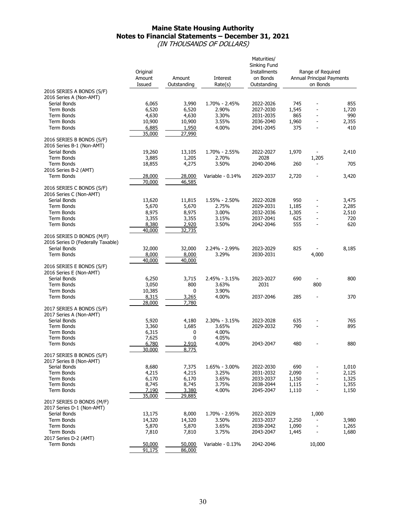|                                         | Original<br>Amount<br>Issued | Amount<br>Outstanding | Interest<br>Rate(s) | Maturities/<br>Sinking Fund<br>Installments<br>on Bonds<br>Outstanding |              | Range of Required<br>Annual Principal Payments<br>on Bonds |                |
|-----------------------------------------|------------------------------|-----------------------|---------------------|------------------------------------------------------------------------|--------------|------------------------------------------------------------|----------------|
| 2016 SERIES A BONDS (S/F)               |                              |                       |                     |                                                                        |              |                                                            |                |
| 2016 Series A (Non-AMT)                 |                              |                       |                     |                                                                        |              |                                                            |                |
| Serial Bonds                            | 6,065                        | 3,990                 | 1.70% - 2.45%       | 2022-2026                                                              | 745          |                                                            | 855            |
| Term Bonds                              | 6,520                        | 6,520                 | 2.90%<br>3.30%      | 2027-2030                                                              | 1,545        | $\overline{a}$                                             | 1,720          |
| Term Bonds<br>Term Bonds                | 4,630<br>10,900              | 4,630<br>10,900       | 3.55%               | 2031-2035<br>2036-2040                                                 | 865<br>1,960 |                                                            | 990<br>2,355   |
| Term Bonds                              | 6,885                        | 1,950                 | 4.00%               | 2041-2045                                                              | 375          | $\overline{\phantom{a}}$                                   | 410            |
|                                         | 35,000                       | 27,990                |                     |                                                                        |              |                                                            |                |
| 2016 SERIES B BONDS (S/F)               |                              |                       |                     |                                                                        |              |                                                            |                |
| 2016 Series B-1 (Non-AMT)               |                              |                       |                     |                                                                        |              |                                                            |                |
| Serial Bonds                            | 19,260                       | 13,105                | 1.70% - 2.55%       | 2022-2027                                                              | 1,970        |                                                            | 2,410          |
| <b>Term Bonds</b>                       | 3,885                        | 1,205                 | 2.70%               | 2028                                                                   |              | 1,205                                                      |                |
| Term Bonds                              | 18,855                       | 4,275                 | 3.50%               | 2040-2046                                                              | 260          | $\overline{\phantom{a}}$                                   | 705            |
| 2016 Series B-2 (AMT)                   |                              |                       |                     |                                                                        |              |                                                            |                |
| Term Bonds                              | 28,000                       | 28,000                | Variable - 0.14%    | 2029-2037                                                              | 2,720        | $\overline{\phantom{a}}$                                   | 3,420          |
|                                         | 70,000                       | 46,585                |                     |                                                                        |              |                                                            |                |
| 2016 SERIES C BONDS (S/F)               |                              |                       |                     |                                                                        |              |                                                            |                |
| 2016 Series C (Non-AMT)<br>Serial Bonds | 13,620                       |                       | 1.55% - 2.50%       | 2022-2028                                                              | 950          |                                                            |                |
| Term Bonds                              | 5,670                        | 11,815<br>5,670       | 2.75%               | 2029-2031                                                              | 1,185        |                                                            | 3,475<br>2,285 |
| Term Bonds                              | 8,975                        | 8,975                 | 3.00%               | 2032-2036                                                              | 1,305        | $\overline{a}$                                             | 2,510          |
| <b>Term Bonds</b>                       | 3,355                        | 3,355                 | 3.15%               | 2037-2041                                                              | 625          | $\qquad \qquad \blacksquare$                               | 720            |
| Term Bonds                              | 8,380                        | 2,920                 | 3.50%               | 2042-2046                                                              | 555          | $\overline{a}$                                             | 620            |
|                                         | 40,000                       | 32,735                |                     |                                                                        |              |                                                            |                |
| 2016 SERIES D BONDS (M/F)               |                              |                       |                     |                                                                        |              |                                                            |                |
| 2016 Series D (Federally Taxable)       |                              |                       |                     |                                                                        |              |                                                            |                |
| Serial Bonds                            | 32,000                       | 32,000                | 2.24% - 2.99%       | 2023-2029                                                              | 825          |                                                            | 8,185          |
| Term Bonds                              | 8,000                        | 8,000                 | 3.29%               | 2030-2031                                                              |              | 4,000                                                      |                |
|                                         | 40,000                       | 40,000                |                     |                                                                        |              |                                                            |                |
| 2016 SERIES E BONDS (S/F)               |                              |                       |                     |                                                                        |              |                                                            |                |
| 2016 Series E (Non-AMT)                 |                              |                       |                     |                                                                        |              |                                                            |                |
| Serial Bonds                            | 6,250                        | 3,715                 | 2.45% - 3.15%       | 2023-2027                                                              | 690          |                                                            | 800            |
| <b>Term Bonds</b><br>Term Bonds         | 3,050<br>10,385              | 800<br>0              | 3.63%<br>3.90%      | 2031                                                                   |              | 800                                                        |                |
| Term Bonds                              | 8,315                        | 3,265                 | 4.00%               | 2037-2046                                                              | 285          |                                                            | 370            |
|                                         | 28,000                       | 7,780                 |                     |                                                                        |              |                                                            |                |
| 2017 SERIES A BONDS (S/F)               |                              |                       |                     |                                                                        |              |                                                            |                |
| 2017 Series A (Non-AMT)                 |                              |                       |                     |                                                                        |              |                                                            |                |
| Serial Bonds                            | 5,920                        | 4,180                 | 2.30% - 3.15%       | 2023-2028                                                              | 635          |                                                            | 765            |
| Term Bonds                              | 3,360                        | 1,685                 | 3.65%               | 2029-2032                                                              | 790          |                                                            | 895            |
| Term Bonds                              | 6,315                        | 0                     | 4.00%               |                                                                        |              |                                                            |                |
| <b>Term Bonds</b><br><b>Term Bonds</b>  | 7,625<br>6,780               | 0<br>2,910            | 4.05%<br>4.00%      | 2043-2047                                                              | 480          |                                                            | 880            |
|                                         | 30,000                       | 8,775                 |                     |                                                                        |              |                                                            |                |
| 2017 SERIES B BONDS (S/F)               |                              |                       |                     |                                                                        |              |                                                            |                |
| 2017 Series B (Non-AMT)                 |                              |                       |                     |                                                                        |              |                                                            |                |
| Serial Bonds                            | 8,680                        | 7,375                 | 1.65% - 3.00%       | 2022-2030                                                              | 690          |                                                            | 1,010          |
| Term Bonds                              | 4,215                        | 4,215                 | 3.25%               | 2031-2032                                                              | 2,090        |                                                            | 2,125          |
| Term Bonds                              | 6,170                        | 6,170                 | 3.65%               | 2033-2037                                                              | 1,150        | $\overline{\phantom{a}}$                                   | 1,325          |
| Term Bonds                              | 8,745                        | 8,745                 | 3.75%               | 2038-2044                                                              | 1.115        | $\overline{\phantom{0}}$                                   | 1,355          |
| Term Bonds                              | 7,190                        | 3,380                 | 4.00%               | 2045-2047                                                              | 1,110        | $\overline{\phantom{a}}$                                   | 1,150          |
| 2017 SERIES D BONDS (M/F)               | 35,000                       | 29,885                |                     |                                                                        |              |                                                            |                |
| 2017 Series D-1 (Non-AMT)               |                              |                       |                     |                                                                        |              |                                                            |                |
| Serial Bonds                            | 13,175                       | 8,000                 | 1.70% - 2.95%       | 2022-2029                                                              |              | 1,000                                                      |                |
| Term Bonds                              | 14,320                       | 14,320                | 3.50%               | 2033-2037                                                              | 2,250        |                                                            | 3,980          |
| Term Bonds                              | 5,870                        | 5,870                 | 3.65%               | 2038-2042                                                              | 1,090        | $\overline{\phantom{a}}$                                   | 1,265          |
| <b>Term Bonds</b>                       | 7,810                        | 7,810                 | 3.75%               | 2043-2047                                                              | 1,445        |                                                            | 1,680          |
| 2017 Series D-2 (AMT)                   |                              |                       |                     |                                                                        |              |                                                            |                |
| Term Bonds                              | 50,000                       | 50,000                | Variable - 0.13%    | 2042-2046                                                              |              | 10,000                                                     |                |
|                                         | 91,175                       | 86,000                |                     |                                                                        |              |                                                            |                |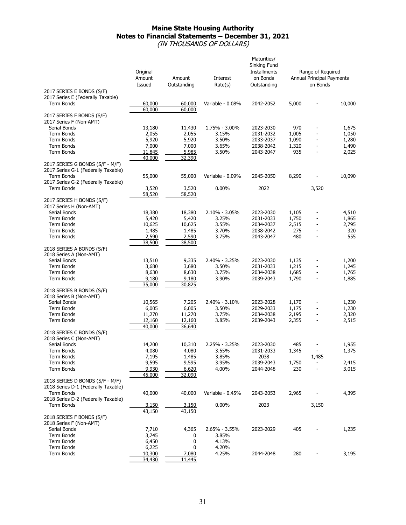|                                                        | Original<br>Amount<br>Issued | Amount<br>Outstanding | Interest<br>Rate(s) | Maturities/<br>Sinking Fund<br><b>Installments</b><br>on Bonds<br>Outstanding |       | Range of Required<br>Annual Principal Payments<br>on Bonds |                |
|--------------------------------------------------------|------------------------------|-----------------------|---------------------|-------------------------------------------------------------------------------|-------|------------------------------------------------------------|----------------|
| 2017 SERIES E BONDS (S/F)                              |                              |                       |                     |                                                                               |       |                                                            |                |
| 2017 Series E (Federally Taxable)<br><b>Term Bonds</b> | 60,000                       | 60,000                | Variable - 0.08%    | 2042-2052                                                                     | 5,000 |                                                            | 10,000         |
|                                                        | 60,000                       | 60,000                |                     |                                                                               |       |                                                            |                |
| 2017 SERIES F BONDS (S/F)                              |                              |                       |                     |                                                                               |       |                                                            |                |
| 2017 Series F (Non-AMT)<br>Serial Bonds                |                              |                       | 1.75% - 3.00%       |                                                                               | 970   |                                                            |                |
| Term Bonds                                             | 13,180<br>2,055              | 11,430<br>2,055       | 3.15%               | 2023-2030<br>2031-2032                                                        | 1,005 |                                                            | 1,675<br>1,050 |
| Term Bonds                                             | 5,920                        | 5,920                 | 3.50%               | 2033-2037                                                                     | 1,090 | $\overline{\phantom{a}}$                                   | 1,280          |
| Term Bonds                                             | 7,000                        | 7,000                 | 3.65%               | 2038-2042                                                                     | 1,320 | $\overline{a}$                                             | 1,490          |
| Term Bonds                                             | 11,845                       | 5,985                 | 3.50%               | 2043-2047                                                                     | 935   | $\overline{\phantom{0}}$                                   | 2,025          |
|                                                        | 40,000                       | 32,390                |                     |                                                                               |       |                                                            |                |
| 2017 SERIES G BONDS (S/F - M/F)                        |                              |                       |                     |                                                                               |       |                                                            |                |
| 2017 Series G-1 (Federally Taxable)                    |                              |                       |                     |                                                                               |       |                                                            |                |
| <b>Term Bonds</b>                                      | 55,000                       | 55,000                | Variable - 0.09%    | 2045-2050                                                                     | 8,290 |                                                            | 10,090         |
| 2017 Series G-2 (Federally Taxable)                    |                              |                       |                     |                                                                               |       |                                                            |                |
| <b>Term Bonds</b>                                      | 3,520                        | 3,520                 | 0.00%               | 2022                                                                          |       | 3,520                                                      |                |
|                                                        | 58,520                       | 58,520                |                     |                                                                               |       |                                                            |                |
| 2017 SERIES H BONDS (S/F)                              |                              |                       |                     |                                                                               |       |                                                            |                |
| 2017 Series H (Non-AMT)                                |                              |                       |                     |                                                                               |       |                                                            |                |
| Serial Bonds                                           | 18,380                       | 18,380                | 2.10% - 3.05%       | 2023-2030                                                                     | 1,105 |                                                            | 4,510          |
| Term Bonds                                             | 5,420                        | 5,420                 | 3.25%               | 2031-2033                                                                     | 1,750 |                                                            | 1,865          |
| Term Bonds                                             | 10,625                       | 10,625                | 3.55%               | 2034-2037                                                                     | 2,515 | $\overline{a}$                                             | 2,795          |
| Term Bonds                                             | 1,485                        | 1,485                 | 3.70%               | 2038-2042                                                                     | 275   | $\overline{a}$                                             | 320            |
| Term Bonds                                             | 2,590                        | 2,590                 | 3.75%               | 2043-2047                                                                     | 480   | $\overline{a}$                                             | 555            |
| 2018 SERIES A BONDS (S/F)                              | 38,500                       | 38,500                |                     |                                                                               |       |                                                            |                |
| 2018 Series A (Non-AMT)                                |                              |                       |                     |                                                                               |       |                                                            |                |
| Serial Bonds                                           | 13,510                       | 9,335                 | 2.40% - 3.25%       | 2023-2030                                                                     | 1,135 |                                                            | 1,200          |
| Term Bonds                                             | 3,680                        | 3,680                 | 3.50%               | 2031-2033                                                                     | 1,215 |                                                            | 1,245          |
| Term Bonds                                             | 8,630                        | 8,630                 | 3.75%               | 2034-2038                                                                     | 1,685 | $\overline{a}$                                             | 1,765          |
| Term Bonds                                             | 9,180                        | 9,180                 | 3.90%               | 2039-2043                                                                     | 1,790 | $\overline{a}$                                             | 1,885          |
|                                                        | 35,000                       | 30,825                |                     |                                                                               |       |                                                            |                |
| 2018 SERIES B BONDS (S/F)                              |                              |                       |                     |                                                                               |       |                                                            |                |
| 2018 Series B (Non-AMT)                                |                              |                       |                     |                                                                               |       |                                                            |                |
| Serial Bonds                                           | 10,565                       | 7,205                 | 2.40% - 3.10%       | 2023-2028                                                                     | 1,170 |                                                            | 1,230          |
| Term Bonds                                             | 6,005                        | 6,005                 | 3.50%               | 2029-2033                                                                     | 1,175 |                                                            | 1,230          |
| Term Bonds                                             | 11,270                       | 11,270                | 3.75%               | 2034-2038                                                                     | 2,195 | $\overline{\phantom{0}}$                                   | 2,320          |
| Term Bonds                                             | 12,160<br>40,000             | 12,160<br>36,640      | 3.85%               | 2039-2043                                                                     | 2,355 | $\overline{a}$                                             | 2,515          |
| 2018 SERIES C BONDS (S/F)                              |                              |                       |                     |                                                                               |       |                                                            |                |
| 2018 Series C (Non-AMT)                                |                              |                       |                     |                                                                               |       |                                                            |                |
| Serial Bonds                                           | 14,200                       | 10,310                | 2.25% - 3.25%       | 2023-2030                                                                     | 485   |                                                            | 1,955          |
| Term Bonds                                             | 4,080                        | 4,080                 | 3.55%               | 2031-2033                                                                     | 1,345 |                                                            | 1,375          |
| Term Bonds                                             | 7,195                        | 1,485                 | 3.85%               | 2038                                                                          |       | 1,485                                                      |                |
| Term Bonds                                             | 9,595                        | 9,595                 | 3.95%               | 2039-2043                                                                     | 1,750 | $\overline{\phantom{0}}$                                   | 2,415          |
| Term Bonds                                             | 9,930                        | 6,620                 | 4.00%               | 2044-2048                                                                     | 230   |                                                            | 3,015          |
|                                                        | 45,000                       | 32,090                |                     |                                                                               |       |                                                            |                |
| 2018 SERIES D BONDS (S/F - M/F)                        |                              |                       |                     |                                                                               |       |                                                            |                |
| 2018 Series D-1 (Federally Taxable)                    |                              |                       |                     |                                                                               |       |                                                            |                |
| <b>Term Bonds</b>                                      | 40,000                       | 40,000                | Variable - 0.45%    | 2043-2053                                                                     | 2,965 |                                                            | 4,395          |
| 2018 Series D-2 (Federally Taxable)                    |                              |                       |                     |                                                                               |       |                                                            |                |
| <b>Term Bonds</b>                                      | 3,150                        | 3,150                 | $0.00\%$            | 2023                                                                          |       | 3,150                                                      |                |
|                                                        | 43,150                       | 43,150                |                     |                                                                               |       |                                                            |                |
| 2018 SERIES F BONDS (S/F)                              |                              |                       |                     |                                                                               |       |                                                            |                |
| 2018 Series F (Non-AMT)<br>Serial Bonds                | 7,710                        | 4,365                 | 2.65% - 3.55%       | 2023-2029                                                                     | 405   |                                                            | 1,235          |
| <b>Term Bonds</b>                                      | 3,745                        | 0                     | 3.85%               |                                                                               |       |                                                            |                |
| Term Bonds                                             | 6,450                        | 0                     | 4.13%               |                                                                               |       |                                                            |                |
| Term Bonds                                             | 6,225                        | 0                     | 4.20%               |                                                                               |       |                                                            |                |
| Term Bonds                                             | 10,300                       | 7,080                 | 4.25%               | 2044-2048                                                                     | 280   |                                                            | 3,195          |
|                                                        | 34,430                       | 11,445                |                     |                                                                               |       |                                                            |                |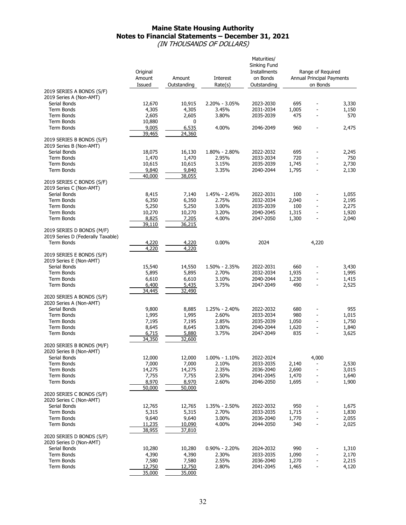|                                                                      | Original<br>Amount<br>Issued | Amount<br>Outstanding | Interest<br>Rate(s)    | Maturities/<br>Sinking Fund<br><b>Installments</b><br>on Bonds<br>Outstanding |                | Range of Reguired<br>Annual Principal Payments<br>on Bonds |                |
|----------------------------------------------------------------------|------------------------------|-----------------------|------------------------|-------------------------------------------------------------------------------|----------------|------------------------------------------------------------|----------------|
| 2019 SERIES A BONDS (S/F)                                            |                              |                       |                        |                                                                               |                |                                                            |                |
| 2019 Series A (Non-AMT)                                              |                              |                       |                        |                                                                               |                |                                                            |                |
| Serial Bonds<br>Term Bonds                                           | 12,670<br>4,305              | 10,915<br>4,305       | 2.20% - 3.05%<br>3.45% | 2023-2030<br>2031-2034                                                        | 695<br>1,005   |                                                            | 3,330<br>1,150 |
| Term Bonds                                                           | 2,605                        | 2,605                 | 3.80%                  | 2035-2039                                                                     | 475            | $\blacksquare$                                             | 570            |
| Term Bonds                                                           | 10,880                       | 0                     |                        |                                                                               |                |                                                            |                |
| Term Bonds                                                           | 9,005                        | 6,535                 | 4.00%                  | 2046-2049                                                                     | 960            |                                                            | 2,475          |
|                                                                      | 39,465                       | 24,360                |                        |                                                                               |                |                                                            |                |
| 2019 SERIES B BONDS (S/F)                                            |                              |                       |                        |                                                                               |                |                                                            |                |
| 2019 Series B (Non-AMT)                                              |                              |                       |                        |                                                                               |                |                                                            |                |
| Serial Bonds                                                         | 18,075                       | 16,130                | 1.80% - 2.80%          | 2022-2032                                                                     | 695            |                                                            | 2,245          |
| <b>Term Bonds</b>                                                    | 1,470                        | 1,470                 | 2.95%                  | 2033-2034                                                                     | 720            |                                                            | 750            |
| Term Bonds<br>Term Bonds                                             | 10,615<br>9,840              | 10,615<br>9,840       | 3.15%<br>3.35%         | 2035-2039<br>2040-2044                                                        | 1,745<br>1,795 | $\overline{\phantom{a}}$                                   | 2,730<br>2,130 |
|                                                                      | 40,000                       | 38,055                |                        |                                                                               |                |                                                            |                |
| 2019 SERIES C BONDS (S/F)<br>2019 Series C (Non-AMT)                 |                              |                       |                        |                                                                               |                |                                                            |                |
| Serial Bonds                                                         | 8,415                        | 7,140                 | 1.45% - 2.45%          | 2022-2031                                                                     | 100            |                                                            | 1,055          |
| Term Bonds                                                           | 6,350                        | 6,350                 | 2.75%                  | 2032-2034                                                                     | 2,040          |                                                            | 2,195          |
| Term Bonds<br>Term Bonds                                             | 5,250<br>10,270              | 5,250<br>10,270       | 3.00%<br>3.20%         | 2035-2039<br>2040-2045                                                        | 100<br>1,315   | $\overline{a}$                                             | 2,275<br>1,920 |
| Term Bonds                                                           | 8,825                        | 7,205                 | 4.00%                  | 2047-2050                                                                     | 1,300          | $\overline{a}$                                             | 2,040          |
|                                                                      | 39,110                       | 36,215                |                        |                                                                               |                |                                                            |                |
| 2019 SERIES D BONDS (M/F)<br>2019 Series D (Federally Taxable)       |                              |                       |                        |                                                                               |                |                                                            |                |
| Term Bonds                                                           | 4,220                        | 4,220                 | $0.00\%$               | 2024                                                                          |                | 4,220                                                      |                |
|                                                                      | 4,220                        | 4,220                 |                        |                                                                               |                |                                                            |                |
| 2019 SERIES E BONDS (S/F)<br>2019 Series E (Non-AMT)<br>Serial Bonds | 15,540                       | 14,550                | 1.50% - 2.35%          | 2022-2031                                                                     | 660            |                                                            | 3,430          |
| Term Bonds                                                           | 5,895                        | 5,895                 | 2.70%                  | 2032-2034                                                                     | 1,935          |                                                            | 1,995          |
| Term Bonds                                                           | 6,610                        | 6,610                 | 3.10%                  | 2040-2044                                                                     | 1,230          | $\overline{\phantom{a}}$                                   | 1,415          |
| Term Bonds                                                           | 6,400                        | 5,435                 | 3.75%                  | 2047-2049                                                                     | 490            |                                                            | 2,525          |
|                                                                      | 34,445                       | 32,490                |                        |                                                                               |                |                                                            |                |
| 2020 SERIES A BONDS (S/F)<br>2020 Series A (Non-AMT)                 |                              |                       |                        |                                                                               |                |                                                            |                |
| Serial Bonds                                                         | 9,800                        | 8,885                 | 1.25% - 2.40%          | 2022-2032                                                                     | 680            |                                                            | 955            |
| <b>Term Bonds</b>                                                    | 1,995                        | 1,995                 | 2.60%                  | 2033-2034                                                                     | 980            | $\overline{\phantom{a}}$                                   | 1,015          |
| Term Bonds<br>Term Bonds                                             | 7,195<br>8,645               | 7,195<br>8,645        | 2.85%<br>3.00%         | 2035-2039<br>2040-2044                                                        | 1,050<br>1,620 | $\overline{a}$                                             | 1,750<br>1,840 |
| Term Bonds                                                           | 6,715                        | 5,880                 | 3.75%                  | 2047-2049                                                                     | 835            |                                                            | 3,625          |
|                                                                      | 34,350                       | 32,600                |                        |                                                                               |                |                                                            |                |
| 2020 SERIES B BONDS (M/F)<br>2020 Series B (Non-AMT)                 |                              |                       |                        |                                                                               |                |                                                            |                |
| Serial Bonds                                                         | 12,000                       | 12,000                | 1.00% - 1.10%          | 2022-2024                                                                     |                | 4,000                                                      |                |
| Term Bonds                                                           | 7,000                        | 7,000                 | 2.10%                  | 2033-2035                                                                     | 2,140          |                                                            | 2,530          |
| Term Bonds<br>Term Bonds                                             | 14,275<br>7,755              | 14,275<br>7,755       | 2.35%<br>2.50%         | 2036-2040<br>2041-2045                                                        | 2,690<br>1,470 |                                                            | 3,015<br>1,640 |
| Term Bonds                                                           | 8,970                        | 8,970                 | 2.60%                  | 2046-2050                                                                     | 1,695          |                                                            | 1,900          |
|                                                                      | 50,000                       | 50,000                |                        |                                                                               |                |                                                            |                |
| 2020 SERIES C BONDS (S/F)<br>2020 Series C (Non-AMT)                 |                              |                       |                        |                                                                               |                |                                                            |                |
| Serial Bonds                                                         | 12,765                       | 12,765                | 1.35% - 2.50%          | 2022-2032                                                                     | 950            |                                                            | 1,675          |
| Term Bonds                                                           | 5,315                        | 5,315                 | 2.70%                  | 2033-2035                                                                     | 1,715          |                                                            | 1,830          |
| <b>Term Bonds</b>                                                    | 9,640                        | 9,640                 | 3.00%                  | 2036-2040                                                                     | 1,770          |                                                            | 2,055          |
| Term Bonds                                                           | 11,235                       | 10,090                | 4.00%                  | 2044-2050                                                                     | 340            |                                                            | 2,025          |
| 2020 SERIES D BONDS (S/F)                                            | 38,955                       | 37,810                |                        |                                                                               |                |                                                            |                |
| 2020 Series D (Non-AMT)                                              |                              |                       |                        |                                                                               |                |                                                            |                |
| Serial Bonds                                                         | 10,280                       | 10,280                | $0.90\% - 2.20\%$      | 2024-2032                                                                     | 990            |                                                            | 1,310          |
| Term Bonds                                                           | 4,390                        | 4,390                 | 2.30%                  | 2033-2035                                                                     | 1,090          |                                                            | 2,170          |
| Term Bonds                                                           | 7,580                        | 7,580                 | 2.55%                  | 2036-2040                                                                     | 1,270          |                                                            | 2,215          |
| Term Bonds                                                           | 12,750<br>35,000             | 12,750<br>35,000      | 2.80%                  | 2041-2045                                                                     | 1,465          |                                                            | 4,120          |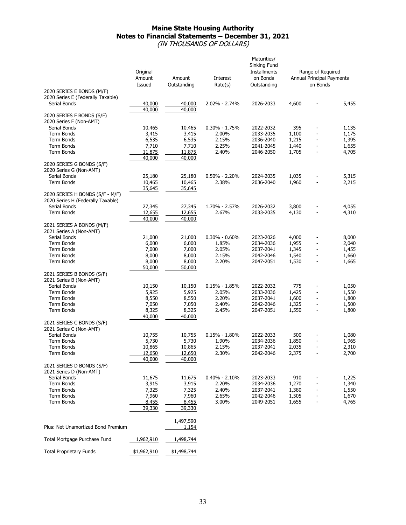|                                                                      | Original<br>Amount<br>Issued | Amount<br>Outstanding | Interest<br>Rate(s) | Maturities/<br>Sinking Fund<br><b>Installments</b><br>on Bonds<br>Outstanding |                | Range of Required<br><b>Annual Principal Payments</b><br>on Bonds |                |
|----------------------------------------------------------------------|------------------------------|-----------------------|---------------------|-------------------------------------------------------------------------------|----------------|-------------------------------------------------------------------|----------------|
| 2020 SERIES E BONDS (M/F)                                            |                              |                       |                     |                                                                               |                |                                                                   |                |
| 2020 Series E (Federally Taxable)<br>Serial Bonds                    | 40,000<br>40,000             | 40,000<br>40,000      | 2.02% - 2.74%       | 2026-2033                                                                     | 4,600          |                                                                   | 5,455          |
| 2020 SERIES F BONDS (S/F)                                            |                              |                       |                     |                                                                               |                |                                                                   |                |
| 2020 Series F (Non-AMT)                                              |                              |                       |                     |                                                                               |                |                                                                   |                |
| Serial Bonds                                                         | 10,465                       | 10,465                | $0.30\% - 1.75\%$   | 2022-2032                                                                     | 395            |                                                                   | 1,135          |
| Term Bonds<br>Term Bonds                                             | 3,415<br>6,535               | 3,415<br>6,535        | 2.00%<br>2.15%      | 2033-2035<br>2036-2040                                                        | 1,100<br>1,215 | $\overline{\phantom{a}}$                                          | 1,175<br>1,395 |
| Term Bonds                                                           | 7,710                        | 7,710                 | 2.25%               | 2041-2045                                                                     | 1,440          |                                                                   | 1,655          |
| Term Bonds                                                           | 11,875                       | 11,875                | 2.40%               | 2046-2050                                                                     | 1,705          | $\overline{\phantom{0}}$                                          | 4,705          |
|                                                                      | 40,000                       | 40,000                |                     |                                                                               |                |                                                                   |                |
| 2020 SERIES G BONDS (S/F)<br>2020 Series G (Non-AMT)                 |                              |                       |                     |                                                                               |                |                                                                   |                |
| Serial Bonds                                                         | 25,180                       | 25,180                | $0.50\% - 2.20\%$   | 2024-2035                                                                     | 1,035          |                                                                   | 5,315          |
| <b>Term Bonds</b>                                                    | 10,465<br>35,645             | 10,465<br>35,645      | 2.38%               | 2036-2040                                                                     | 1,960          |                                                                   | 2,215          |
| 2020 SERIES H BONDS (S/F - M/F)<br>2020 Series H (Federally Taxable) |                              |                       |                     |                                                                               |                |                                                                   |                |
| Serial Bonds                                                         | 27,345                       | 27,345                | 1.70% - 2.57%       | 2026-2032                                                                     | 3,800          |                                                                   | 4,055          |
| Term Bonds                                                           | 12,655<br>40,000             | 12,655<br>40,000      | 2.67%               | 2033-2035                                                                     | 4,130          |                                                                   | 4,310          |
| 2021 SERIES A BONDS (M/F)<br>2021 Series A (Non-AMT)                 |                              |                       |                     |                                                                               |                |                                                                   |                |
| Serial Bonds                                                         | 21,000                       | 21,000                | $0.30\% - 0.60\%$   | 2023-2026                                                                     | 4,000          |                                                                   | 8,000          |
| <b>Term Bonds</b>                                                    | 6,000                        | 6,000                 | 1.85%               | 2034-2036                                                                     | 1,955          | -                                                                 | 2,040          |
| Term Bonds                                                           | 7,000                        | 7,000                 | 2.05%               | 2037-2041                                                                     | 1,345          | $\overline{a}$                                                    | 1,455          |
| Term Bonds                                                           | 8,000                        | 8,000                 | 2.15%               | 2042-2046                                                                     | 1,540          | $\overline{\phantom{0}}$                                          | 1,660          |
| Term Bonds                                                           | 8,000<br>50,000              | 8,000<br>50,000       | 2.20%               | 2047-2051                                                                     | 1,530          |                                                                   | 1,665          |
| 2021 SERIES B BONDS (S/F)                                            |                              |                       |                     |                                                                               |                |                                                                   |                |
| 2021 Series B (Non-AMT)                                              |                              |                       |                     |                                                                               |                |                                                                   |                |
| Serial Bonds                                                         | 10,150                       | 10,150                | $0.15\% - 1.85\%$   | 2022-2032                                                                     | 775            |                                                                   | 1,050          |
| Term Bonds                                                           | 5,925                        | 5,925                 | 2.05%               | 2033-2036                                                                     | 1,425          |                                                                   | 1,550          |
| Term Bonds                                                           | 8,550                        | 8,550                 | 2.20%               | 2037-2041                                                                     | 1,600          |                                                                   | 1,800          |
| <b>Term Bonds</b>                                                    | 7,050                        | 7,050                 | 2.40%               | 2042-2046                                                                     | 1,325          | $\overline{a}$                                                    | 1,500          |
| Term Bonds                                                           | 8,325<br>40,000              | 8,325<br>40,000       | 2.45%               | 2047-2051                                                                     | 1,550          | $\overline{a}$                                                    | 1,800          |
| 2021 SERIES C BONDS (S/F)                                            |                              |                       |                     |                                                                               |                |                                                                   |                |
| 2021 Series C (Non-AMT)                                              |                              |                       |                     |                                                                               |                |                                                                   |                |
| Serial Bonds                                                         | 10,755                       | 10,755                | $0.15\% - 1.80\%$   | 2022-2033                                                                     | 500            |                                                                   | 1,080          |
| <b>Term Bonds</b>                                                    | 5,730                        | 5,730                 | 1.90%               | 2034-2036                                                                     | 1,850          |                                                                   | 1,965          |
| Term Bonds                                                           | 10,865                       | 10,865                | 2.15%               | 2037-2041                                                                     | 2,035          | $\overline{\phantom{0}}$                                          | 2,310          |
| Term Bonds                                                           | <u>12,650</u>                | <u>12,650 </u>        | 2.30%               | 2042-2046                                                                     | 2,375          |                                                                   | 2,700          |
|                                                                      | 40,000                       | 40,000                |                     |                                                                               |                |                                                                   |                |
| 2021 SERIES D BONDS (S/F)<br>2021 Series D (Non-AMT)                 |                              |                       |                     |                                                                               |                |                                                                   |                |
| Serial Bonds                                                         | 11,675                       | 11,675                | $0.40\% - 2.10\%$   | 2023-2033                                                                     | 910            |                                                                   | 1,225          |
| Term Bonds                                                           | 3,915                        | 3,915                 | 2.20%               | 2034-2036                                                                     | 1,270          |                                                                   | 1,340          |
| <b>Term Bonds</b>                                                    | 7,325                        | 7,325                 | 2.40%               | 2037-2041                                                                     | 1,380          |                                                                   | 1,550          |
| Term Bonds                                                           | 7,960                        | 7,960                 | 2.65%               | 2042-2046                                                                     | 1,505          |                                                                   | 1,670          |
| Term Bonds                                                           | 8,455                        | 8,455                 | 3.00%               | 2049-2051                                                                     | 1,655          |                                                                   | 4,765          |
|                                                                      | 39,330                       | 39,330                |                     |                                                                               |                |                                                                   |                |
| Plus: Net Unamortized Bond Premium                                   |                              | 1,497,590             |                     |                                                                               |                |                                                                   |                |
|                                                                      |                              | 1,154                 |                     |                                                                               |                |                                                                   |                |
| Total Mortgage Purchase Fund                                         | 1,962,910                    | 1,498,744             |                     |                                                                               |                |                                                                   |                |
| <b>Total Proprietary Funds</b>                                       | \$1,962,910                  | \$1,498,744           |                     |                                                                               |                |                                                                   |                |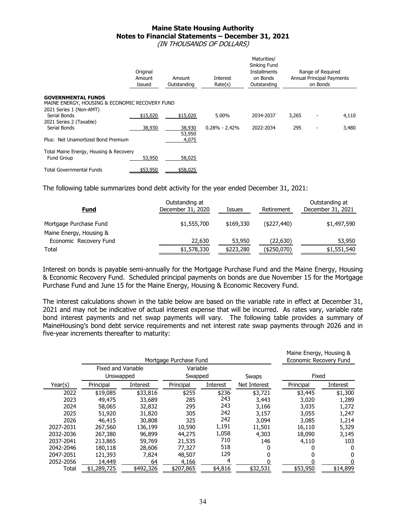$M_{\text{min}}$  and  $M_{\text{max}}$ 

|                                                                             | Original<br>Amount<br>Issued | Amount<br>Outstanding | Interest<br>Rate(s) | Maturities/<br>Sinking Fund<br><b>Installments</b><br>on Bonds<br>Outstanding |       | Range of Reguired<br><b>Annual Principal Payments</b><br>on Bonds |       |
|-----------------------------------------------------------------------------|------------------------------|-----------------------|---------------------|-------------------------------------------------------------------------------|-------|-------------------------------------------------------------------|-------|
| <b>GOVERNMENTAL FUNDS</b><br>MAINE ENERGY, HOUSING & ECONOMIC RECOVERY FUND |                              |                       |                     |                                                                               |       |                                                                   |       |
| 2021 Series 1 (Non-AMT)                                                     |                              |                       |                     |                                                                               |       |                                                                   |       |
| Serial Bonds                                                                | \$15,020                     | \$15,020              | 5.00%               | 2034-2037                                                                     | 3,265 |                                                                   | 4,110 |
| 2021 Series 2 (Taxable)                                                     |                              |                       |                     |                                                                               |       |                                                                   |       |
| Serial Bonds                                                                | 38,930                       | 38,930                | $0.28\% - 2.42\%$   | 2022-2034                                                                     | 295   |                                                                   | 3,480 |
| Plus: Net Unamortized Bond Premium                                          |                              | 53,950<br>4,075       |                     |                                                                               |       |                                                                   |       |
| Total Maine Energy, Housing & Recovery                                      |                              |                       |                     |                                                                               |       |                                                                   |       |
| Fund Group                                                                  | 53,950                       | 58,025                |                     |                                                                               |       |                                                                   |       |
| Total Governmental Funds                                                    | \$53,950                     | \$58,025              |                     |                                                                               |       |                                                                   |       |

The following table summarizes bond debt activity for the year ended December 31, 2021:

| <u>Fund</u>             | Outstanding at<br>December 31, 2020 | Issues    | Retirement   | Outstanding at<br>December 31, 2021 |
|-------------------------|-------------------------------------|-----------|--------------|-------------------------------------|
| Mortgage Purchase Fund  | \$1,555,700                         | \$169,330 | ( \$227,440) | \$1,497,590                         |
| Maine Energy, Housing & |                                     |           |              |                                     |
| Economic Recovery Fund  | 22,630                              | 53,950    | (22, 630)    | 53,950                              |
| Total                   | \$1,578,330                         | \$223,280 | (\$250,070)  | \$1,551,540                         |

Interest on bonds is payable semi-annually for the Mortgage Purchase Fund and the Maine Energy, Housing & Economic Recovery Fund. Scheduled principal payments on bonds are due November 15 for the Mortgage Purchase Fund and June 15 for the Maine Energy, Housing & Economic Recovery Fund.

The interest calculations shown in the table below are based on the variable rate in effect at December 31, 2021 and may not be indicative of actual interest expense that will be incurred. As rates vary, variable rate bond interest payments and net swap payments will vary. The following table provides a summary of MaineHousing's bond debt service requirements and net interest rate swap payments through 2026 and in five-year increments thereafter to maturity:

| Mortgage Purchase Fund |             |                    |           |          |              | Maine Energy, Housing & | Economic Recovery Fund |
|------------------------|-------------|--------------------|-----------|----------|--------------|-------------------------|------------------------|
|                        |             | Fixed and Variable | Variable  |          |              |                         |                        |
|                        |             | Unswapped          | Swapped   |          | Swaps        | Fixed                   |                        |
| Year(s)                | Principal   | Interest           | Principal | Interest | Net Interest | Principal               | Interest               |
| 2022                   | \$19,085    | \$33,816           | \$255     | \$236    | \$3,721      | \$3,445                 | \$1,300                |
| 2023                   | 49,475      | 33,689             | 285       | 243      | 3,443        | 3,020                   | 1,289                  |
| 2024                   | 58,065      | 32,832             | 295       | 243      | 3,166        | 3,035                   | 1,272                  |
| 2025                   | 51,920      | 31,820             | 305       | 242      | 3,157        | 3,055                   | 1,247                  |
| 2026                   | 46,415      | 30,808             | 325       | 242      | 3.094        | 3,085                   | 1,214                  |
| 2027-2031              | 267,560     | 136,199            | 10,590    | 1,191    | 11,501       | 16,110                  | 5,329                  |
| 2032-2036              | 267,380     | 96,899             | 44,275    | 1,058    | 4,303        | 18,090                  | 3,145                  |
| 2037-2041              | 213,865     | 59,769             | 21,535    | 710      | 146          | 4,110                   | 103                    |
| 2042-2046              | 180,118     | 28,606             | 77,327    | 518      |              |                         | 0                      |
| 2047-2051              | 121,393     | 7.824              | 48,507    | 129      |              |                         | 0                      |
| 2052-2056              | 14,449      | 64                 | 4,166     | 4        |              |                         |                        |
| Total                  | \$1,289,725 | \$492,326          | \$207,865 | \$4,816  | \$32,531     | \$53,950                | \$14,899               |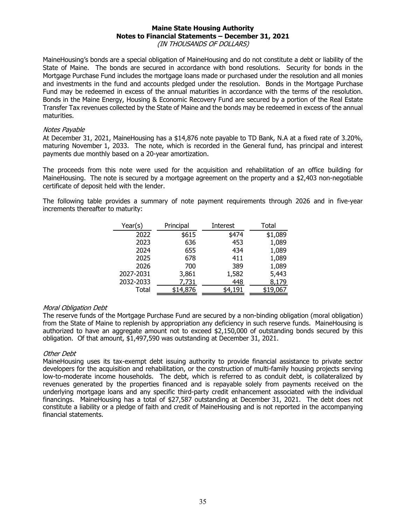MaineHousing's bonds are a special obligation of MaineHousing and do not constitute a debt or liability of the State of Maine. The bonds are secured in accordance with bond resolutions. Security for bonds in the Mortgage Purchase Fund includes the mortgage loans made or purchased under the resolution and all monies and investments in the fund and accounts pledged under the resolution. Bonds in the Mortgage Purchase Fund may be redeemed in excess of the annual maturities in accordance with the terms of the resolution. Bonds in the Maine Energy, Housing & Economic Recovery Fund are secured by a portion of the Real Estate Transfer Tax revenues collected by the State of Maine and the bonds may be redeemed in excess of the annual maturities.

#### Notes Payable

At December 31, 2021, MaineHousing has a \$14,876 note payable to TD Bank, N.A at a fixed rate of 3.20%, maturing November 1, 2033. The note, which is recorded in the General fund, has principal and interest payments due monthly based on a 20-year amortization.

The proceeds from this note were used for the acquisition and rehabilitation of an office building for MaineHousing. The note is secured by a mortgage agreement on the property and a \$2,403 non-negotiable certificate of deposit held with the lender.

The following table provides a summary of note payment requirements through 2026 and in five-year increments thereafter to maturity:

| Year(s)   | Principal | Interest | Total    |
|-----------|-----------|----------|----------|
| 2022      | \$615     | \$474    | \$1,089  |
| 2023      | 636       | 453      | 1,089    |
| 2024      | 655       | 434      | 1,089    |
| 2025      | 678       | 411      | 1,089    |
| 2026      | 700       | 389      | 1,089    |
| 2027-2031 | 3,861     | 1,582    | 5,443    |
| 2032-2033 | 7,731     | 448      | 8,179    |
| Total     | \$14,876  | 4.191    | \$19,067 |

### Moral Obligation Debt

The reserve funds of the Mortgage Purchase Fund are secured by a non-binding obligation (moral obligation) from the State of Maine to replenish by appropriation any deficiency in such reserve funds. MaineHousing is authorized to have an aggregate amount not to exceed \$2,150,000 of outstanding bonds secured by this obligation. Of that amount, \$1,497,590 was outstanding at December 31, 2021.

### Other Debt

MaineHousing uses its tax-exempt debt issuing authority to provide financial assistance to private sector developers for the acquisition and rehabilitation, or the construction of multi-family housing projects serving low-to-moderate income households. The debt, which is referred to as conduit debt, is collateralized by revenues generated by the properties financed and is repayable solely from payments received on the underlying mortgage loans and any specific third-party credit enhancement associated with the individual financings. MaineHousing has a total of \$27,587 outstanding at December 31, 2021. The debt does not constitute a liability or a pledge of faith and credit of MaineHousing and is not reported in the accompanying financial statements.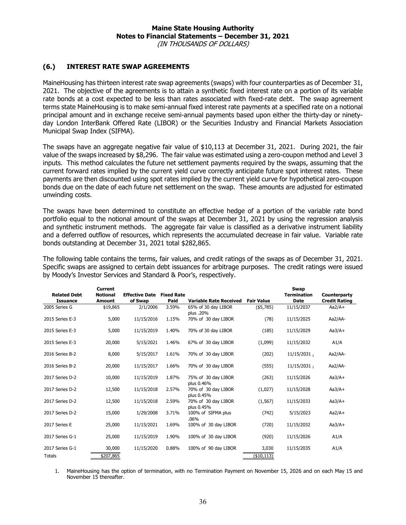### **(6.) INTEREST RATE SWAP AGREEMENTS**

MaineHousing has thirteen interest rate swap agreements (swaps) with four counterparties as of December 31, 2021. The objective of the agreements is to attain a synthetic fixed interest rate on a portion of its variable rate bonds at a cost expected to be less than rates associated with fixed-rate debt. The swap agreement terms state MaineHousing is to make semi-annual fixed interest rate payments at a specified rate on a notional principal amount and in exchange receive semi-annual payments based upon either the thirty-day or ninetyday London InterBank Offered Rate (LIBOR) or the Securities Industry and Financial Markets Association Municipal Swap Index (SIFMA).

The swaps have an aggregate negative fair value of \$10,113 at December 31, 2021. During 2021, the fair value of the swaps increased by \$8,296. The fair value was estimated using a zero-coupon method and Level 3 inputs. This method calculates the future net settlement payments required by the swaps, assuming that the current forward rates implied by the current yield curve correctly anticipate future spot interest rates. These payments are then discounted using spot rates implied by the current yield curve for hypothetical zero-coupon bonds due on the date of each future net settlement on the swap. These amounts are adjusted for estimated unwinding costs.

The swaps have been determined to constitute an effective hedge of a portion of the variable rate bond portfolio equal to the notional amount of the swaps at December 31, 2021 by using the regression analysis and synthetic instrument methods. The aggregate fair value is classified as a derivative instrument liability and a deferred outflow of resources, which represents the accumulated decrease in fair value. Variable rate bonds outstanding at December 31, 2021 total \$282,865.

The following table contains the terms, fair values, and credit ratings of the swaps as of December 31, 2021. Specific swaps are assigned to certain debt issuances for arbitrage purposes. The credit ratings were issued by Moody's Investor Services and Standard & Poor's, respectively.

| <b>Related Debt</b><br><b>Issuance</b> | <b>Current</b><br><b>Notional</b><br>Amount | <b>Effective Date</b><br>of Swap | <b>Fixed Rate</b><br>Paid | <b>Variable Rate Received</b>            | <b>Fair Value</b>     | Swap<br><b>Termination</b><br><b>Date</b> | Counterparty<br><b>Credit Rating</b> |
|----------------------------------------|---------------------------------------------|----------------------------------|---------------------------|------------------------------------------|-----------------------|-------------------------------------------|--------------------------------------|
| 2005 Series G                          | \$19,865                                    | 2/1/2006                         | 3.59%                     | 65% of 30 day LIBOR<br>plus .20%         | ( \$5,785)            | 11/15/2037                                | $Aa2/A+$                             |
| 2015 Series E-3                        | 5,000                                       | 11/15/2016                       | 1.15%                     | 70% of 30 day LIBOR                      | (78)                  | 11/15/2025                                | Aa2/AA-                              |
| 2015 Series E-3                        | 5,000                                       | 11/15/2019                       | 1.40%                     | 70% of 30 day LIBOR                      | (185)                 | 11/15/2029                                | $Aa3/A+$                             |
| 2015 Series E-3                        | 20,000                                      | 5/15/2021                        | 1.46%                     | 67% of 30 day LIBOR                      | (1,099)               | 11/15/2032                                | A1/A                                 |
| 2016 Series B-2                        | 8,000                                       | 5/15/2017                        | 1.61%                     | 70% of 30 day LIBOR                      | (202)                 | $11/15/2031_1$                            | Aa2/AA-                              |
| 2016 Series B-2                        | 20,000                                      | 11/15/2017                       | 1.66%                     | 70% of 30 day LIBOR                      | (555)                 | $11/15/2031_1$                            | Aa2/AA-                              |
| 2017 Series D-2                        | 10,000                                      | 11/15/2019                       | 1.87%                     | 75% of 30 day LIBOR<br>plus 0.46%        | (263)                 | 11/15/2026                                | $Aa3/A+$                             |
| 2017 Series D-2                        | 12,500                                      | 11/15/2018                       | 2.57%                     | 70% of 30 day LIBOR<br>plus 0.45%        | (1,027)               | 11/15/2028                                | $Aa3/A+$                             |
| 2017 Series D-2                        | 12,500                                      | 11/15/2018                       | 2.59%                     | 70% of 30 day LIBOR                      | (1, 567)              | 11/15/2033                                | $Aa3/A+$                             |
| 2017 Series D-2                        | 15,000                                      | 1/29/2008                        | 3.71%                     | plus 0.45%<br>100% of SIFMA plus<br>.06% | (742)                 | 5/15/2023                                 | $Aa2/A+$                             |
| 2017 Series E                          | 25,000                                      | 11/15/2021                       | 1.69%                     | 100% of 30 day LIBOR                     | (720)                 | 11/15/2032                                | $Aa3/A+$                             |
| 2017 Series G-1                        | 25,000                                      | 11/15/2019                       | 1.90%                     | 100% of 30 day LIBOR                     | (920)                 | 11/15/2026                                | A1/A                                 |
| 2017 Series G-1<br>Totals              | 30,000<br>\$207,865                         | 11/15/2020                       | 0.88%                     | 100% of 90 day LIBOR                     | 3,030<br>( \$10, 113) | 11/15/2035                                | A1/A                                 |

1. MaineHousing has the option of termination, with no Termination Payment on November 15, 2026 and on each May 15 and November 15 thereafter.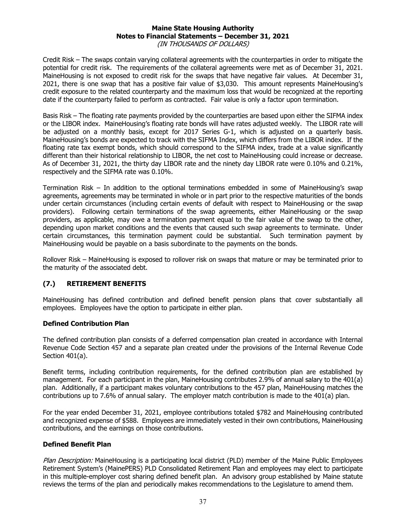Credit Risk – The swaps contain varying collateral agreements with the counterparties in order to mitigate the potential for credit risk. The requirements of the collateral agreements were met as of December 31, 2021. MaineHousing is not exposed to credit risk for the swaps that have negative fair values. At December 31, 2021, there is one swap that has a positive fair value of \$3,030. This amount represents MaineHousing's credit exposure to the related counterparty and the maximum loss that would be recognized at the reporting date if the counterparty failed to perform as contracted. Fair value is only a factor upon termination.

Basis Risk – The floating rate payments provided by the counterparties are based upon either the SIFMA index or the LIBOR index. MaineHousing's floating rate bonds will have rates adjusted weekly. The LIBOR rate will be adjusted on a monthly basis, except for 2017 Series G-1, which is adjusted on a quarterly basis. MaineHousing's bonds are expected to track with the SIFMA Index, which differs from the LIBOR index. If the floating rate tax exempt bonds, which should correspond to the SIFMA index, trade at a value significantly different than their historical relationship to LIBOR, the net cost to MaineHousing could increase or decrease. As of December 31, 2021, the thirty day LIBOR rate and the ninety day LIBOR rate were 0.10% and 0.21%, respectively and the SIFMA rate was 0.10%.

Termination Risk – In addition to the optional terminations embedded in some of MaineHousing's swap agreements, agreements may be terminated in whole or in part prior to the respective maturities of the bonds under certain circumstances (including certain events of default with respect to MaineHousing or the swap providers). Following certain terminations of the swap agreements, either MaineHousing or the swap providers, as applicable, may owe a termination payment equal to the fair value of the swap to the other, depending upon market conditions and the events that caused such swap agreements to terminate. Under certain circumstances, this termination payment could be substantial. Such termination payment by MaineHousing would be payable on a basis subordinate to the payments on the bonds.

Rollover Risk – MaineHousing is exposed to rollover risk on swaps that mature or may be terminated prior to the maturity of the associated debt.

### **(7.) RETIREMENT BENEFITS**

MaineHousing has defined contribution and defined benefit pension plans that cover substantially all employees. Employees have the option to participate in either plan.

### **Defined Contribution Plan**

The defined contribution plan consists of a deferred compensation plan created in accordance with Internal Revenue Code Section 457 and a separate plan created under the provisions of the Internal Revenue Code Section 401(a).

Benefit terms, including contribution requirements, for the defined contribution plan are established by management. For each participant in the plan, MaineHousing contributes 2.9% of annual salary to the 401(a) plan. Additionally, if a participant makes voluntary contributions to the 457 plan, MaineHousing matches the contributions up to 7.6% of annual salary. The employer match contribution is made to the 401(a) plan.

For the year ended December 31, 2021, employee contributions totaled \$782 and MaineHousing contributed and recognized expense of \$588. Employees are immediately vested in their own contributions, MaineHousing contributions, and the earnings on those contributions.

### **Defined Benefit Plan**

Plan Description: MaineHousing is a participating local district (PLD) member of the Maine Public Employees Retirement System's (MainePERS) PLD Consolidated Retirement Plan and employees may elect to participate in this multiple-employer cost sharing defined benefit plan. An advisory group established by Maine statute reviews the terms of the plan and periodically makes recommendations to the Legislature to amend them.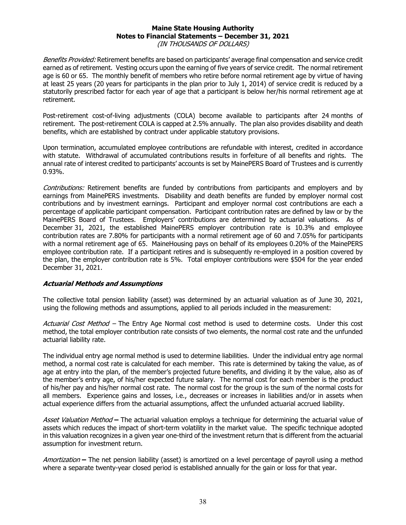Benefits Provided: Retirement benefits are based on participants' average final compensation and service credit earned as of retirement. Vesting occurs upon the earning of five years of service credit. The normal retirement age is 60 or 65. The monthly benefit of members who retire before normal retirement age by virtue of having at least 25 years (20 years for participants in the plan prior to July 1, 2014) of service credit is reduced by a statutorily prescribed factor for each year of age that a participant is below her/his normal retirement age at retirement.

Post-retirement cost-of-living adjustments (COLA) become available to participants after 24 months of retirement. The post-retirement COLA is capped at 2.5% annually. The plan also provides disability and death benefits, which are established by contract under applicable statutory provisions.

Upon termination, accumulated employee contributions are refundable with interest, credited in accordance with statute. Withdrawal of accumulated contributions results in forfeiture of all benefits and rights. The annual rate of interest credited to participants' accounts is set by MainePERS Board of Trustees and is currently 0.93%.

Contributions: Retirement benefits are funded by contributions from participants and employers and by earnings from MainePERS investments. Disability and death benefits are funded by employer normal cost contributions and by investment earnings. Participant and employer normal cost contributions are each a percentage of applicable participant compensation. Participant contribution rates are defined by law or by the MainePERS Board of Trustees. Employers' contributions are determined by actuarial valuations. As of December 31, 2021, the established MainePERS employer contribution rate is 10.3% and employee contribution rates are 7.80% for participants with a normal retirement age of 60 and 7.05% for participants with a normal retirement age of 65. MaineHousing pays on behalf of its employees 0.20% of the MainePERS employee contribution rate. If a participant retires and is subsequently re-employed in a position covered by the plan, the employer contribution rate is 5%. Total employer contributions were \$504 for the year ended December 31, 2021.

### **Actuarial Methods and Assumptions**

The collective total pension liability (asset) was determined by an actuarial valuation as of June 30, 2021, using the following methods and assumptions, applied to all periods included in the measurement:

Actuarial Cost Method – The Entry Age Normal cost method is used to determine costs. Under this cost method, the total employer contribution rate consists of two elements, the normal cost rate and the unfunded actuarial liability rate.

The individual entry age normal method is used to determine liabilities. Under the individual entry age normal method, a normal cost rate is calculated for each member. This rate is determined by taking the value, as of age at entry into the plan, of the member's projected future benefits, and dividing it by the value, also as of the member's entry age, of his/her expected future salary. The normal cost for each member is the product of his/her pay and his/her normal cost rate. The normal cost for the group is the sum of the normal costs for all members. Experience gains and losses, i.e., decreases or increases in liabilities and/or in assets when actual experience differs from the actuarial assumptions, affect the unfunded actuarial accrued liability.

Asset Valuation Method **–** The actuarial valuation employs a technique for determining the actuarial value of assets which reduces the impact of short-term volatility in the market value. The specific technique adopted in this valuation recognizes in a given year one-third of the investment return that is different from the actuarial assumption for investment return.

Amortization **–** The net pension liability (asset) is amortized on a level percentage of payroll using a method where a separate twenty-year closed period is established annually for the gain or loss for that year.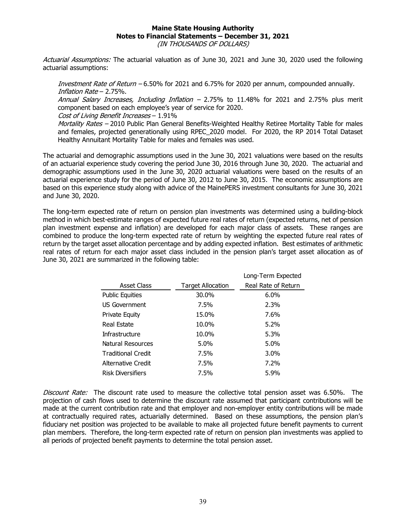Actuarial Assumptions: The actuarial valuation as of June 30, 2021 and June 30, 2020 used the following actuarial assumptions:

Investment Rate of Return - 6.50% for 2021 and 6.75% for 2020 per annum, compounded annually. Inflation Rate – 2.75%. Annual Salary Increases, Including Inflation – 2.75% to 11.48% for 2021 and 2.75% plus merit component based on each employee's year of service for 2020. Cost of Living Benefit Increases – 1.91% Mortality Rates - 2010 Public Plan General Benefits-Weighted Healthy Retiree Mortality Table for males and females, projected generationally using RPEC\_2020 model. For 2020, the RP 2014 Total Dataset Healthy Annuitant Mortality Table for males and females was used.

The actuarial and demographic assumptions used in the June 30, 2021 valuations were based on the results of an actuarial experience study covering the period June 30, 2016 through June 30, 2020. The actuarial and demographic assumptions used in the June 30, 2020 actuarial valuations were based on the results of an actuarial experience study for the period of June 30, 2012 to June 30, 2015. The economic assumptions are based on this experience study along with advice of the MainePERS investment consultants for June 30, 2021 and June 30, 2020.

The long-term expected rate of return on pension plan investments was determined using a building-block method in which best-estimate ranges of expected future real rates of return (expected returns, net of pension plan investment expense and inflation) are developed for each major class of assets. These ranges are combined to produce the long-term expected rate of return by weighting the expected future real rates of return by the target asset allocation percentage and by adding expected inflation. Best estimates of arithmetic real rates of return for each major asset class included in the pension plan's target asset allocation as of June 30, 2021 are summarized in the following table:

|                           |                   | Long-Term Expected  |
|---------------------------|-------------------|---------------------|
| <b>Asset Class</b>        | Target Allocation | Real Rate of Return |
| <b>Public Equities</b>    | 30.0%             | $6.0\%$             |
| <b>US Government</b>      | 7.5%              | 2.3%                |
| Private Equity            | 15.0%             | 7.6%                |
| Real Estate               | 10.0%             | $5.2\%$             |
| <b>Infrastructure</b>     | 10.0%             | 5.3%                |
| Natural Resources         | $5.0\%$           | $5.0\%$             |
| <b>Traditional Credit</b> | 7.5%              | $3.0\%$             |
| Alternative Credit        | 7.5%              | $7.2\%$             |
| <b>Risk Diversifiers</b>  | 7.5%              | 5.9%                |

Discount Rate: The discount rate used to measure the collective total pension asset was 6.50%. The projection of cash flows used to determine the discount rate assumed that participant contributions will be made at the current contribution rate and that employer and non-employer entity contributions will be made at contractually required rates, actuarially determined. Based on these assumptions, the pension plan's fiduciary net position was projected to be available to make all projected future benefit payments to current plan members. Therefore, the long-term expected rate of return on pension plan investments was applied to all periods of projected benefit payments to determine the total pension asset.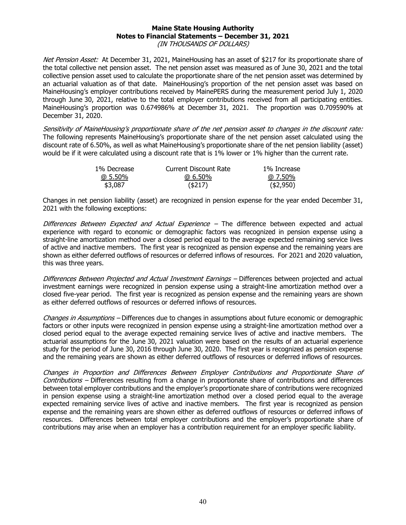Net Pension Asset: At December 31, 2021, MaineHousing has an asset of \$217 for its proportionate share of the total collective net pension asset. The net pension asset was measured as of June 30, 2021 and the total collective pension asset used to calculate the proportionate share of the net pension asset was determined by an actuarial valuation as of that date. MaineHousing's proportion of the net pension asset was based on MaineHousing's employer contributions received by MainePERS during the measurement period July 1, 2020 through June 30, 2021, relative to the total employer contributions received from all participating entities. MaineHousing's proportion was 0.674986% at December 31, 2021. The proportion was 0.709590% at December 31, 2020.

Sensitivity of MaineHousing's proportionate share of the net pension asset to changes in the discount rate: The following represents MaineHousing's proportionate share of the net pension asset calculated using the discount rate of 6.50%, as well as what MaineHousing's proportionate share of the net pension liability (asset) would be if it were calculated using a discount rate that is 1% lower or 1% higher than the current rate.

| 1% Decrease | Current Discount Rate | 1% Increase |
|-------------|-----------------------|-------------|
| @ 5.50%     | @ 6.50%               | @ 7.50%     |
| \$3,087     | (\$217)               | ( \$2,950)  |

Changes in net pension liability (asset) are recognized in pension expense for the year ended December 31, 2021 with the following exceptions:

Differences Between Expected and Actual Experience – The difference between expected and actual experience with regard to economic or demographic factors was recognized in pension expense using a straight-line amortization method over a closed period equal to the average expected remaining service lives of active and inactive members. The first year is recognized as pension expense and the remaining years are shown as either deferred outflows of resources or deferred inflows of resources. For 2021 and 2020 valuation, this was three years.

Differences Between Projected and Actual Investment Earnings - Differences between projected and actual investment earnings were recognized in pension expense using a straight-line amortization method over a closed five-year period. The first year is recognized as pension expense and the remaining years are shown as either deferred outflows of resources or deferred inflows of resources.

Changes in Assumptions – Differences due to changes in assumptions about future economic or demographic factors or other inputs were recognized in pension expense using a straight-line amortization method over a closed period equal to the average expected remaining service lives of active and inactive members. The actuarial assumptions for the June 30, 2021 valuation were based on the results of an actuarial experience study for the period of June 30, 2016 through June 30, 2020. The first year is recognized as pension expense and the remaining years are shown as either deferred outflows of resources or deferred inflows of resources.

Changes in Proportion and Differences Between Employer Contributions and Proportionate Share of Contributions – Differences resulting from a change in proportionate share of contributions and differences between total employer contributions and the employer's proportionate share of contributions were recognized in pension expense using a straight-line amortization method over a closed period equal to the average expected remaining service lives of active and inactive members. The first year is recognized as pension expense and the remaining years are shown either as deferred outflows of resources or deferred inflows of resources. Differences between total employer contributions and the employer's proportionate share of contributions may arise when an employer has a contribution requirement for an employer specific liability.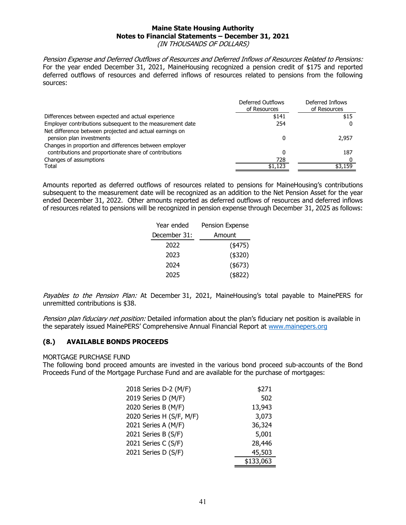Pension Expense and Deferred Outflows of Resources and Deferred Inflows of Resources Related to Pensions: For the year ended December 31, 2021, MaineHousing recognized a pension credit of \$175 and reported deferred outflows of resources and deferred inflows of resources related to pensions from the following sources:

|                                                           | Deferred Outflows<br>of Resources | Deferred Inflows<br>of Resources |
|-----------------------------------------------------------|-----------------------------------|----------------------------------|
| Differences between expected and actual experience        | \$141                             | \$15                             |
| Employer contributions subsequent to the measurement date | 254                               |                                  |
| Net difference between projected and actual earnings on   |                                   |                                  |
| pension plan investments                                  |                                   | 2,957                            |
| Changes in proportion and differences between employer    |                                   |                                  |
| contributions and proportionate share of contributions    |                                   | 187                              |
| Changes of assumptions                                    | 728                               |                                  |
| Total                                                     | \$1,123                           |                                  |

Amounts reported as deferred outflows of resources related to pensions for MaineHousing's contributions subsequent to the measurement date will be recognized as an addition to the Net Pension Asset for the year ended December 31, 2022. Other amounts reported as deferred outflows of resources and deferred inflows of resources related to pensions will be recognized in pension expense through December 31, 2025 as follows:

| Pension Expense |
|-----------------|
| Amount          |
| (475)           |
| $($ \$320)      |
| $($ \$673)      |
| $($ \$822)      |
|                 |

Payables to the Pension Plan: At December 31, 2021, MaineHousing's total payable to MainePERS for unremitted contributions is \$38.

Pension plan fiduciary net position: Detailed information about the plan's fiduciary net position is available in the separately issued MainePERS' Comprehensive Annual Financial Report at www.mainepers.org

### **(8.) AVAILABLE BONDS PROCEEDS**

#### MORTGAGE PURCHASE FUND

The following bond proceed amounts are invested in the various bond proceed sub-accounts of the Bond Proceeds Fund of the Mortgage Purchase Fund and are available for the purchase of mortgages:

| 2018 Series D-2 (M/F)    | \$271     |
|--------------------------|-----------|
| 2019 Series D (M/F)      | 502       |
| 2020 Series B (M/F)      | 13,943    |
| 2020 Series H (S/F, M/F) | 3,073     |
| 2021 Series A (M/F)      | 36,324    |
| 2021 Series B (S/F)      | 5,001     |
| 2021 Series C (S/F)      | 28,446    |
| 2021 Series D (S/F)      | 45,503    |
|                          | \$133,063 |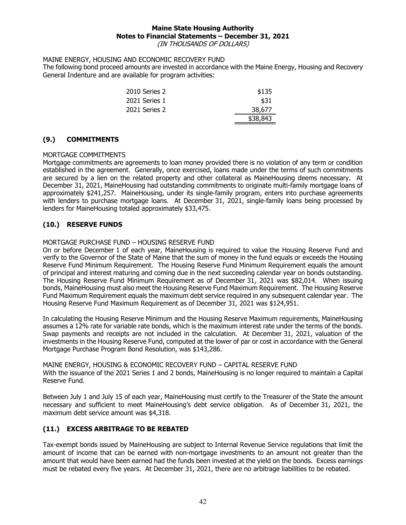(IN THOUSANDS OF DOLLARS)

### MAINE ENERGY, HOUSING AND ECONOMIC RECOVERY FUND

The following bond proceed amounts are invested in accordance with the Maine Energy, Housing and Recovery General Indenture and are available for program activities:

| 2010 Series 2 | \$135    |
|---------------|----------|
| 2021 Series 1 | \$31     |
| 2021 Series 2 | 38,677   |
|               | \$38,843 |

### **(9.) COMMITMENTS**

#### MORTGAGE COMMITMENTS

Mortgage commitments are agreements to loan money provided there is no violation of any term or condition established in the agreement. Generally, once exercised, loans made under the terms of such commitments are secured by a lien on the related property and other collateral as MaineHousing deems necessary. At December 31, 2021, MaineHousing had outstanding commitments to originate multi-family mortgage loans of approximately \$241,257. MaineHousing, under its single-family program, enters into purchase agreements with lenders to purchase mortgage loans. At December 31, 2021, single-family loans being processed by lenders for MaineHousing totaled approximately \$33,475.

### **(10.) RESERVE FUNDS**

### MORTGAGE PURCHASE FUND – HOUSING RESERVE FUND

On or before December 1 of each year, MaineHousing is required to value the Housing Reserve Fund and verify to the Governor of the State of Maine that the sum of money in the fund equals or exceeds the Housing Reserve Fund Minimum Requirement. The Housing Reserve Fund Minimum Requirement equals the amount of principal and interest maturing and coming due in the next succeeding calendar year on bonds outstanding. The Housing Reserve Fund Minimum Requirement as of December 31, 2021 was \$82,014. When issuing bonds, MaineHousing must also meet the Housing Reserve Fund Maximum Requirement. The Housing Reserve Fund Maximum Requirement equals the maximum debt service required in any subsequent calendar year. The Housing Reserve Fund Maximum Requirement as of December 31, 2021 was \$124,951.

In calculating the Housing Reserve Minimum and the Housing Reserve Maximum requirements, MaineHousing assumes a 12% rate for variable rate bonds, which is the maximum interest rate under the terms of the bonds. Swap payments and receipts are not included in the calculation. At December 31, 2021, valuation of the investments in the Housing Reserve Fund, computed at the lower of par or cost in accordance with the General Mortgage Purchase Program Bond Resolution, was \$143,286.

MAINE ENERGY, HOUSING & ECONOMIC RECOVERY FUND – CAPITAL RESERVE FUND With the issuance of the 2021 Series 1 and 2 bonds, MaineHousing is no longer required to maintain a Capital Reserve Fund.

Between July 1 and July 15 of each year, MaineHousing must certify to the Treasurer of the State the amount necessary and sufficient to meet MaineHousing's debt service obligation. As of December 31, 2021, the maximum debt service amount was \$4,318.

### **(11.) EXCESS ARBITRAGE TO BE REBATED**

Tax-exempt bonds issued by MaineHousing are subject to Internal Revenue Service regulations that limit the amount of income that can be earned with non-mortgage investments to an amount not greater than the amount that would have been earned had the funds been invested at the yield on the bonds. Excess earnings must be rebated every five years. At December 31, 2021, there are no arbitrage liabilities to be rebated.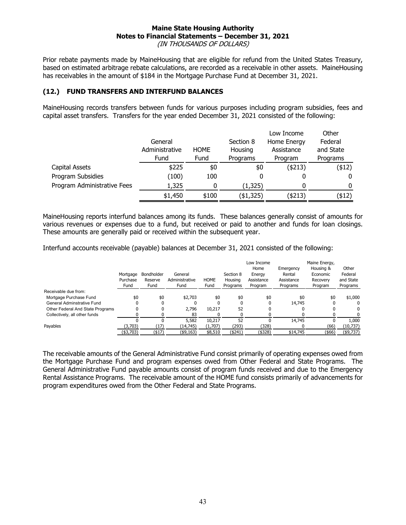Prior rebate payments made by MaineHousing that are eligible for refund from the United States Treasury, based on estimated arbitrage rebate calculations, are recorded as a receivable in other assets. MaineHousing has receivables in the amount of \$184 in the Mortgage Purchase Fund at December 31, 2021.

### **(12.) FUND TRANSFERS AND INTERFUND BALANCES**

MaineHousing records transfers between funds for various purposes including program subsidies, fees and capital asset transfers. Transfers for the year ended December 31, 2021 consisted of the following:

|                             | General<br>Administrative | <b>HOME</b> | Section 8<br>Housing | Low Income<br>Home Energy<br>Assistance | Other<br>Federal<br>and State |
|-----------------------------|---------------------------|-------------|----------------------|-----------------------------------------|-------------------------------|
|                             | Fund                      | <b>Fund</b> | Programs             | Program                                 | Programs                      |
| Capital Assets              | \$225                     | \$0         | \$0                  | ( \$213)                                | (\$12)                        |
| Program Subsidies           | (100)                     | 100         |                      | 0                                       | 0                             |
| Program Administrative Fees | 1,325                     | 0           | (1, 325)             | 0                                       | O                             |
|                             | \$1,450                   | \$100       | (\$1,325)            | (\$213)                                 | \$12)                         |

MaineHousing reports interfund balances among its funds. These balances generally consist of amounts for various revenues or expenses due to a fund, but received or paid to another and funds for loan closings. These amounts are generally paid or received within the subsequent year.

Interfund accounts receivable (payable) balances at December 31, 2021 consisted of the following:

|                                  | Mortgage<br>Purchase<br>Fund | Bondholder<br>Reserve<br>Fund | General<br>Administrative<br>Fund | <b>HOME</b><br>Fund | Section 8<br>Housing<br>Programs | Low Income<br>Home<br>Energy<br>Assistance<br>Program | Emergency<br>Rental<br>Assistance<br>Programs | Maine Energy,<br>Housing &<br>Economic<br>Recovery<br>Program | Other<br>Federal<br>and State<br>Programs |
|----------------------------------|------------------------------|-------------------------------|-----------------------------------|---------------------|----------------------------------|-------------------------------------------------------|-----------------------------------------------|---------------------------------------------------------------|-------------------------------------------|
| Receivable due from:             |                              |                               |                                   |                     |                                  |                                                       |                                               |                                                               |                                           |
| Mortgage Purchase Fund           | \$0                          | \$0                           | \$2,703                           | \$0                 | \$0                              | \$0                                                   | \$0                                           | \$0                                                           | \$1,000                                   |
| General Adminstrative Fund       | 0                            | 0                             | 0                                 | ŋ                   | 0                                |                                                       | 14,745                                        | 0                                                             |                                           |
| Other Federal And State Programs | 0                            | 0                             | 2,796                             | 10,217              | 52                               |                                                       |                                               | 0                                                             |                                           |
| Collectively, all other funds    |                              |                               | 83                                |                     |                                  |                                                       |                                               | 0                                                             |                                           |
|                                  |                              | 0                             | 5,582                             | 10,217              | 52                               |                                                       | 14,745                                        | 0                                                             | 1,000                                     |
| Payables                         | (3,703)                      | ้17)                          | (14,745)                          | (1,707)             | (293)                            | (328)                                                 |                                               | (66)                                                          | (10,737)                                  |
|                                  | (\$3,703)                    | $($ \$17)                     | $($ \$9,163)                      | \$8,510             | $($ \$241)                       | (\$328)                                               | \$14,745                                      | (\$66)                                                        | (49,737)                                  |

The receivable amounts of the General Administrative Fund consist primarily of operating expenses owed from the Mortgage Purchase Fund and program expenses owed from Other Federal and State Programs. The General Administrative Fund payable amounts consist of program funds received and due to the Emergency Rental Assistance Programs. The receivable amount of the HOME fund consists primarily of advancements for program expenditures owed from the Other Federal and State Programs.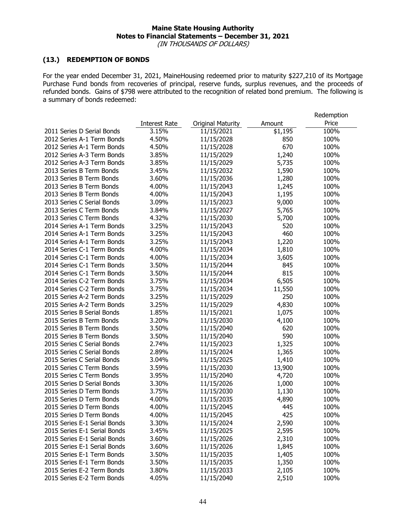(IN THOUSANDS OF DOLLARS)

#### **(13.) REDEMPTION OF BONDS**

For the year ended December 31, 2021, MaineHousing redeemed prior to maturity \$227,210 of its Mortgage Purchase Fund bonds from recoveries of principal, reserve funds, surplus revenues, and the proceeds of refunded bonds. Gains of \$798 were attributed to the recognition of related bond premium. The following is a summary of bonds redeemed:

|                              |                      |                          |         | Redemption |
|------------------------------|----------------------|--------------------------|---------|------------|
|                              | <b>Interest Rate</b> | <b>Original Maturity</b> | Amount  | Price      |
| 2011 Series D Serial Bonds   | 3.15%                | 11/15/2021               | \$1,195 | 100%       |
| 2012 Series A-1 Term Bonds   | 4.50%                | 11/15/2028               | 850     | 100%       |
| 2012 Series A-1 Term Bonds   | 4.50%                | 11/15/2028               | 670     | 100%       |
| 2012 Series A-3 Term Bonds   | 3.85%                | 11/15/2029               | 1,240   | 100%       |
| 2012 Series A-3 Term Bonds   | 3.85%                | 11/15/2029               | 5,735   | 100%       |
| 2013 Series B Term Bonds     | 3.45%                | 11/15/2032               | 1,590   | 100%       |
| 2013 Series B Term Bonds     | 3.60%                | 11/15/2036               | 1,280   | 100%       |
| 2013 Series B Term Bonds     | 4.00%                | 11/15/2043               | 1,245   | 100%       |
| 2013 Series B Term Bonds     | 4.00%                | 11/15/2043               | 1,195   | 100%       |
| 2013 Series C Serial Bonds   | 3.09%                | 11/15/2023               | 9,000   | 100%       |
| 2013 Series C Term Bonds     | 3.84%                | 11/15/2027               | 5,765   | 100%       |
| 2013 Series C Term Bonds     | 4.32%                | 11/15/2030               | 5,700   | 100%       |
| 2014 Series A-1 Term Bonds   | 3.25%                | 11/15/2043               | 520     | 100%       |
| 2014 Series A-1 Term Bonds   | 3.25%                | 11/15/2043               | 460     | 100%       |
| 2014 Series A-1 Term Bonds   | 3.25%                | 11/15/2043               | 1,220   | 100%       |
| 2014 Series C-1 Term Bonds   | 4.00%                | 11/15/2034               | 1,810   | 100%       |
| 2014 Series C-1 Term Bonds   | 4.00%                | 11/15/2034               | 3,605   | 100%       |
| 2014 Series C-1 Term Bonds   | 3.50%                | 11/15/2044               | 845     | 100%       |
| 2014 Series C-1 Term Bonds   | 3.50%                | 11/15/2044               | 815     | 100%       |
| 2014 Series C-2 Term Bonds   | 3.75%                | 11/15/2034               | 6,505   | 100%       |
| 2014 Series C-2 Term Bonds   | 3.75%                | 11/15/2034               | 11,550  | 100%       |
| 2015 Series A-2 Term Bonds   | 3.25%                | 11/15/2029               | 250     | 100%       |
| 2015 Series A-2 Term Bonds   | 3.25%                | 11/15/2029               | 4,830   | 100%       |
| 2015 Series B Serial Bonds   | 1.85%                | 11/15/2021               | 1,075   | 100%       |
| 2015 Series B Term Bonds     | 3.20%                | 11/15/2030               | 4,100   | 100%       |
| 2015 Series B Term Bonds     | 3.50%                | 11/15/2040               | 620     | 100%       |
| 2015 Series B Term Bonds     | 3.50%                | 11/15/2040               | 590     | 100%       |
| 2015 Series C Serial Bonds   | 2.74%                | 11/15/2023               | 1,325   | 100%       |
| 2015 Series C Serial Bonds   | 2.89%                | 11/15/2024               | 1,365   | 100%       |
| 2015 Series C Serial Bonds   | 3.04%                | 11/15/2025               | 1,410   | 100%       |
| 2015 Series C Term Bonds     | 3.59%                | 11/15/2030               | 13,900  | 100%       |
| 2015 Series C Term Bonds     | 3.95%                | 11/15/2040               | 4,720   | 100%       |
| 2015 Series D Serial Bonds   | 3.30%                | 11/15/2026               | 1,000   | 100%       |
| 2015 Series D Term Bonds     | 3.75%                | 11/15/2030               | 1,130   | 100%       |
| 2015 Series D Term Bonds     | 4.00%                | 11/15/2035               | 4,890   | 100%       |
| 2015 Series D Term Bonds     | 4.00%                | 11/15/2045               | 445     | 100%       |
| 2015 Series D Term Bonds     | 4.00%                | 11/15/2045               | 425     | 100%       |
| 2015 Series E-1 Serial Bonds | 3.30%                | 11/15/2024               | 2,590   | 100%       |
| 2015 Series E-1 Serial Bonds | 3.45%                | 11/15/2025               | 2,595   | 100%       |
| 2015 Series E-1 Serial Bonds | 3.60%                | 11/15/2026               | 2,310   | 100%       |
| 2015 Series E-1 Serial Bonds | 3.60%                | 11/15/2026               | 1,845   | 100%       |
| 2015 Series E-1 Term Bonds   | 3.50%                | 11/15/2035               | 1,405   | 100%       |
| 2015 Series E-1 Term Bonds   | 3.50%                | 11/15/2035               | 1,350   | 100%       |
| 2015 Series E-2 Term Bonds   | 3.80%                | 11/15/2033               | 2,105   | 100%       |
| 2015 Series E-2 Term Bonds   | 4.05%                | 11/15/2040               | 2,510   | 100%       |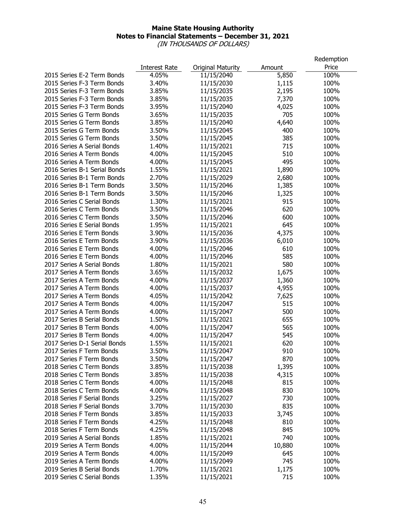(IN THOUSANDS OF DOLLARS)

|                              |                      |                          |        | Redemption |
|------------------------------|----------------------|--------------------------|--------|------------|
|                              | <b>Interest Rate</b> | <b>Original Maturity</b> | Amount | Price      |
| 2015 Series E-2 Term Bonds   | 4.05%                | 11/15/2040               | 5,850  | 100%       |
| 2015 Series F-3 Term Bonds   | 3.40%                | 11/15/2030               | 1,115  | 100%       |
| 2015 Series F-3 Term Bonds   | 3.85%                | 11/15/2035               | 2,195  | 100%       |
| 2015 Series F-3 Term Bonds   | 3.85%                | 11/15/2035               | 7,370  | 100%       |
| 2015 Series F-3 Term Bonds   | 3.95%                | 11/15/2040               | 4,025  | 100%       |
| 2015 Series G Term Bonds     | 3.65%                | 11/15/2035               | 705    | 100%       |
| 2015 Series G Term Bonds     | 3.85%                | 11/15/2040               | 4,640  | 100%       |
| 2015 Series G Term Bonds     | 3.50%                | 11/15/2045               | 400    | 100%       |
| 2015 Series G Term Bonds     | 3.50%                | 11/15/2045               | 385    | 100%       |
| 2016 Series A Serial Bonds   | 1.40%                | 11/15/2021               | 715    | 100%       |
| 2016 Series A Term Bonds     | 4.00%                | 11/15/2045               | 510    | 100%       |
| 2016 Series A Term Bonds     | 4.00%                | 11/15/2045               | 495    | 100%       |
| 2016 Series B-1 Serial Bonds | 1.55%                | 11/15/2021               | 1,890  | 100%       |
| 2016 Series B-1 Term Bonds   | 2.70%                | 11/15/2029               | 2,680  | 100%       |
| 2016 Series B-1 Term Bonds   | 3.50%                | 11/15/2046               | 1,385  | 100%       |
| 2016 Series B-1 Term Bonds   | 3.50%                | 11/15/2046               | 1,325  | 100%       |
| 2016 Series C Serial Bonds   | 1.30%                | 11/15/2021               | 915    | 100%       |
| 2016 Series C Term Bonds     | 3.50%                | 11/15/2046               | 620    | 100%       |
| 2016 Series C Term Bonds     | 3.50%                | 11/15/2046               | 600    | 100%       |
| 2016 Series E Serial Bonds   | 1.95%                | 11/15/2021               | 645    | 100%       |
| 2016 Series E Term Bonds     | 3.90%                |                          |        | 100%       |
| 2016 Series E Term Bonds     | 3.90%                | 11/15/2036               | 4,375  | 100%       |
| 2016 Series E Term Bonds     |                      | 11/15/2036               | 6,010  |            |
|                              | 4.00%                | 11/15/2046               | 610    | 100%       |
| 2016 Series E Term Bonds     | 4.00%                | 11/15/2046               | 585    | 100%       |
| 2017 Series A Serial Bonds   | 1.80%                | 11/15/2021               | 580    | 100%       |
| 2017 Series A Term Bonds     | 3.65%                | 11/15/2032               | 1,675  | 100%       |
| 2017 Series A Term Bonds     | 4.00%                | 11/15/2037               | 1,360  | 100%       |
| 2017 Series A Term Bonds     | 4.00%                | 11/15/2037               | 4,955  | 100%       |
| 2017 Series A Term Bonds     | 4.05%                | 11/15/2042               | 7,625  | 100%       |
| 2017 Series A Term Bonds     | 4.00%                | 11/15/2047               | 515    | 100%       |
| 2017 Series A Term Bonds     | 4.00%                | 11/15/2047               | 500    | 100%       |
| 2017 Series B Serial Bonds   | 1.50%                | 11/15/2021               | 655    | 100%       |
| 2017 Series B Term Bonds     | 4.00%                | 11/15/2047               | 565    | 100%       |
| 2017 Series B Term Bonds     | 4.00%                | 11/15/2047               | 545    | 100%       |
| 2017 Series D-1 Serial Bonds | 1.55%                | 11/15/2021               | 620    | 100%       |
| 2017 Series F Term Bonds     | 3.50%                | 11/15/2047               | 910    | 100%       |
| 2017 Series F Term Bonds     | 3.50%                | 11/15/2047               | 870    | 100%       |
| 2018 Series C Term Bonds     | 3.85%                | 11/15/2038               | 1,395  | 100%       |
| 2018 Series C Term Bonds     | 3.85%                | 11/15/2038               | 4,315  | 100%       |
| 2018 Series C Term Bonds     | 4.00%                | 11/15/2048               | 815    | 100%       |
| 2018 Series C Term Bonds     | 4.00%                | 11/15/2048               | 830    | 100%       |
| 2018 Series F Serial Bonds   | 3.25%                | 11/15/2027               | 730    | 100%       |
| 2018 Series F Serial Bonds   | 3.70%                | 11/15/2030               | 835    | 100%       |
| 2018 Series F Term Bonds     | 3.85%                | 11/15/2033               | 3,745  | 100%       |
| 2018 Series F Term Bonds     | 4.25%                | 11/15/2048               | 810    | 100%       |
| 2018 Series F Term Bonds     | 4.25%                | 11/15/2048               | 845    | 100%       |
| 2019 Series A Serial Bonds   | 1.85%                | 11/15/2021               | 740    | 100%       |
| 2019 Series A Term Bonds     | 4.00%                | 11/15/2044               | 10,880 | 100%       |
| 2019 Series A Term Bonds     | 4.00%                | 11/15/2049               | 645    | 100%       |
| 2019 Series A Term Bonds     | 4.00%                | 11/15/2049               | 745    | 100%       |
| 2019 Series B Serial Bonds   | 1.70%                | 11/15/2021               | 1,175  | 100%       |
| 2019 Series C Serial Bonds   | 1.35%                | 11/15/2021               | 715    | 100%       |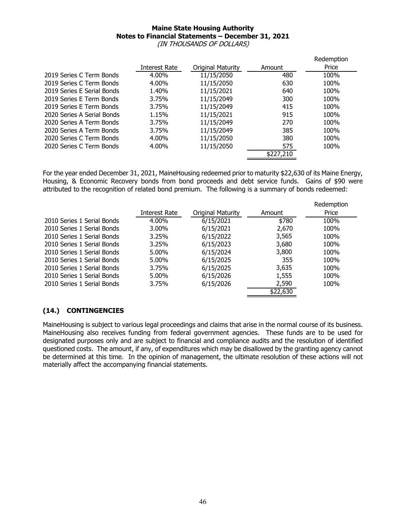(IN THOUSANDS OF DOLLARS)

Redemption

Redemption

|                            |               |                          |           | Redemption |
|----------------------------|---------------|--------------------------|-----------|------------|
|                            | Interest Rate | <b>Original Maturity</b> | Amount    | Price      |
| 2019 Series C Term Bonds   | 4.00%         | 11/15/2050               | 480       | 100%       |
| 2019 Series C Term Bonds   | 4.00%         | 11/15/2050               | 630       | 100%       |
| 2019 Series E Serial Bonds | 1.40%         | 11/15/2021               | 640       | 100%       |
| 2019 Series E Term Bonds   | 3.75%         | 11/15/2049               | 300       | 100%       |
| 2019 Series E Term Bonds   | 3.75%         | 11/15/2049               | 415       | 100%       |
| 2020 Series A Serial Bonds | 1.15%         | 11/15/2021               | 915       | 100%       |
| 2020 Series A Term Bonds   | 3.75%         | 11/15/2049               | 270       | 100%       |
| 2020 Series A Term Bonds   | 3.75%         | 11/15/2049               | 385       | 100%       |
| 2020 Series C Term Bonds   | 4.00%         | 11/15/2050               | 380       | 100%       |
| 2020 Series C Term Bonds   | 4.00%         | 11/15/2050               | 575       | 100%       |
|                            |               |                          | \$227,210 |            |

For the year ended December 31, 2021, MaineHousing redeemed prior to maturity \$22,630 of its Maine Energy, Housing, & Economic Recovery bonds from bond proceeds and debt service funds. Gains of \$90 were attributed to the recognition of related bond premium. The following is a summary of bonds redeemed:

|                            |               |                          |          | REACHLIPS |
|----------------------------|---------------|--------------------------|----------|-----------|
|                            | Interest Rate | <b>Original Maturity</b> | Amount   | Price     |
| 2010 Series 1 Serial Bonds | 4.00%         | 6/15/2021                | \$780    | 100%      |
| 2010 Series 1 Serial Bonds | $3.00\%$      | 6/15/2021                | 2,670    | 100%      |
| 2010 Series 1 Serial Bonds | 3.25%         | 6/15/2022                | 3,565    | 100%      |
| 2010 Series 1 Serial Bonds | 3.25%         | 6/15/2023                | 3,680    | 100%      |
| 2010 Series 1 Serial Bonds | 5.00%         | 6/15/2024                | 3,800    | 100%      |
| 2010 Series 1 Serial Bonds | 5.00%         | 6/15/2025                | 355      | 100%      |
| 2010 Series 1 Serial Bonds | 3.75%         | 6/15/2025                | 3,635    | 100%      |
| 2010 Series 1 Serial Bonds | 5.00%         | 6/15/2026                | 1,555    | 100%      |
| 2010 Series 1 Serial Bonds | 3.75%         | 6/15/2026                | 2,590    | 100%      |
|                            |               |                          | \$22,630 |           |
|                            |               |                          |          |           |

### **(14.) CONTINGENCIES**

MaineHousing is subject to various legal proceedings and claims that arise in the normal course of its business. MaineHousing also receives funding from federal government agencies. These funds are to be used for designated purposes only and are subject to financial and compliance audits and the resolution of identified questioned costs. The amount, if any, of expenditures which may be disallowed by the granting agency cannot be determined at this time. In the opinion of management, the ultimate resolution of these actions will not materially affect the accompanying financial statements.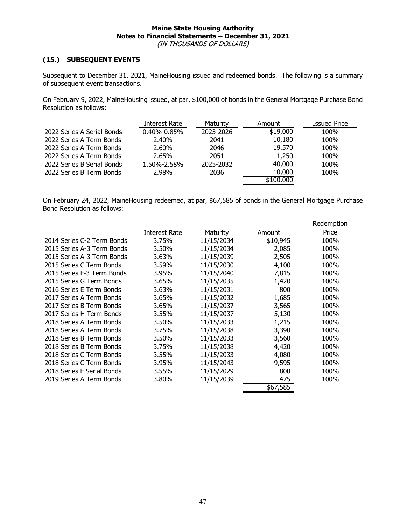(IN THOUSANDS OF DOLLARS)

# **(15.) SUBSEQUENT EVENTS**

Subsequent to December 31, 2021, MaineHousing issued and redeemed bonds. The following is a summary of subsequent event transactions.

On February 9, 2022, MaineHousing issued, at par, \$100,000 of bonds in the General Mortgage Purchase Bond Resolution as follows:

|                            | Interest Rate     | Maturity  | Amount    | <b>Issued Price</b> |
|----------------------------|-------------------|-----------|-----------|---------------------|
| 2022 Series A Serial Bonds | $0.40\% - 0.85\%$ | 2023-2026 | \$19,000  | 100%                |
| 2022 Series A Term Bonds   | 2.40%             | 2041      | 10,180    | 100%                |
| 2022 Series A Term Bonds   | 2.60%             | 2046      | 19,570    | 100%                |
| 2022 Series A Term Bonds   | 2.65%             | 2051      | 1,250     | 100%                |
| 2022 Series B Serial Bonds | 1.50%-2.58%       | 2025-2032 | 40,000    | 100%                |
| 2022 Series B Term Bonds   | 2.98%             | 2036      | 10,000    | 100%                |
|                            |                   |           | \$100,000 |                     |
|                            |                   |           |           |                     |

On February 24, 2022, MaineHousing redeemed, at par, \$67,585 of bonds in the General Mortgage Purchase Bond Resolution as follows:

|                            |               |            |          | Redemption |
|----------------------------|---------------|------------|----------|------------|
|                            | Interest Rate | Maturity   | Amount   | Price      |
| 2014 Series C-2 Term Bonds | 3.75%         | 11/15/2034 | \$10,945 | 100%       |
| 2015 Series A-3 Term Bonds | 3.50%         | 11/15/2034 | 2,085    | 100%       |
| 2015 Series A-3 Term Bonds | 3.63%         | 11/15/2039 | 2,505    | 100%       |
| 2015 Series C Term Bonds   | 3.59%         | 11/15/2030 | 4,100    | 100%       |
| 2015 Series F-3 Term Bonds | 3.95%         | 11/15/2040 | 7,815    | 100%       |
| 2015 Series G Term Bonds   | 3.65%         | 11/15/2035 | 1,420    | 100%       |
| 2016 Series E Term Bonds   | 3.63%         | 11/15/2031 | 800      | 100%       |
| 2017 Series A Term Bonds   | 3.65%         | 11/15/2032 | 1,685    | 100%       |
| 2017 Series B Term Bonds   | 3.65%         | 11/15/2037 | 3,565    | 100%       |
| 2017 Series H Term Bonds   | 3.55%         | 11/15/2037 | 5,130    | 100%       |
| 2018 Series A Term Bonds   | 3.50%         | 11/15/2033 | 1,215    | 100%       |
| 2018 Series A Term Bonds   | 3.75%         | 11/15/2038 | 3,390    | 100%       |
| 2018 Series B Term Bonds   | 3.50%         | 11/15/2033 | 3,560    | 100%       |
| 2018 Series B Term Bonds   | 3.75%         | 11/15/2038 | 4,420    | 100%       |
| 2018 Series C Term Bonds   | 3.55%         | 11/15/2033 | 4,080    | 100%       |
| 2018 Series C Term Bonds   | 3.95%         | 11/15/2043 | 9,595    | 100%       |
| 2018 Series F Serial Bonds | 3.55%         | 11/15/2029 | 800      | 100%       |
| 2019 Series A Term Bonds   | 3.80%         | 11/15/2039 | 475      | 100%       |
|                            |               |            | \$67,585 |            |